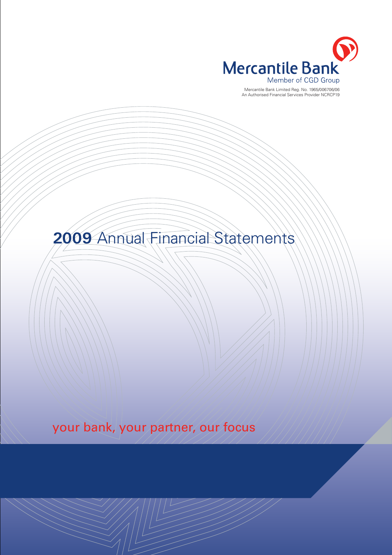

Mercantile Bank Limited Reg. No. 1965/006706/06 An Authorised Financial Services Provider NCRCP19

**2009** Annual Financial Statements

your bank, your partner, our focus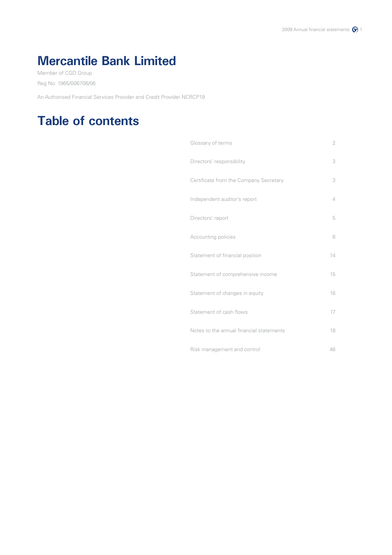# **Mercantile Bank Limited**

Member of CGD Group Reg No: 1965/006706/06

An Authorised Financial Services Provider and Credit Provider NCRCP19

## **Table of contents**

| Glossary of terms                        | $\overline{2}$ |
|------------------------------------------|----------------|
| Directors' responsibility                | 3              |
| Certificate from the Company Secretary   | 3              |
| Independent auditor's report             | $\overline{4}$ |
| Directors' report                        | 5              |
| Accounting policies                      | 6              |
| Statement of financial position          | 14             |
| Statement of comprehensive income        | 15             |
| Statement of changes in equity           | 16             |
| Statement of cash flows                  | 17             |
| Notes to the annual financial statements | 18             |
| Risk management and control              | 46             |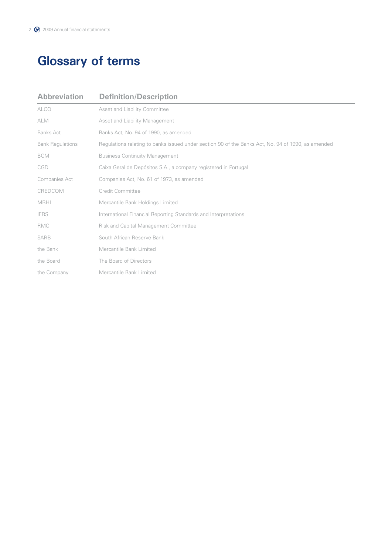# **Glossary of terms**

| <b>Abbreviation</b>     | <b>Definition/Description</b>                                                                      |
|-------------------------|----------------------------------------------------------------------------------------------------|
| <b>ALCO</b>             | Asset and Liability Committee                                                                      |
| <b>ALM</b>              | Asset and Liability Management                                                                     |
| <b>Banks Act</b>        | Banks Act, No. 94 of 1990, as amended                                                              |
| <b>Bank Regulations</b> | Regulations relating to banks issued under section 90 of the Banks Act, No. 94 of 1990, as amended |
| <b>BCM</b>              | <b>Business Continuity Management</b>                                                              |
| CGD                     | Caixa Geral de Depósitos S.A., a company registered in Portugal                                    |
| Companies Act           | Companies Act, No. 61 of 1973, as amended                                                          |
| CREDCOM                 | Credit Committee                                                                                   |
| <b>MBHL</b>             | Mercantile Bank Holdings Limited                                                                   |
| <b>IFRS</b>             | International Financial Reporting Standards and Interpretations                                    |
| <b>RMC</b>              | <b>Risk and Capital Management Committee</b>                                                       |
| <b>SARB</b>             | South African Reserve Bank                                                                         |
| the Bank                | Mercantile Bank Limited                                                                            |
| the Board               | The Board of Directors                                                                             |
| the Company             | Mercantile Bank Limited                                                                            |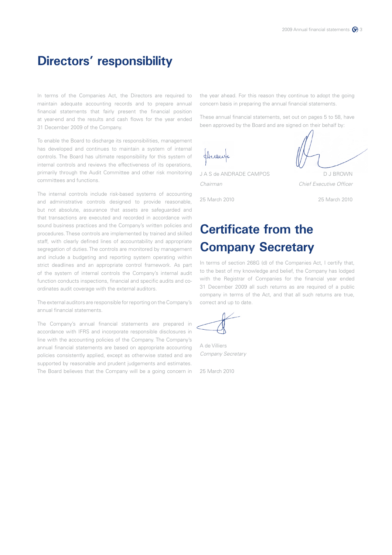### **Directors' responsibility**

In terms of the Companies Act, the Directors are required to maintain adequate accounting records and to prepare annual financial statements that fairly present the financial position at year-end and the results and cash flows for the year ended 31 December 2009 of the Company.

To enable the Board to discharge its responsibilities, management has developed and continues to maintain a system of internal controls. The Board has ultimate responsibility for this system of internal controls and reviews the effectiveness of its operations, primarily through the Audit Committee and other risk monitoring committees and functions.

The internal controls include risk-based systems of accounting and administrative controls designed to provide reasonable, but not absolute, assurance that assets are safeguarded and that transactions are executed and recorded in accordance with sound business practices and the Company's written policies and procedures. These controls are implemented by trained and skilled staff, with clearly defined lines of accountability and appropriate segregation of duties. The controls are monitored by management and include a budgeting and reporting system operating within strict deadlines and an appropriate control framework. As part of the system of internal controls the Company's internal audit function conducts inspections, financial and specific audits and coordinates audit coverage with the external auditors.

The external auditors are responsible for reporting on the Company's annual financial statements.

The Company's annual financial statements are prepared in accordance with IFRS and incorporate responsible disclosures in line with the accounting policies of the Company. The Company's annual financial statements are based on appropriate accounting policies consistently applied, except as otherwise stated and are supported by reasonable and prudent judgements and estimates. The Board believes that the Company will be a going concern in the year ahead. For this reason they continue to adopt the going concern basis in preparing the annual financial statements.

These annual financial statements, set out on pages 5 to 58, have been approved by the Board and are signed on their behalf by:



J A S de ANDRADE CAMPOS DU BROWN

25 March 2010 25 March 2010



*Chairman Chief Executive Officer*

# **Certificate from the Company Secretary**

In terms of section 268G (d) of the Companies Act, I certify that, to the best of my knowledge and belief, the Company has lodged with the Registrar of Companies for the financial year ended 31 December 2009 all such returns as are required of a public company in terms of the Act, and that all such returns are true, correct and up to date.

A de Villiers *Company Secretary*

25 March 2010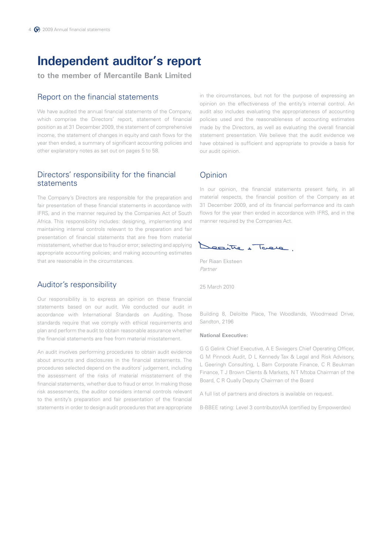### **Independent auditor's report**

**to the member of Mercantile Bank Limited**

### Report on the financial statements

We have audited the annual financial statements of the Company, which comprise the Directors' report, statement of financial position as at 31 December 2009, the statement of comprehensive income, the statement of changes in equity and cash flows for the year then ended, a summary of significant accounting policies and other explanatory notes as set out on pages 5 to 58.

### Directors' responsibility for the financial statements

The Company's Directors are responsible for the preparation and fair presentation of these financial statements in accordance with IFRS, and in the manner required by the Companies Act of South Africa. This responsibility includes: designing, implementing and maintaining internal controls relevant to the preparation and fair presentation of financial statements that are free from material misstatement, whether due to fraud or error; selecting and applying appropriate accounting policies; and making accounting estimates that are reasonable in the circumstances.

### Auditor's responsibility

Our responsibility is to express an opinion on these financial statements based on our audit. We conducted our audit in accordance with International Standards on Auditing. Those standards require that we comply with ethical requirements and plan and perform the audit to obtain reasonable assurance whether the financial statements are free from material misstatement.

An audit involves performing procedures to obtain audit evidence about amounts and disclosures in the financial statements. The procedures selected depend on the auditors' judgement, including the assessment of the risks of material misstatement of the financial statements, whether due to fraud or error. In making those risk assessments, the auditor considers internal controls relevant to the entity's preparation and fair presentation of the financial statements in order to design audit procedures that are appropriate

in the circumstances, but not for the purpose of expressing an opinion on the effectiveness of the entity's internal control. An audit also includes evaluating the appropriateness of accounting policies used and the reasonableness of accounting estimates made by the Directors, as well as evaluating the overall financial statement presentation. We believe that the audit evidence we have obtained is sufficient and appropriate to provide a basis for our audit opinion.

### **Opinion**

In our opinion, the financial statements present fairly, in all material respects, the financial position of the Company as at 31 December 2009, and of its financial performance and its cash flows for the year then ended in accordance with IFRS, and in the manner required by the Companies Act.

Dealthe , Torela

Per Riaan Eksteen *Partner*

25 March 2010

Building 8, Deloitte Place, The Woodlands, Woodmead Drive, Sandton, 2196

### **National Executive:**

G G Gelink Chief Executive, A E Swiegers Chief Operating Officer, G M Pinnock Audit, D L Kennedy Tax & Legal and Risk Advisory, L Geeringh Consulting, L Bam Corporate Finance, C R Beukman Finance, T J Brown Clients & Markets, N T Mtoba Chairman of the Board, C R Qually Deputy Chairman of the Board

A full list of partners and directors is available on request.

B-BBEE rating: Level 3 contributor/AA (certified by Empowerdex)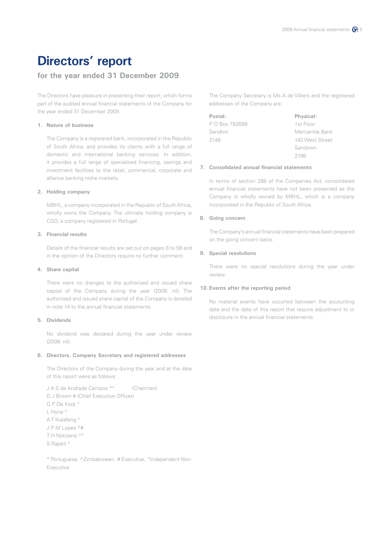## **Directors' report**

### **for the year ended 31 December 2009**

The Directors have pleasure in presenting their report, which forms part of the audited annual financial statements of the Company for the year ended 31 December 2009.

### **1. Nature of business**

The Company is a registered bank, incorporated in the Republic of South Africa, and provides its clients with a full range of domestic and international banking services. In addition, it provides a full range of specialised financing, savings and investment facilities to the retail, commercial, corporate and alliance banking niche markets.

### **2. Holding company**

MBHL, a company incorporated in the Republic of South Africa, wholly owns the Company. The ultimate holding company is CGD, a company registered in Portugal.

### **3. Financial results**

Details of the financial results are set out on pages 6 to 58 and in the opinion of the Directors require no further comment.

### **4. Share capital**

There were no changes to the authorised and issued share capital of the Company during the year (2008: nil). The authorised and issued share capital of the Company is detailed in note 14 to the annual financial statements.

### **5. Dividends**

No dividend was declared during the year under review (2008: nil).

### **6. Directors, Company Secretary and registered addresses**

The Directors of the Company during the year and at the date of this report were as follows:

J A S de Andrade Campos \*° (Chairman) D J Brown # (Chief Executive Officer) G P De Kock ° L Hyne ° AT Ikalafeng<sup>o</sup> J P M Lopes \*# T H Njikizana ^° S Rapeti °

\* Portuguese, ^Zimbabwean, # Executive, °Independent Non-Executive

The Company Secretary is Ms A de Villiers and the registered addresses of the Company are:

| Postal:        | Physical:       |
|----------------|-----------------|
| P O Box 782699 | 1st Floor       |
| Sandton        | Mercantile Bank |
| 2146           | 142 West Street |
|                | Sandown         |

### 2196 **7. Consolidated annual financial statements**

In terms of section 288 of the Companies Act, consolidated annual financial statements have not been presented as the Company is wholly owned by MBHL, which is a company incorporated in the Republic of South Africa.

### **8. Going concern**

The Company's annual financial statements have been prepared on the going concern basis.

### **9. Special resolutions**

There were no special resolutions during the year under review.

### **10. Events after the reporting period**

No material events have occurred between the accounting date and the date of this report that require adjustment to or disclosure in the annual financial statements.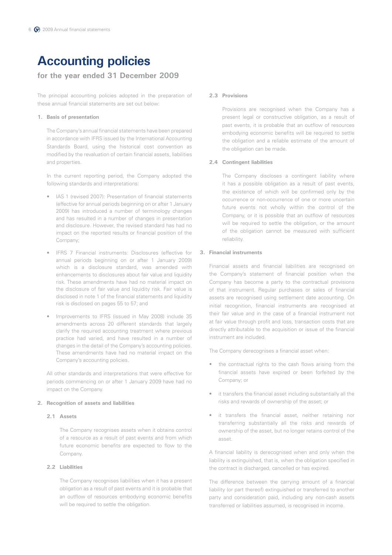### **for the year ended 31 December 2009**

The principal accounting policies adopted in the preparation of these annual financial statements are set out below:

### **1. Basis of presentation**

The Company's annual financial statements have been prepared in accordance with IFRS issued by the International Accounting Standards Board, using the historical cost convention as modified by the revaluation of certain financial assets, liabilities and properties.

In the current reporting period, the Company adopted the following standards and interpretations:

- IAS 1 (revised 2007): Presentation of financial statements (effective for annual periods beginning on or after 1 January 2009) has introduced a number of terminology changes and has resulted in a number of changes in presentation and disclosure. However, the revised standard has had no impact on the reported results or financial position of the Company;
- • IFRS 7 Financial instruments: Disclosures (effective for annual periods beginning on or after 1 January 2009) which is a disclosure standard, was amended with enhancements to disclosures about fair value and liquidity risk. These amendments have had no material impact on the disclosure of fair value and liquidity risk. Fair value is disclosed in note 1 of the financial statements and liquidity risk is disclosed on pages 55 to 57; and
- Improvements to IFRS (issued in May 2008) include 35 amendments across 20 different standards that largely clarify the required accounting treatment where previous practice had varied, and have resulted in a number of changes in the detail of the Company's accounting policies. These amendments have had no material impact on the Company's accounting policies.

All other standards and interpretations that were effective for periods commencing on or after 1 January 2009 have had no impact on the Company.

### **2. Recognition of assets and liabilities**

### **2.1 Assets**

The Company recognises assets when it obtains control of a resource as a result of past events and from which future economic benefits are expected to flow to the Company.

### **2.2 Liabilities**

The Company recognises liabilities when it has a present obligation as a result of past events and it is probable that an outflow of resources embodying economic benefits will be required to settle the obligation.

### **2.3 Provisions**

Provisions are recognised when the Company has a present legal or constructive obligation, as a result of past events, it is probable that an outflow of resources embodying economic benefits will be required to settle the obligation and a reliable estimate of the amount of the obligation can be made.

### **2.4 Contingent liabilities**

The Company discloses a contingent liability where it has a possible obligation as a result of past events, the existence of which will be confirmed only by the occurrence or non-occurrence of one or more uncertain future events not wholly within the control of the Company, or it is possible that an outflow of resources will be required to settle the obligation, or the amount of the obligation cannot be measured with sufficient reliability.

### **3. Financial instruments**

Financial assets and financial liabilities are recognised on the Company's statement of financial position when the Company has become a party to the contractual provisions of that instrument. Regular purchases or sales of financial assets are recognised using settlement date accounting. On initial recognition, financial instruments are recognised at their fair value and in the case of a financial instrument not at fair value through profit and loss, transaction costs that are directly attributable to the acquisition or issue of the financial instrument are included.

The Company derecognises a financial asset when:

- the contractual rights to the cash flows arising from the financial assets have expired or been forfeited by the Company; or
- it transfers the financial asset including substantially all the risks and rewards of ownership of the asset; or
- it transfers the financial asset, neither retaining nor transferring substantially all the risks and rewards of ownership of the asset, but no longer retains control of the asset.

A financial liability is derecognised when and only when the liability is extinguished, that is, when the obligation specified in the contract is discharged, cancelled or has expired.

The difference between the carrying amount of a financial liability (or part thereof) extinguished or transferred to another party and consideration paid, including any non-cash assets transferred or liabilities assumed, is recognised in income.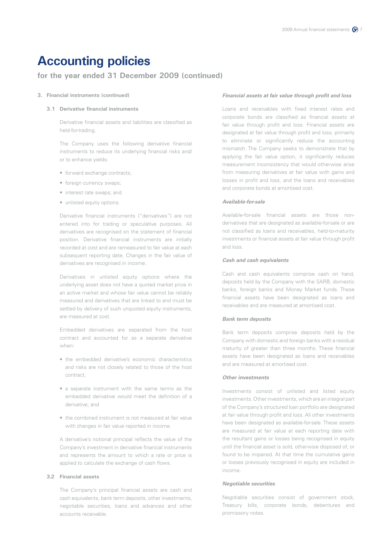### **for the year ended 31 December 2009 (continued)**

### **3. Financial instruments (continued)**

### **3.1 Derivative financial instruments**

Derivative financial assets and liabilities are classified as held-for-trading.

The Company uses the following derivative financial instruments to reduce its underlying financial risks and/ or to enhance yields:

- forward exchange contracts;
- foreign currency swaps;
- interest rate swaps; and
- unlisted equity options.

Derivative financial instruments ("derivatives") are not entered into for trading or speculative purposes. All derivatives are recognised on the statement of financial position. Derivative financial instruments are initially recorded at cost and are remeasured to fair value at each subsequent reporting date. Changes in the fair value of derivatives are recognised in income.

Derivatives in unlisted equity options where the underlying asset does not have a quoted market price in an active market and whose fair value cannot be reliably measured and derivatives that are linked to and must be settled by delivery of such unquoted equity instruments, are measured at cost.

Embedded derivatives are separated from the host contract and accounted for as a separate derivative when:

- the embedded derivative's economic characteristics and risks are not closely related to those of the host contract;
- a separate instrument with the same terms as the embedded derivative would meet the definition of a derivative; and
- the combined instrument is not measured at fair value with changes in fair value reported in income.

A derivative's notional principal reflects the value of the Company's investment in derivative financial instruments and represents the amount to which a rate or price is applied to calculate the exchange of cash flows.

### **3.2 Financial assets**

The Company's principal financial assets are cash and cash equivalents, bank term deposits, other investments, negotiable securities, loans and advances and other accounts receivable.

### *Financial assets at fair value through profit and loss*

 Loans and receivables with fixed interest rates and corporate bonds are classified as financial assets at fair value through profit and loss. Financial assets are designated at fair value through profit and loss, primarily to eliminate or significantly reduce the accounting mismatch. The Company seeks to demonstrate that by applying the fair value option, it significantly reduces measurement inconsistency that would otherwise arise from measuring derivatives at fair value with gains and losses in profit and loss, and the loans and receivables and corporate bonds at amortised cost.

### *Available-for-sale*

 Available-for-sale financial assets are those nonderivatives that are designated as available-for-sale or are not classified as loans and receivables, held-to-maturity investments or financial assets at fair value through profit and loss.

#### *Cash and cash equivalents*

 Cash and cash equivalents comprise cash on hand, deposits held by the Company with the SARB, domestic banks, foreign banks and Money Market funds. These financial assets have been designated as loans and receivables and are measured at amortised cost.

### *Bank term deposits*

 Bank term deposits comprise deposits held by the Company with domestic and foreign banks with a residual maturity of greater than three months. These financial assets have been designated as loans and receivables and are measured at amortised cost.

### *Other investments*

 Investments consist of unlisted and listed equity investments. Other investments, which are an integral part of the Company's structured loan portfolio are designated at fair value through profit and loss. All other investments have been designated as available-for-sale. These assets are measured at fair value at each reporting date with the resultant gains or losses being recognised in equity until the financial asset is sold, otherwise disposed of, or found to be impaired. At that time the cumulative gains or losses previously recognised in equity are included in income.

#### *Negotiable securities*

 Negotiable securities consist of government stock, Treasury bills, corporate bonds, debentures and promissory notes.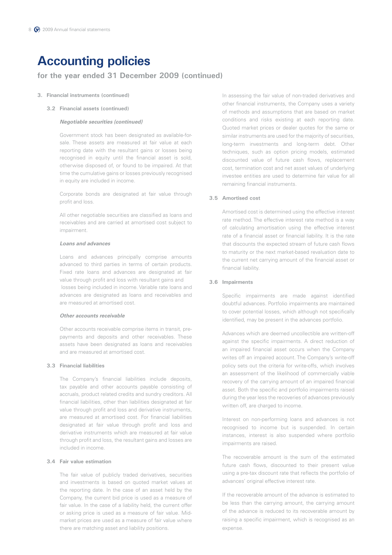### **for the year ended 31 December 2009 (continued)**

### **3. Financial instruments (continued)**

**3.2 Financial assets (continued)**

### *Negotiable securities (continued)*

 Government stock has been designated as available-forsale. These assets are measured at fair value at each reporting date with the resultant gains or losses being recognised in equity until the financial asset is sold, otherwise disposed of, or found to be impaired. At that time the cumulative gains or losses previously recognised in equity are included in income.

 Corporate bonds are designated at fair value through profit and loss.

 All other negotiable securities are classified as loans and receivables and are carried at amortised cost subject to impairment.

### *Loans and advances*

 Loans and advances principally comprise amounts advanced to third parties in terms of certain products. Fixed rate loans and advances are designated at fair value through profit and loss with resultant gains and losses being included in income. Variable rate loans and advances are designated as loans and receivables and are measured at amortised cost.

### *Other accounts receivable*

 Other accounts receivable comprise items in transit, prepayments and deposits and other receivables. These assets have been designated as loans and receivables and are measured at amortised cost.

### **3.3 Financial liabilities**

 The Company's financial liabilities include deposits, tax payable and other accounts payable consisting of accruals, product related credits and sundry creditors. All financial liabilities, other than liabilities designated at fair value through profit and loss and derivative instruments, are measured at amortised cost. For financial liabilities designated at fair value through profit and loss and derivative instruments which are measured at fair value through profit and loss, the resultant gains and losses are included in income.

### **3.4 Fair value estimation**

 The fair value of publicly traded derivatives, securities and investments is based on quoted market values at the reporting date. In the case of an asset held by the Company, the current bid price is used as a measure of fair value. In the case of a liability held, the current offer or asking price is used as a measure of fair value. Midmarket prices are used as a measure of fair value where there are matching asset and liability positions.

 In assessing the fair value of non-traded derivatives and other financial instruments, the Company uses a variety of methods and assumptions that are based on market conditions and risks existing at each reporting date. Quoted market prices or dealer quotes for the same or similar instruments are used for the majority of securities, long-term investments and long-term debt. Other techniques, such as option pricing models, estimated discounted value of future cash flows, replacement cost, termination cost and net asset values of underlying investee entities are used to determine fair value for all remaining financial instruments.

### **3.5 Amortised cost**

 Amortised cost is determined using the effective interest rate method. The effective interest rate method is a way of calculating amortisation using the effective interest rate of a financial asset or financial liability. It is the rate that discounts the expected stream of future cash flows to maturity or the next market-based revaluation date to the current net carrying amount of the financial asset or financial liability.

### **3.6 Impairments**

 Specific impairments are made against identified doubtful advances. Portfolio impairments are maintained to cover potential losses, which although not specifically identified, may be present in the advances portfolio.

 Advances which are deemed uncollectible are written-off against the specific impairments. A direct reduction of an impaired financial asset occurs when the Company writes off an impaired account. The Company's write-off policy sets out the criteria for write-offs, which involves an assessment of the likelihood of commercially viable recovery of the carrying amount of an impaired financial asset. Both the specific and portfolio impairments raised during the year less the recoveries of advances previously written off, are charged to income.

 Interest on non-performing loans and advances is not recognised to income but is suspended. In certain instances, interest is also suspended where portfolio impairments are raised.

 The recoverable amount is the sum of the estimated future cash flows, discounted to their present value using a pre-tax discount rate that reflects the portfolio of advances' original effective interest rate.

 If the recoverable amount of the advance is estimated to be less than the carrying amount, the carrying amount of the advance is reduced to its recoverable amount by raising a specific impairment, which is recognised as an expense.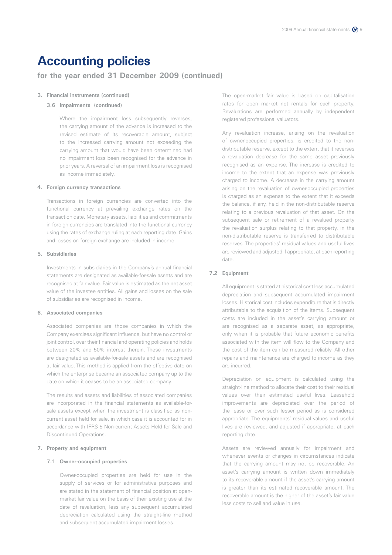### **for the year ended 31 December 2009 (continued)**

### **3. Financial instruments (continued)**

### **3.6 Impairments (continued)**

Where the impairment loss subsequently reverses, the carrying amount of the advance is increased to the revised estimate of its recoverable amount, subject to the increased carrying amount not exceeding the carrying amount that would have been determined had no impairment loss been recognised for the advance in prior years. A reversal of an impairment loss is recognised as income immediately.

### **4. Foreign currency transactions**

Transactions in foreign currencies are converted into the functional currency at prevailing exchange rates on the transaction date. Monetary assets, liabilities and commitments in foreign currencies are translated into the functional currency using the rates of exchange ruling at each reporting date. Gains and losses on foreign exchange are included in income.

### **5. Subsidiaries**

Investments in subsidiaries in the Company's annual financial statements are designated as available-for-sale assets and are recognised at fair value. Fair value is estimated as the net asset value of the investee entities. All gains and losses on the sale of subsidiaries are recognised in income.

### **6. Associated companies**

Associated companies are those companies in which the Company exercises significant influence, but have no control or joint control, over their financial and operating policies and holds between 20% and 50% interest therein. These investments are designated as available-for-sale assets and are recognised at fair value. This method is applied from the effective date on which the enterprise became an associated company up to the date on which it ceases to be an associated company.

The results and assets and liabilities of associated companies are incorporated in the financial statements as available-forsale assets except when the investment is classified as noncurrent asset held for sale, in which case it is accounted for in accordance with IFRS 5 Non-current Assets Held for Sale and Discontinued Operations.

### **7. Property and equipment**

### **7.1 Owner-occupied properties**

 Owner-occupied properties are held for use in the supply of services or for administrative purposes and are stated in the statement of financial position at openmarket fair value on the basis of their existing use at the date of revaluation, less any subsequent accumulated depreciation calculated using the straight-line method and subsequent accumulated impairment losses.

 The open-market fair value is based on capitalisation rates for open market net rentals for each property. Revaluations are performed annually by independent registered professional valuators.

 Any revaluation increase, arising on the revaluation of owner-occupied properties, is credited to the nondistributable reserve, except to the extent that it reverses a revaluation decrease for the same asset previously recognised as an expense. The increase is credited to income to the extent that an expense was previously charged to income. A decrease in the carrying amount arising on the revaluation of owner-occupied properties is charged as an expense to the extent that it exceeds the balance, if any, held in the non-distributable reserve relating to a previous revaluation of that asset. On the subsequent sale or retirement of a revalued property the revaluation surplus relating to that property, in the non-distributable reserve is transferred to distributable reserves. The properties' residual values and useful lives are reviewed and adjusted if appropriate, at each reporting date.

### **7.2 Equipment**

 All equipment is stated at historical cost less accumulated depreciation and subsequent accumulated impairment losses. Historical cost includes expenditure that is directly attributable to the acquisition of the items. Subsequent costs are included in the asset's carrying amount or are recognised as a separate asset, as appropriate, only when it is probable that future economic benefits associated with the item will flow to the Company and the cost of the item can be measured reliably. All other repairs and maintenance are charged to income as they are incurred.

 Depreciation on equipment is calculated using the straight-line method to allocate their cost to their residual values over their estimated useful lives. Leasehold improvements are depreciated over the period of the lease or over such lesser period as is considered appropriate. The equipments' residual values and useful lives are reviewed, and adjusted if appropriate, at each reporting date.

 Assets are reviewed annually for impairment and whenever events or changes in circumstances indicate that the carrying amount may not be recoverable. An asset's carrying amount is written down immediately to its recoverable amount if the asset's carrying amount is greater than its estimated recoverable amount. The recoverable amount is the higher of the asset's fair value less costs to sell and value in use.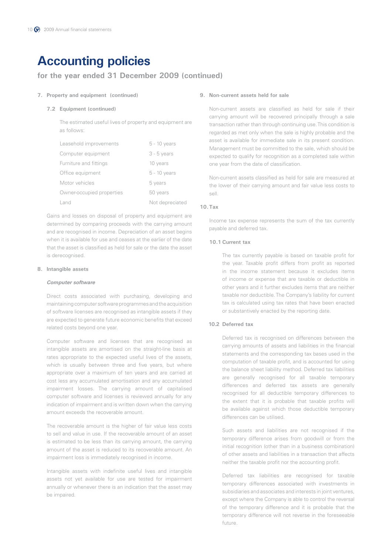### **for the year ended 31 December 2009 (continued)**

### **7. Property and equipment (continued)**

#### **7.2 Equipment (continued)**

The estimated useful lives of property and equipment are as follows:

| Leasehold improvements    | $5 - 10$ years  |
|---------------------------|-----------------|
| Computer equipment        | $3 - 5$ years   |
| Furniture and fittings    | 10 years        |
| Office equipment          | $5 - 10$ years  |
| Motor vehicles            | 5 years         |
| Owner-occupied properties | 50 years        |
| Land                      | Not depreciated |

Gains and losses on disposal of property and equipment are determined by comparing proceeds with the carrying amount and are recognised in income. Depreciation of an asset begins when it is available for use and ceases at the earlier of the date that the asset is classified as held for sale or the date the asset is derecognised.

### **8. Intangible assets**

#### *Computer software*

 Direct costs associated with purchasing, developing and maintaining computer software programmes and the acquisition of software licenses are recognised as intangible assets if they are expected to generate future economic benefits that exceed related costs beyond one year.

 Computer software and licenses that are recognised as intangible assets are amortised on the straight-line basis at rates appropriate to the expected useful lives of the assets, which is usually between three and five years, but where appropriate over a maximum of ten years and are carried at cost less any accumulated amortisation and any accumulated impairment losses. The carrying amount of capitalised computer software and licenses is reviewed annually for any indication of impairment and is written down when the carrying amount exceeds the recoverable amount.

 The recoverable amount is the higher of fair value less costs to sell and value in use. If the recoverable amount of an asset is estimated to be less than its carrying amount, the carrying amount of the asset is reduced to its recoverable amount. An impairment loss is immediately recognised in income.

 Intangible assets with indefinite useful lives and intangible assets not yet available for use are tested for impairment annually or whenever there is an indication that the asset may be impaired.

#### **9. Non-current assets held for sale**

Non-current assets are classified as held for sale if their carrying amount will be recovered principally through a sale transaction rather than through continuing use. This condition is regarded as met only when the sale is highly probable and the asset is available for immediate sale in its present condition. Management must be committed to the sale, which should be expected to qualify for recognition as a completed sale within one year from the date of classification.

Non-current assets classified as held for sale are measured at the lower of their carrying amount and fair value less costs to sell.

### **10.Tax**

Income tax expense represents the sum of the tax currently payable and deferred tax.

### **10.1 Current tax**

 The tax currently payable is based on taxable profit for the year. Taxable profit differs from profit as reported in the income statement because it excludes items of income or expense that are taxable or deductible in other years and it further excludes items that are neither taxable nor deductible. The Company's liability for current tax is calculated using tax rates that have been enacted or substantively enacted by the reporting date.

### **10.2 Deferred tax**

 Deferred tax is recognised on differences between the carrying amounts of assets and liabilities in the financial statements and the corresponding tax bases used in the computation of taxable profit, and is accounted for using the balance sheet liability method. Deferred tax liabilities are generally recognised for all taxable temporary differences and deferred tax assets are generally recognised for all deductible temporary differences to the extent that it is probable that taxable profits will be available against which those deductible temporary differences can be utilised.

 Such assets and liabilities are not recognised if the temporary difference arises from goodwill or from the initial recognition (other than in a business combination) of other assets and liabilities in a transaction that affects neither the taxable profit nor the accounting profit.

 Deferred tax liabilities are recognised for taxable temporary differences associated with investments in subsidiaries and associates and interests in joint ventures, except where the Company is able to control the reversal of the temporary difference and it is probable that the temporary difference will not reverse in the foreseeable future.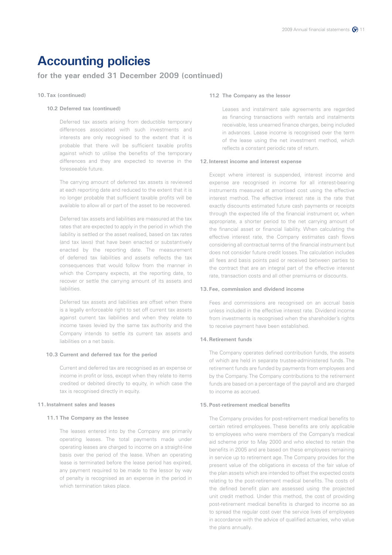### **for the year ended 31 December 2009 (continued)**

### **10.Tax (continued)**

#### **10.2 Deferred tax (continued)**

 Deferred tax assets arising from deductible temporary differences associated with such investments and interests are only recognised to the extent that it is probable that there will be sufficient taxable profits against which to utilise the benefits of the temporary differences and they are expected to reverse in the foreseeable future.

 The carrying amount of deferred tax assets is reviewed at each reporting date and reduced to the extent that it is no longer probable that sufficient taxable profits will be available to allow all or part of the asset to be recovered.

 Deferred tax assets and liabilities are measured at the tax rates that are expected to apply in the period in which the liability is settled or the asset realised, based on tax rates (and tax laws) that have been enacted or substantively enacted by the reporting date. The measurement of deferred tax liabilities and assets reflects the tax consequences that would follow from the manner in which the Company expects, at the reporting date, to recover or settle the carrying amount of its assets and liabilities.

 Deferred tax assets and liabilities are offset when there is a legally enforceable right to set off current tax assets against current tax liabilities and when they relate to income taxes levied by the same tax authority and the Company intends to settle its current tax assets and liabilities on a net basis.

#### **10.3 Current and deferred tax for the period**

 Current and deferred tax are recognised as an expense or income in profit or loss, except when they relate to items credited or debited directly to equity, in which case the tax is recognised directly in equity.

### **11.Instalment sales and leases**

### **11.1 The Company as the lessee**

 The leases entered into by the Company are primarily operating leases. The total payments made under operating leases are charged to income on a straight-line basis over the period of the lease. When an operating lease is terminated before the lease period has expired, any payment required to be made to the lessor by way of penalty is recognised as an expense in the period in which termination takes place.

#### **11.2 The Company as the lessor**

 Leases and instalment sale agreements are regarded as financing transactions with rentals and instalments receivable, less unearned finance charges, being included in advances. Lease income is recognised over the term of the lease using the net investment method, which reflects a constant periodic rate of return.

### **12. Interest income and interest expense**

Except where interest is suspended, interest income and expense are recognised in income for all interest-bearing instruments measured at amortised cost using the effective interest method. The effective interest rate is the rate that exactly discounts estimated future cash payments or receipts through the expected life of the financial instrument or, when appropriate, a shorter period to the net carrying amount of the financial asset or financial liability. When calculating the effective interest rate, the Company estimates cash flows considering all contractual terms of the financial instrument but does not consider future credit losses. The calculation includes all fees and basis points paid or received between parties to the contract that are an integral part of the effective interest rate, transaction costs and all other premiums or discounts.

### **13. Fee, commission and dividend income**

Fees and commissions are recognised on an accrual basis unless included in the effective interest rate. Dividend income from investments is recognised when the shareholder's rights to receive payment have been established.

### **14.Retirement funds**

The Company operates defined contribution funds, the assets of which are held in separate trustee-administered funds. The retirement funds are funded by payments from employees and by the Company. The Company contributions to the retirement funds are based on a percentage of the payroll and are charged to income as accrued.

#### **15. Post-retirement medical benefits**

The Company provides for post-retirement medical benefits to certain retired employees. These benefits are only applicable to employees who were members of the Company's medical aid scheme prior to May 2000 and who elected to retain the benefits in 2005 and are based on these employees remaining in service up to retirement age. The Company provides for the present value of the obligations in excess of the fair value of the plan assets which are intended to offset the expected costs relating to the post-retirement medical benefits. The costs of the defined benefit plan are assessed using the projected unit credit method. Under this method, the cost of providing post-retirement medical benefits is charged to income so as to spread the regular cost over the service lives of employees in accordance with the advice of qualified actuaries, who value the plans annually.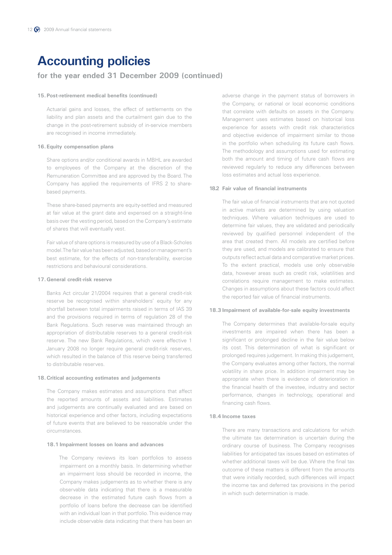### **for the year ended 31 December 2009 (continued)**

#### **15. Post-retirement medical benefits (continued)**

Actuarial gains and losses, the effect of settlements on the liability and plan assets and the curtailment gain due to the change in the post-retirement subsidy of in-service members are recognised in income immediately.

### **16. Equity compensation plans**

Share options and/or conditional awards in MBHL are awarded to employees of the Company at the discretion of the Remuneration Committee and are approved by the Board. The Company has applied the requirements of IFRS 2 to sharebased payments.

These share-based payments are equity-settled and measured at fair value at the grant date and expensed on a straight-line basis over the vesting period, based on the Company's estimate of shares that will eventually vest.

Fair value of share options is measured by use of a Black-Scholes model. The fair value has been adjusted, based on management's best estimate, for the effects of non-transferability, exercise restrictions and behavioural considerations.

### **17.General credit-risk reserve**

Banks Act circular 21/2004 requires that a general credit-risk reserve be recognised within shareholders' equity for any shortfall between total impairments raised in terms of IAS 39 and the provisions required in terms of regulation 28 of the Bank Regulations. Such reserve was maintained through an appropriation of distributable reserves to a general credit-risk reserve. The new Bank Regulations, which were effective 1 January 2008 no longer require general credit-risk reserves, which resulted in the balance of this reserve being transferred to distributable reserves.

### **18. Critical accounting estimates and judgements**

The Company makes estimates and assumptions that affect the reported amounts of assets and liabilities. Estimates and judgements are continually evaluated and are based on historical experience and other factors, including expectations of future events that are believed to be reasonable under the circumstances.

### **18.1 Impairment losses on loans and advances**

 The Company reviews its loan portfolios to assess impairment on a monthly basis. In determining whether an impairment loss should be recorded in income, the Company makes judgements as to whether there is any observable data indicating that there is a measurable decrease in the estimated future cash flows from a portfolio of loans before the decrease can be identified with an individual loan in that portfolio. This evidence may include observable data indicating that there has been an adverse change in the payment status of borrowers in the Company, or national or local economic conditions that correlate with defaults on assets in the Company. Management uses estimates based on historical loss experience for assets with credit risk characteristics and objective evidence of impairment similar to those in the portfolio when scheduling its future cash flows. The methodology and assumptions used for estimating both the amount and timing of future cash flows are reviewed regularly to reduce any differences between loss estimates and actual loss experience.

#### **18.2 Fair value of financial instruments**

 The fair value of financial instruments that are not quoted in active markets are determined by using valuation techniques. Where valuation techniques are used to determine fair values, they are validated and periodically reviewed by qualified personnel independent of the area that created them. All models are certified before they are used, and models are calibrated to ensure that outputs reflect actual data and comparative market prices. To the extent practical, models use only observable data, however areas such as credit risk, volatilities and correlations require management to make estimates. Changes in assumptions about these factors could affect the reported fair value of financial instruments.

#### **18.3 Impairment of available-for-sale equity investments**

 The Company determines that available-for-sale equity investments are impaired when there has been a significant or prolonged decline in the fair value below its cost. This determination of what is significant or prolonged requires judgement. In making this judgement, the Company evaluates among other factors, the normal volatility in share price. In addition impairment may be appropriate when there is evidence of deterioration in the financial health of the investee, industry and sector performance, changes in technology, operational and financing cash flows.

### **18.4 Income taxes**

 There are many transactions and calculations for which the ultimate tax determination is uncertain during the ordinary course of business. The Company recognises liabilities for anticipated tax issues based on estimates of whether additional taxes will be due. Where the final tax outcome of these matters is different from the amounts that were initially recorded, such differences will impact the income tax and deferred tax provisions in the period in which such determination is made.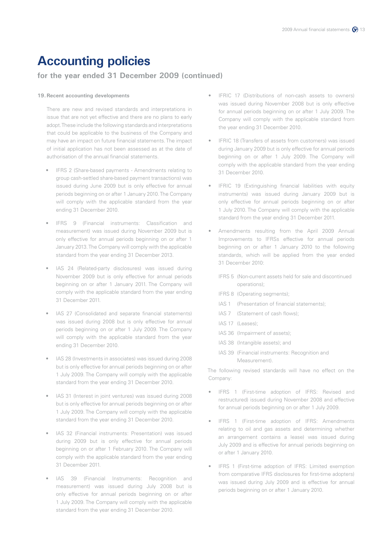### **for the year ended 31 December 2009 (continued)**

#### **19. Recent accounting developments**

There are new and revised standards and interpretations in issue that are not yet effective and there are no plans to early adopt. These include the following standards and interpretations that could be applicable to the business of the Company and may have an impact on future financial statements. The impact of initial application has not been assessed as at the date of authorisation of the annual financial statements.

- IFRS 2 (Share-based payments Amendments relating to group cash-settled share-based payment transactions) was issued during June 2009 but is only effective for annual periods beginning on or after 1 January 2010. The Company will comply with the applicable standard from the year ending 31 December 2010.
- IFRS 9 (Financial instruments: Classification and measurement) was issued during November 2009 but is only effective for annual periods beginning on or after 1 January 2013. The Company will comply with the applicable standard from the year ending 31 December 2013.
- IAS 24 (Related-party disclosures) was issued during November 2009 but is only effective for annual periods beginning on or after 1 January 2011. The Company will comply with the applicable standard from the year ending 31 December 2011.
- • IAS 27 (Consolidated and separate financial statements) was issued during 2008 but is only effective for annual periods beginning on or after 1 July 2009. The Company will comply with the applicable standard from the year ending 31 December 2010.
- IAS 28 (Investments in associates) was issued during 2008 but is only effective for annual periods beginning on or after 1 July 2009. The Company will comply with the applicable standard from the year ending 31 December 2010.
- IAS 31 (Interest in joint ventures) was issued during 2008 but is only effective for annual periods beginning on or after 1 July 2009. The Company will comply with the applicable standard from the year ending 31 December 2010.
- IAS 32 (Financial instruments: Presentation) was issued during 2009 but is only effective for annual periods beginning on or after 1 February 2010. The Company will comply with the applicable standard from the year ending 31 December 2011.
- IAS 39 (Financial Instruments: Recognition and measurement) was issued during July 2008 but is only effective for annual periods beginning on or after 1 July 2009. The Company will comply with the applicable standard from the year ending 31 December 2010.
- IFRIC 17 (Distributions of non-cash assets to owners) was issued during November 2008 but is only effective for annual periods beginning on or after 1 July 2009. The Company will comply with the applicable standard from the year ending 31 December 2010.
- IFRIC 18 (Transfers of assets from customers) was issued during January 2009 but is only effective for annual periods beginning on or after 1 July 2009. The Company will comply with the applicable standard from the year ending 31 December 2010.
- **IFRIC 19 (Extinguishing financial liabilities with equity** instruments) was issued during January 2009 but is only effective for annual periods beginning on or after 1 July 2010. The Company will comply with the applicable standard from the year ending 31 December 2011.
- Amendments resulting from the April 2009 Annual Improvements to IFRSs effective for annual periods beginning on or after 1 January 2010 to the following standards, which will be applied from the year ended 31 December 2010:
	- IFRS 5 (Non-current assets held for sale and discontinued operations);
	- IFRS 8 (Operating segments);
	- IAS 1 (Presentation of financial statements);
	- IAS 7 (Statement of cash flows);
	- IAS 17 (Leases);
	- IAS 36 (Impairment of assets);
	- IAS 38 (Intangible assets); and
	- IAS 39 (Financial instruments: Recognition and Measurement).

The following revised standards will have no effect on the Company:

- IFRS 1 (First-time adoption of IFRS: Revised and restructured) issued during November 2008 and effective for annual periods beginning on or after 1 July 2009.
- IFRS 1 (First-time adoption of IFRS: Amendments relating to oil and gas assets and determining whether an arrangement contains a lease) was issued during July 2009 and is effective for annual periods beginning on or after 1 January 2010.
- IFRS 1 (First-time adoption of IFRS: Limited exemption from comparative IFRS disclosures for first-time adopters) was issued during July 2009 and is effective for annual periods beginning on or after 1 January 2010.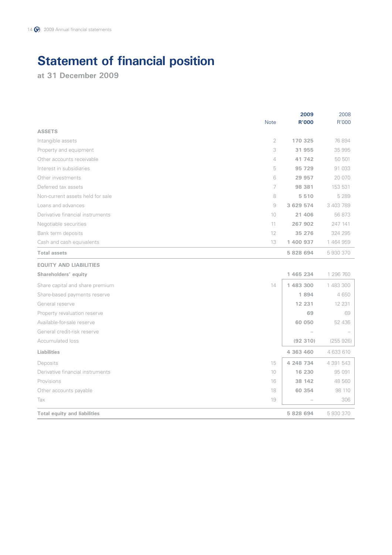# **Statement of financial position**

**at 31 December 2009**

|                                     | <b>Note</b>    | 2009<br><b>R'000</b> | 2008<br>R'000 |
|-------------------------------------|----------------|----------------------|---------------|
| <b>ASSETS</b>                       |                |                      |               |
| Intangible assets                   | $\overline{2}$ | 170 325              | 76 894        |
| Property and equipment              | 3              | 31 955               | 35 995        |
| Other accounts receivable           | $\overline{4}$ | 41 742               | 50 501        |
| Interest in subsidiaries            | 5              | 95 729               | 91 033        |
| Other investments                   | 6              | 29 957               | 20 070        |
| Deferred tax assets                 | 7              | 98 381               | 153 531       |
| Non-current assets held for sale    | 8              | 5 5 1 0              | 5 2 8 9       |
| Loans and advances                  | $\Theta$       | 3 629 574            | 3 403 789     |
| Derivative financial instruments    | 10             | 21 406               | 56 873        |
| Negotiable securities               | 11             | 267 902              | 247 141       |
| Bank term deposits                  | 12             | 35 276               | 324 295       |
| Cash and cash equivalents           | 13             | 1 400 937            | 1 464 959     |
| <b>Total assets</b>                 |                | 5 828 694            | 5930370       |
| <b>EQUITY AND LIABILITIES</b>       |                |                      |               |
| Shareholders' equity                |                | 1 465 234            | 1 296 760     |
| Share capital and share premium     | 14             | 1 483 300            | 1 483 300     |
| Share-based payments reserve        |                | 1894                 | 4 650         |
| General reserve                     |                | 12 231               | 12 231        |
| Property revaluation reserve        |                | 69                   | 69            |
| Available-for-sale reserve          |                | 60 050               | 52 436        |
| General credit-risk reserve         |                |                      |               |
| Accumulated loss                    |                | (92310)              | (255926)      |
| Liabilities                         |                | 4 363 460            | 4 633 610     |
| Deposits                            | 15             | 4 248 734            | 4 391 543     |
| Derivative financial instruments    | 10             | 16 230               | 95 091        |
| Provisions                          | 16             | 38 142               | 48 560        |
| Other accounts payable              | 18             | 60 354               | 98 110        |
| Tax                                 | 19             |                      | 306           |
| <b>Total equity and liabilities</b> |                | 5 828 694            | 5930370       |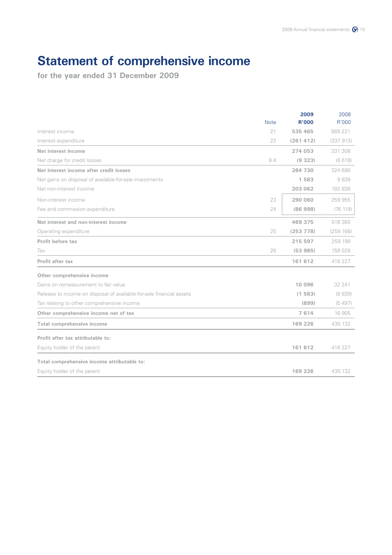# **Statement of comprehensive income**

|                                                                      |             | 2009         | 2008      |
|----------------------------------------------------------------------|-------------|--------------|-----------|
|                                                                      | <b>Note</b> | <b>R'000</b> | R'000     |
| Interest income                                                      | 21          | 535 465      | 669 221   |
| Interest expenditure                                                 | 22          | (261412)     | (337913)  |
| Net interest income                                                  |             | 274 053      | 331 308   |
| Net charge for credit losses                                         | 9.4         | (9323)       | (6618)    |
| Net interest income after credit losses                              |             | 264 730      | 324 690   |
| Net gains on disposal of available-for-sale investments              |             | 1583         | 9839      |
| Net non-interest income                                              |             | 203 062      | 183 836   |
| Non-interest income                                                  | 23          | 290 060      | 259 955   |
| Fee and commission expenditure                                       | 24          | (86998)      | (76 119)  |
| Net interest and non-interest income                                 |             | 469 375      | 518 365   |
| Operating expenditure                                                | 25          | (253 778)    | (259 166) |
| Profit before tax                                                    |             | 215 597      | 259 199   |
| Tax                                                                  | 26          | (53985)      | 159 028   |
| Profit after tax                                                     |             | 161 612      | 418 227   |
| Other comprehensive income                                           |             |              |           |
| Gains on remeasurement to fair value                                 |             | 10 096       | 32 241    |
| Release to income on disposal of available-for-sale financial assets |             | (1583)       | (9839)    |
| Tax relating to other comprehensive income                           |             | (899)        | (5497)    |
| Other comprehensive income net of tax                                |             | 7614         | 16 905    |
| Total comprehensive income                                           |             | 169 226      | 435 132   |
| Profit after tax attributable to:                                    |             |              |           |
| Equity holder of the parent                                          |             | 161 612      | 418 227   |
| Total comprehensive income attributable to:                          |             |              |           |
| Equity holder of the parent                                          |             | 169 226      | 435 132   |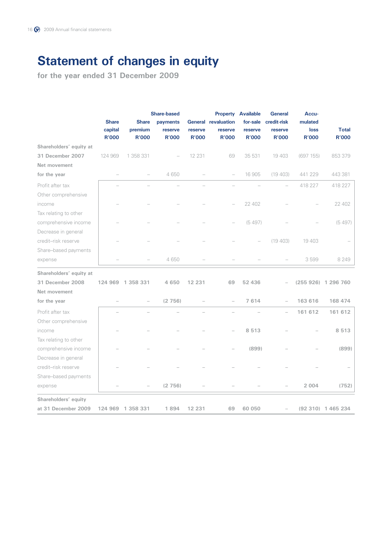# **Statement of changes in equity**

|                         | <b>Share-based</b>      |                         |                         |                         | <b>Property Available</b>  | <b>General</b>          | Accu-                    |                             |                              |
|-------------------------|-------------------------|-------------------------|-------------------------|-------------------------|----------------------------|-------------------------|--------------------------|-----------------------------|------------------------------|
|                         | <b>Share</b>            | <b>Share</b>            | payments                |                         | <b>General revaluation</b> | for-sale                | credit-risk              | mulated                     |                              |
|                         | capital<br><b>R'000</b> | premium<br><b>R'000</b> | reserve<br><b>R'000</b> | reserve<br><b>R'000</b> | reserve<br><b>R'000</b>    | reserve<br><b>R'000</b> | reserve<br><b>R'000</b>  | <b>loss</b><br><b>R'000</b> | <b>Total</b><br><b>R'000</b> |
| Shareholders' equity at |                         |                         |                         |                         |                            |                         |                          |                             |                              |
| 31 December 2007        | 124 969                 | 1 358 331               |                         | 12 2 3 1                | 69                         | 35 531                  | 19 403                   | (697 155)                   | 853 379                      |
| Net movement            |                         |                         |                         |                         |                            |                         |                          |                             |                              |
| for the year            |                         |                         | 4 6 5 0                 |                         |                            | 16 905                  | (19 403)                 | 441 229                     | 443 381                      |
| Profit after tax        |                         |                         |                         |                         |                            |                         |                          | 418 227                     | 418 227                      |
| Other comprehensive     |                         |                         |                         |                         |                            |                         |                          |                             |                              |
| income                  |                         |                         |                         |                         |                            | 22 402                  |                          |                             | 22 402                       |
| Tax relating to other   |                         |                         |                         |                         |                            |                         |                          |                             |                              |
| comprehensive income    |                         |                         |                         |                         |                            | (5497)                  |                          |                             | (5497)                       |
| Decrease in general     |                         |                         |                         |                         |                            |                         |                          |                             |                              |
| credit-risk reserve     |                         |                         |                         |                         |                            |                         | (19 403)                 | 19 403                      |                              |
| Share-based payments    |                         |                         |                         |                         |                            |                         |                          |                             |                              |
| expense                 |                         |                         | 4650                    |                         |                            |                         |                          | 3599                        | 8 2 4 9                      |
| Shareholders' equity at |                         |                         |                         |                         |                            |                         |                          |                             |                              |
| 31 December 2008        |                         | 124 969 1 358 331       | 4 650                   | 12 231                  | 69                         | 52 436                  |                          |                             | (255 926) 1 296 760          |
| Net movement            |                         |                         |                         |                         |                            |                         |                          |                             |                              |
| for the year            |                         |                         | (2756)                  |                         |                            | 7614                    |                          | 163 616                     | 168 474                      |
| Profit after tax        |                         |                         |                         |                         |                            |                         | $\overline{\phantom{0}}$ | 161 612                     | 161 612                      |
| Other comprehensive     |                         |                         |                         |                         |                            |                         |                          |                             |                              |
| income                  |                         |                         |                         |                         |                            | 8513                    |                          |                             | 8 5 1 3                      |
| Tax relating to other   |                         |                         |                         |                         |                            |                         |                          |                             |                              |
| comprehensive income    |                         |                         |                         |                         |                            | (899)                   |                          |                             | (899)                        |
| Decrease in general     |                         |                         |                         |                         |                            |                         |                          |                             |                              |
| credit-risk reserve     |                         |                         |                         |                         |                            |                         |                          |                             |                              |
| Share-based payments    |                         |                         |                         |                         |                            |                         |                          |                             |                              |
| expense                 |                         |                         | (2756)                  |                         |                            |                         |                          | 2 0 0 4                     | (752)                        |
| Shareholders' equity    |                         |                         |                         |                         |                            |                         |                          |                             |                              |
| at 31 December 2009     |                         | 124 969 1 358 331       | 1894                    | 12 231                  | 69                         | 60 050                  |                          |                             | (92 310) 1 465 234           |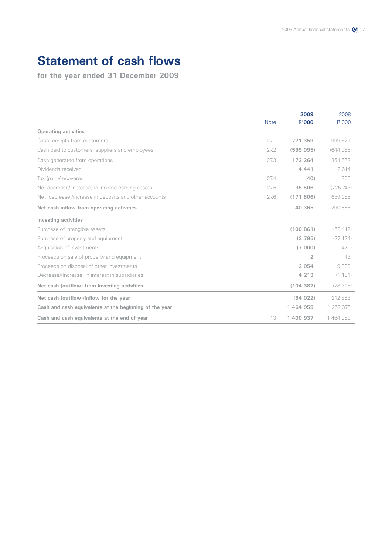# **Statement of cash flows**

|                                                        |             | 2009         | 2008      |
|--------------------------------------------------------|-------------|--------------|-----------|
|                                                        | <b>Note</b> | <b>R'000</b> | R'000     |
| <b>Operating activities</b>                            |             |              |           |
| Cash receipts from customers                           | 27.1        | 771 359      | 999621    |
| Cash paid to customers, suppliers and employees        | 27.2        | (599095)     | (644968)  |
| Cash generated from operations                         | 27.3        | 172 264      | 354 653   |
| Dividends received                                     |             | 4 4 4 1      | 2614      |
| Tax (paid)/recovered                                   | 27.4        | (40)         | 306       |
| Net decrease/(increase) in income earning assets       | 27.5        | 35 506       | (725 743) |
| Net (decrease)/increase in deposits and other accounts | 27.6        | (171806)     | 659 058   |
| Net cash inflow from operating activities              |             | 40 365       | 290 888   |
| <b>Investing activities</b>                            |             |              |           |
| Purchase of intangible assets                          |             | (100861)     | (59 412)  |
| Purchase of property and equipment                     |             | (2795)       | (27124)   |
| Acquisition of investments                             |             | (7000)       | (470)     |
| Proceeds on sale of property and equipment             |             | 2            | 43        |
| Proceeds on disposal of other investments              |             | 2 0 5 4      | 9839      |
| Decrease/(Increase) in interest in subsidiaries        |             | 4 2 1 3      | (1 181)   |
| Net cash (outflow) from investing activities           |             | (104387)     | (78305)   |
| Net cash (outflow)/inflow for the year                 |             | (64022)      | 212 583   |
| Cash and cash equivalents at the beginning of the year |             | 1464959      | 1 252 376 |
| Cash and cash equivalents at the end of year           | 13          | 1 400 937    | 1464959   |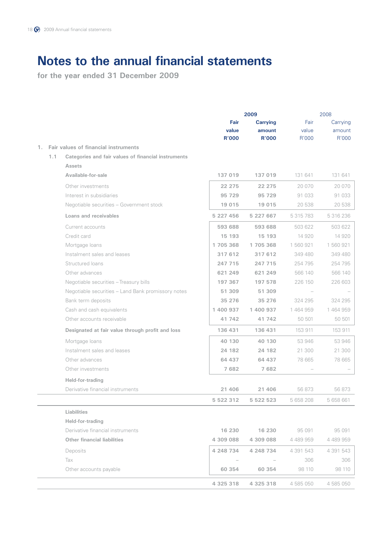|    |     |                                                     | Fair<br>value<br><b>R'000</b> | 2009<br><b>Carrying</b><br>amount<br><b>R'000</b> | Fair<br>value<br>R'000 | 2008<br>Carrying<br>amount<br>R'000 |
|----|-----|-----------------------------------------------------|-------------------------------|---------------------------------------------------|------------------------|-------------------------------------|
| 1. |     | Fair values of financial instruments                |                               |                                                   |                        |                                     |
|    | 1.1 | Categories and fair values of financial instruments |                               |                                                   |                        |                                     |
|    |     | <b>Assets</b>                                       |                               |                                                   |                        |                                     |
|    |     | Available-for-sale                                  | 137 019                       | 137 019                                           | 131 641                | 131 641                             |
|    |     | Other investments                                   | 22 275                        | 22 275                                            | 20 070                 | 20 070                              |
|    |     | Interest in subsidiaries                            | 95 729                        | 95 729                                            | 91 033                 | 91 033                              |
|    |     | Negotiable securities - Government stock            | 19 015                        | 19 015                                            | 20 538                 | 20 538                              |
|    |     | Loans and receivables                               | 5 227 456                     | 5 227 667                                         | 5 315 783              | 5 316 236                           |
|    |     | Current accounts                                    | 593 688                       | 593 688                                           | 503 622                | 503 622                             |
|    |     | Credit card                                         | 15 193                        | 15 193                                            | 14 920                 | 14 920                              |
|    |     | Mortgage loans                                      | 1705368                       | 1705368                                           | 1 560 921              | 1 560 921                           |
|    |     | Instalment sales and leases                         | 317 612                       | 317 612                                           | 349 480                | 349 480                             |
|    |     | Structured loans                                    | 247 715                       | 247 715                                           | 254 795                | 254 795                             |
|    |     | Other advances                                      | 621 249                       | 621 249                                           | 566 140                | 566 140                             |
|    |     | Negotiable securities - Treasury bills              | 197 367                       | 197 578                                           | 226 150                | 226 603                             |
|    |     | Negotiable securities - Land Bank promissory notes  | 51 309                        | 51 309                                            |                        |                                     |
|    |     | Bank term deposits                                  | 35 276                        | 35 276                                            | 324 295                | 324 295                             |
|    |     | Cash and cash equivalents                           | 1 400 937                     | 1 400 937                                         | 1464959                | 1 464 959                           |
|    |     | Other accounts receivable                           | 41 742                        | 41 742                                            | 50 501                 | 50 501                              |
|    |     | Designated at fair value through profit and loss    | 136 431                       | 136 431                                           | 153 911                | 153 911                             |
|    |     | Mortgage loans                                      | 40 130                        | 40 130                                            | 53 946                 | 53 946                              |
|    |     | Instalment sales and leases                         | 24 182                        | 24 182                                            | 21 300                 | 21 300                              |
|    |     | Other advances                                      | 64 437                        | 64 437                                            | 78 665                 | 78 665                              |
|    |     | Other investments                                   | 7682                          | 7 682                                             |                        |                                     |
|    |     | Held-for-trading                                    |                               |                                                   |                        |                                     |
|    |     | Derivative financial instruments                    | 21 406                        | 21 406                                            | 56 873                 | 56 873                              |
|    |     |                                                     | 5 522 312                     | 5 522 523                                         | 5 658 208              | 5 658 661                           |
|    |     | <b>Liabilities</b>                                  |                               |                                                   |                        |                                     |
|    |     | Held-for-trading                                    |                               |                                                   |                        |                                     |
|    |     | Derivative financial instruments                    | 16 230                        | 16 230                                            | 95 091                 | 95 091                              |
|    |     | <b>Other financial liabilities</b>                  | 4 309 088                     | 4 309 088                                         | 4 489 959              | 4 489 959                           |
|    |     | Deposits                                            | 4 248 734                     | 4 248 734                                         | 4 391 543              | 4 391 543                           |
|    |     | Tax                                                 |                               |                                                   | 306                    | 306                                 |
|    |     | Other accounts payable                              | 60 354                        | 60 354                                            | 98 110                 | 98 110                              |
|    |     |                                                     | 4 325 318                     | 4 325 318                                         | 4 585 050              | 4 585 050                           |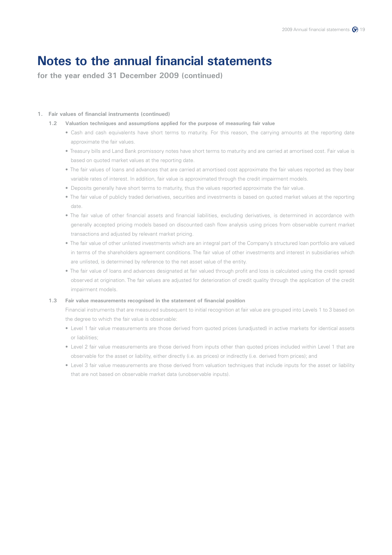**for the year ended 31 December 2009 (continued)**

### **1. Fair values of financial instruments (continued)**

### **1.2 Valuation techniques and assumptions applied for the purpose of measuring fair value**

- Cash and cash equivalents have short terms to maturity. For this reason, the carrying amounts at the reporting date approximate the fair values.
- Treasury bills and Land Bank promissory notes have short terms to maturity and are carried at amortised cost. Fair value is based on quoted market values at the reporting date.
- The fair values of loans and advances that are carried at amortised cost approximate the fair values reported as they bear variable rates of interest. In addition, fair value is approximated through the credit impairment models.
- Deposits generally have short terms to maturity, thus the values reported approximate the fair value.
- The fair value of publicly traded derivatives, securities and investments is based on quoted market values at the reporting date.
- The fair value of other financial assets and financial liabilities, excluding derivatives, is determined in accordance with generally accepted pricing models based on discounted cash flow analysis using prices from observable current market transactions and adjusted by relevant market pricing.
- The fair value of other unlisted investments which are an integral part of the Company's structured loan portfolio are valued in terms of the shareholders agreement conditions. The fair value of other investments and interest in subsidiaries which are unlisted, is determined by reference to the net asset value of the entity.
- The fair value of loans and advances designated at fair valued through profit and loss is calculated using the credit spread observed at origination. The fair values are adjusted for deterioration of credit quality through the application of the credit impairment models.

### **1.3 Fair value measurements recognised in the statement of financial position**

 Financial instruments that are measured subsequent to initial recognition at fair value are grouped into Levels 1 to 3 based on the degree to which the fair value is observable:

- Level 1 fair value measurements are those derived from quoted prices (unadjusted) in active markets for identical assets or liabilities;
- Level 2 fair value measurements are those derived from inputs other than quoted prices included within Level 1 that are observable for the asset or liability, either directly (i.e. as prices) or indirectly (i.e. derived from prices); and
- Level 3 fair value measurements are those derived from valuation techniques that include inputs for the asset or liability that are not based on observable market data (unobservable inputs).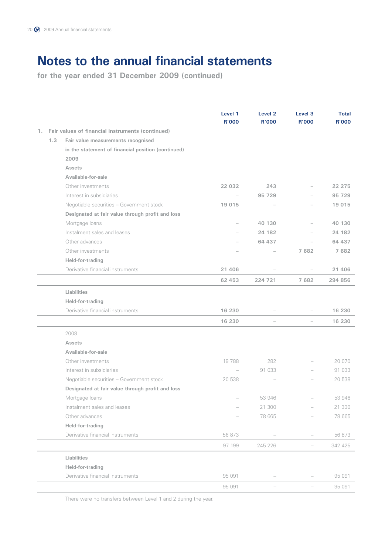**for the year ended 31 December 2009 (continued)**

|    |     |                                                    | Level 1<br><b>R'000</b>  | Level <sub>2</sub><br><b>R'000</b> | Level <sub>3</sub><br><b>R'000</b> | <b>Total</b><br><b>R'000</b> |
|----|-----|----------------------------------------------------|--------------------------|------------------------------------|------------------------------------|------------------------------|
| 1. |     | Fair values of financial instruments (continued)   |                          |                                    |                                    |                              |
|    | 1.3 | Fair value measurements recognised                 |                          |                                    |                                    |                              |
|    |     | in the statement of financial position (continued) |                          |                                    |                                    |                              |
|    |     | 2009                                               |                          |                                    |                                    |                              |
|    |     | <b>Assets</b>                                      |                          |                                    |                                    |                              |
|    |     | Available-for-sale                                 |                          |                                    |                                    |                              |
|    |     | Other investments                                  | 22 032                   | 243                                |                                    | 22 275                       |
|    |     | Interest in subsidiaries                           | $\overline{\phantom{a}}$ | 95 729                             |                                    | 95 729                       |
|    |     | Negotiable securities - Government stock           | 19 015                   |                                    |                                    | 19 015                       |
|    |     | Designated at fair value through profit and loss   |                          |                                    |                                    |                              |
|    |     | Mortgage loans                                     |                          | 40 130                             |                                    | 40 130                       |
|    |     | Instalment sales and leases                        |                          | 24 182                             |                                    | 24 182                       |
|    |     | Other advances                                     |                          | 64 437                             |                                    | 64 437                       |
|    |     | Other investments                                  |                          |                                    | 7682                               | 7682                         |
|    |     | Held-for-trading                                   |                          |                                    |                                    |                              |
|    |     | Derivative financial instruments                   | 21 406                   |                                    |                                    | 21 406                       |
|    |     |                                                    | 62 453                   | 224 721                            | 7682                               | 294 856                      |
|    |     | <b>Liabilities</b>                                 |                          |                                    |                                    |                              |
|    |     | Held-for-trading                                   |                          |                                    |                                    |                              |
|    |     | Derivative financial instruments                   | 16 230                   |                                    |                                    | 16 230                       |
|    |     |                                                    | 16 230                   |                                    |                                    | 16 230                       |
|    |     | 2008                                               |                          |                                    |                                    |                              |
|    |     | <b>Assets</b>                                      |                          |                                    |                                    |                              |
|    |     | Available-for-sale                                 |                          |                                    |                                    |                              |
|    |     | Other investments                                  | 19788                    | 282                                |                                    | 20 070                       |
|    |     | Interest in subsidiaries                           |                          | 91 033                             |                                    | 91 033                       |
|    |     | Negotiable securities - Government stock           | 20 538                   |                                    |                                    | 20 538                       |
|    |     | Designated at fair value through profit and loss   |                          |                                    |                                    |                              |
|    |     | Mortgage loans                                     |                          | 53 946                             |                                    | 53 946                       |
|    |     | Instalment sales and leases                        |                          | 21 300                             |                                    | 21 300                       |
|    |     | Other advances                                     |                          | 78 665                             |                                    | 78 665                       |
|    |     | Held-for-trading                                   |                          |                                    |                                    |                              |
|    |     | Derivative financial instruments                   | 56 873                   |                                    |                                    | 56 873                       |
|    |     |                                                    | 97 199                   | 245 226                            | $\qquad \qquad -$                  | 342 425                      |
|    |     | Liabilities                                        |                          |                                    |                                    |                              |
|    |     | Held-for-trading                                   |                          |                                    |                                    |                              |
|    |     | Derivative financial instruments                   | 95 091                   |                                    |                                    | 95 091                       |
|    |     |                                                    | 95 091                   |                                    |                                    | 95 091                       |

There were no transfers between Level 1 and 2 during the year.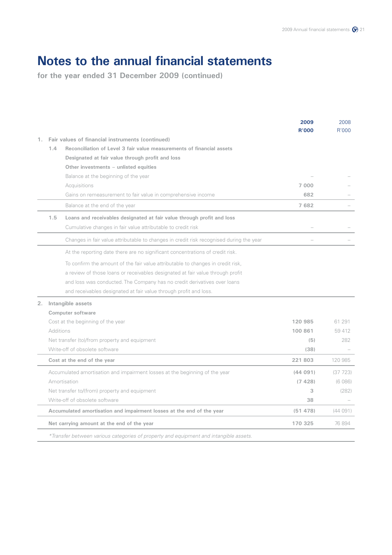|    |                                                                                         | 2009<br><b>R'000</b> | 2008<br>R'000 |
|----|-----------------------------------------------------------------------------------------|----------------------|---------------|
| 1. | Fair values of financial instruments (continued)                                        |                      |               |
|    | Reconciliation of Level 3 fair value measurements of financial assets<br>1.4            |                      |               |
|    | Designated at fair value through profit and loss                                        |                      |               |
|    | Other investments - unlisted equities                                                   |                      |               |
|    | Balance at the beginning of the year                                                    |                      |               |
|    | Acquisitions                                                                            | 7 0 0 0              |               |
|    | Gains on remeasurement to fair value in comprehensive income                            | 682                  |               |
|    | Balance at the end of the year                                                          | 7682                 |               |
|    | 1.5<br>Loans and receivables designated at fair value through profit and loss           |                      |               |
|    | Cumulative changes in fair value attributable to credit risk                            |                      |               |
|    | Changes in fair value attributable to changes in credit risk recognised during the year |                      |               |
|    | At the reporting date there are no significant concentrations of credit risk.           |                      |               |
|    | To confirm the amount of the fair value attributable to changes in credit risk,         |                      |               |
|    | a review of those loans or receivables designated at fair value through profit          |                      |               |
|    | and loss was conducted. The Company has no credit derivatives over loans                |                      |               |
|    | and receivables designated at fair value through profit and loss.                       |                      |               |
| 2. | Intangible assets                                                                       |                      |               |
|    | Computer software                                                                       |                      |               |
|    | Cost at the beginning of the year                                                       | 120 985              | 61 291        |
|    | <b>Additions</b>                                                                        | 100 861              | 59 412        |
|    | Net transfer (to)/from property and equipment                                           | (5)                  | 282           |
|    | Write-off of obsolete software                                                          | (38)                 |               |
|    | Cost at the end of the year                                                             | 221803               | 120 985       |
|    | Accumulated amortisation and impairment losses at the beginning of the year             | (44091)              | (37723)       |
|    | Amortisation                                                                            | (7428)               | (6086)        |
|    | Net transfer to/(from) property and equipment                                           | 3                    | (282)         |
|    | Write-off of obsolete software                                                          | 38                   |               |
|    | Accumulated amortisation and impairment losses at the end of the year                   | (51478)              | (44091)       |
|    | Net carrying amount at the end of the year                                              | 170 325              | 76 894        |
|    | *Transfer between various categories of property and equipment and intangible assets.   |                      |               |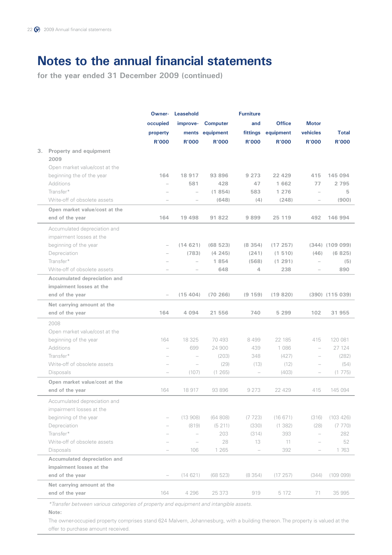**for the year ended 31 December 2009 (continued)**

|    |                               | Owner-                   | <b>Furniture</b><br><b>Leasehold</b> |                 |                          |               |                          |                     |
|----|-------------------------------|--------------------------|--------------------------------------|-----------------|--------------------------|---------------|--------------------------|---------------------|
|    |                               | occupied                 | improve-                             | <b>Computer</b> | and                      | <b>Office</b> | <b>Motor</b>             |                     |
|    |                               | property                 |                                      | ments equipment | fittings                 | equipment     | vehicles                 | <b>Total</b>        |
|    |                               | <b>R'000</b>             | <b>R'000</b>                         | <b>R'000</b>    | <b>R'000</b>             | <b>R'000</b>  | <b>R'000</b>             | <b>R'000</b>        |
| 3. | Property and equipment        |                          |                                      |                 |                          |               |                          |                     |
|    | 2009                          |                          |                                      |                 |                          |               |                          |                     |
|    | Open market value/cost at the |                          |                                      |                 |                          |               |                          |                     |
|    | beginning the of the year     | 164                      | 18 917                               | 93 896          | 9 2 7 3                  | 22 4 29       | 415                      | 145 094             |
|    | <b>Additions</b>              | $\overline{\phantom{0}}$ | 581                                  | 428             | 47                       | 1 662         | 77                       | 2 7 9 5             |
|    | Transfer*                     |                          | $\overline{\phantom{0}}$             | (1854)          | 583                      | 1 276         | $\overline{\phantom{0}}$ | 5                   |
|    | Write-off of obsolete assets  |                          | $\overline{\phantom{a}}$             | (648)           | (4)                      | (248)         |                          | (900)               |
|    | Open market value/cost at the |                          |                                      |                 |                          |               |                          |                     |
|    | end of the year               | 164                      | 19 4 98                              | 91 822          | 9899                     | 25 119        | 492                      | 146 994             |
|    | Accumulated depreciation and  |                          |                                      |                 |                          |               |                          |                     |
|    | impairment losses at the      |                          |                                      |                 |                          |               |                          |                     |
|    | beginning of the year         | $\overline{\phantom{a}}$ | (14621)                              | (68523)         | (8354)                   | (17257)       |                          | $(344)$ $(109 099)$ |
|    | Depreciation                  |                          | (783)                                | (4245)          | (241)                    | (1510)        | (46)                     | (6825)              |
|    | Transfer*                     |                          | $\overline{\phantom{0}}$             | 1854            | (568)                    | (1 291)       |                          | (5)                 |
|    | Write-off of obsolete assets  |                          |                                      | 648             | 4                        | 238           |                          | 890                 |
|    | Accumulated depreciation and  |                          |                                      |                 |                          |               |                          |                     |
|    | impairment losses at the      |                          |                                      |                 |                          |               |                          |                     |
|    | end of the year               |                          | (15404)                              | (70, 266)       | (9 159)                  | (19820)       |                          | $(390)$ $(115039)$  |
|    | Net carrying amount at the    |                          |                                      |                 |                          |               |                          |                     |
|    | end of the year               | 164                      | 4 0 9 4                              | 21 556          | 740                      | 5 2 9 9       | 102                      | 31 955              |
|    | 2008                          |                          |                                      |                 |                          |               |                          |                     |
|    | Open market value/cost at the |                          |                                      |                 |                          |               |                          |                     |
|    | beginning of the year         | 164                      | 18 3 25                              | 70 493          | 8499                     | 22 185        | 415                      | 120 081             |
|    | Additions                     | $\overline{\phantom{0}}$ | 699                                  | 24 900          | 439                      | 1 086         | $\overline{\phantom{0}}$ | 27 124              |
|    | Transfer*                     | $\overline{\phantom{0}}$ |                                      | (203)           | 348                      | (427)         | $\qquad \qquad -$        | (282)               |
|    | Write-off of obsolete assets  |                          |                                      | (29)            | (13)                     | (12)          |                          | (54)                |
|    | Disposals                     |                          | (107)                                | (1265)          | $\overline{\phantom{m}}$ | (403)         | $\qquad \qquad -$        | (1775)              |
|    | Open market value/cost at the |                          |                                      |                 |                          |               |                          |                     |
|    | end of the year               | 164                      | 18 917                               | 93 896          | 9 2 7 3                  | 22 429        | 415                      | 145 094             |
|    | Accumulated depreciation and  |                          |                                      |                 |                          |               |                          |                     |
|    | impairment losses at the      |                          |                                      |                 |                          |               |                          |                     |
|    | beginning of the year         |                          | (13908)                              | (64808)         | (7723)                   | (16671)       | (316)                    | (103 426)           |
|    | Depreciation                  |                          | (819)                                | (5211)          | (330)                    | (1 382)       | (28)                     | (7770)              |
|    | Transfer*                     |                          |                                      | 203             | (314)                    | 393           | $\overline{\phantom{0}}$ | 282                 |
|    | Write-off of obsolete assets  |                          |                                      | 28              | 13                       | 11            |                          | 52                  |
|    | Disposals                     |                          | 106                                  | 1 2 6 5         | $\overline{\phantom{0}}$ | 392           |                          | 1763                |
|    | Accumulated depreciation and  |                          |                                      |                 |                          |               |                          |                     |
|    | impairment losses at the      |                          |                                      |                 |                          |               |                          |                     |
|    | end of the year               | $\overline{\phantom{0}}$ | (14621)                              | (68523)         | (8354)                   | (17257)       | (344)                    | (10909)             |
|    | Net carrying amount at the    |                          |                                      |                 |                          |               |                          |                     |
|    | end of the year               | 164                      | 4 2 9 6                              | 25 373          | 919                      | 5 172         | 71                       | 35 995              |
|    |                               |                          |                                      |                 |                          |               |                          |                     |

*\*Transfer between various categories of property and equipment and intangible assets.*

### **Note:**

 The owner-occupied property comprises stand 624 Malvern, Johannesburg, with a building thereon. The property is valued at the offer to purchase amount received.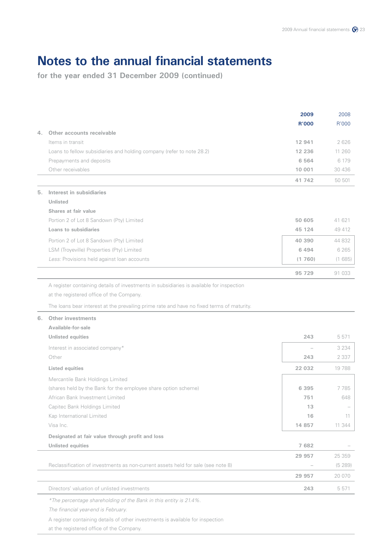**for the year ended 31 December 2009 (continued)**

|    |                                                                                           | 2009         | 2008    |
|----|-------------------------------------------------------------------------------------------|--------------|---------|
|    |                                                                                           | <b>R'000</b> | R'000   |
| 4. | Other accounts receivable                                                                 |              |         |
|    | Items in transit                                                                          | 12 941       | 2626    |
|    | Loans to fellow subsidiaries and holding company (refer to note 28.2)                     | 12 2 36      | 11 260  |
|    | Prepayments and deposits                                                                  | 6 5 6 4      | 6 179   |
|    | Other receivables                                                                         | 10 001       | 30 436  |
|    |                                                                                           | 41 742       | 50 501  |
| 5. | Interest in subsidiaries                                                                  |              |         |
|    | <b>Unlisted</b>                                                                           |              |         |
|    | Shares at fair value                                                                      |              |         |
|    | Portion 2 of Lot 8 Sandown (Pty) Limited                                                  | 50 605       | 41 621  |
|    | Loans to subsidiaries                                                                     | 45 124       | 49 412  |
|    | Portion 2 of Lot 8 Sandown (Pty) Limited                                                  | 40 390       | 44 832  |
|    | LSM (Troyeville) Properties (Pty) Limited                                                 | 6 4 9 4      | 6 2 6 5 |
|    | Less: Provisions held against loan accounts                                               | (1760)       | (1685)  |
|    |                                                                                           | 95 729       | 91 033  |
|    | A register containing details of investments in subsidiaries is available for inspection  |              |         |
|    | at the registered office of the Company.                                                  |              |         |
|    |                                                                                           |              |         |
|    | The loans bear interest at the prevailing prime rate and have no fixed terms of maturity. |              |         |
| 6. | Other investments                                                                         |              |         |
|    | Available-for-sale                                                                        |              |         |
|    | <b>Unlisted equities</b>                                                                  | 243          | 5 5 7 1 |
|    | Interest in associated company*                                                           |              | 3 2 3 4 |
|    | Other                                                                                     | 243          | 2 3 3 7 |
|    | <b>Listed equities</b>                                                                    | 22 032       | 19788   |
|    | Mercantile Bank Holdings Limited                                                          |              |         |
|    | (shares held by the Bank for the employee share option scheme)                            | 6 3 9 5      | 7785    |
|    | African Bank Investment Limited                                                           | 751          | 648     |
|    | Capitec Bank Holdings Limited                                                             | 13           |         |
|    | Kap International Limited                                                                 | 16           | 11      |
|    | Visa Inc.                                                                                 | 14 8 5 7     | 11 344  |
|    | Designated at fair value through profit and loss                                          |              |         |
|    | <b>Unlisted equities</b>                                                                  | 7 682        |         |
|    |                                                                                           | 29 957       | 25 359  |
|    | Reclassification of investments as non-current assets held for sale (see note 8)          |              | (5289)  |
|    |                                                                                           | 29 957       | 20 070  |
|    | Directors' valuation of unlisted investments                                              | 243          | 5 5 7 1 |
|    | *The percentage shareholding of the Bank in this entity is 21.4%.                         |              |         |
|    | The financial year-end is February.                                                       |              |         |
|    | A register containing details of other investments is available for inspection            |              |         |

at the registered office of the Company.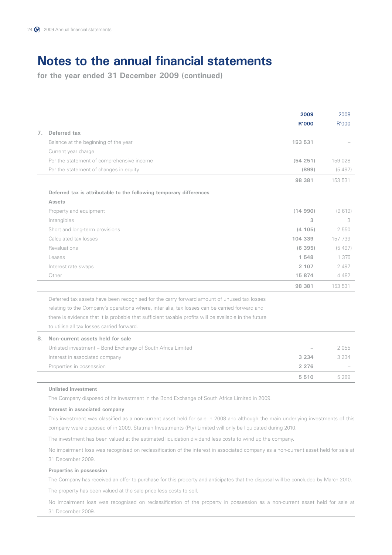**for the year ended 31 December 2009 (continued)**

|                |                                                                                                       | 2009         | 2008    |
|----------------|-------------------------------------------------------------------------------------------------------|--------------|---------|
|                |                                                                                                       | <b>R'000</b> | R'000   |
| 7 <sup>1</sup> | Deferred tax                                                                                          |              |         |
|                | Balance at the beginning of the year                                                                  | 153 531      |         |
|                | Current year charge                                                                                   |              |         |
|                | Per the statement of comprehensive income                                                             | (54251)      | 159 028 |
|                | Per the statement of changes in equity                                                                | (899)        | (5497)  |
|                |                                                                                                       | 98 381       | 153 531 |
|                | Deferred tax is attributable to the following temporary differences                                   |              |         |
|                | <b>Assets</b>                                                                                         |              |         |
|                | Property and equipment                                                                                | (14990)      | (9619)  |
|                | Intangibles                                                                                           | 3            | 3       |
|                | Short and long-term provisions                                                                        | (4 105)      | 2 550   |
|                | Calculated tax losses                                                                                 | 104 339      | 157 739 |
|                | Revaluations                                                                                          | (6395)       | (5497)  |
|                | Leases                                                                                                | 1 548        | 1 376   |
|                | Interest rate swaps                                                                                   | 2 107        | 2 4 9 7 |
|                | Other                                                                                                 | 15 874       | 4 4 8 2 |
|                |                                                                                                       | 98 381       | 153 531 |
|                | Deferred tax assets have been recognised for the carry forward amount of unused tax losses            |              |         |
|                | relating to the Company's operations where, inter alia, tax losses can be carried forward and         |              |         |
|                | there is evidence that it is probable that sufficient taxable profits will be available in the future |              |         |
|                | to utilise all tax losses carried forward.                                                            |              |         |
| 8.             | Non-current assets held for sale                                                                      |              |         |
|                | Unlisted investment - Bond Exchange of South Africa Limited                                           |              | 2055    |
|                | Interest in associated company                                                                        | 3 2 3 4      | 3 2 3 4 |
|                | Properties in possession                                                                              | 2 2 7 6      |         |
|                |                                                                                                       | 5510         | 5 2 8 9 |

#### **Unlisted investment**

The Company disposed of its investment in the Bond Exchange of South Africa Limited in 2009.

### **Interest in associated company**

 This investment was classified as a non-current asset held for sale in 2008 and although the main underlying investments of this company were disposed of in 2009, Statman Investments (Pty) Limited will only be liquidated during 2010.

The investment has been valued at the estimated liquidation dividend less costs to wind up the company.

 No impairment loss was recognised on reclassification of the interest in associated company as a non-current asset held for sale at 31 December 2009.

#### **Properties in possession**

The Company has received an offer to purchase for this property and anticipates that the disposal will be concluded by March 2010.

The property has been valued at the sale price less costs to sell.

 No impairment loss was recognised on reclassification of the property in possession as a non-current asset held for sale at 31 December 2009.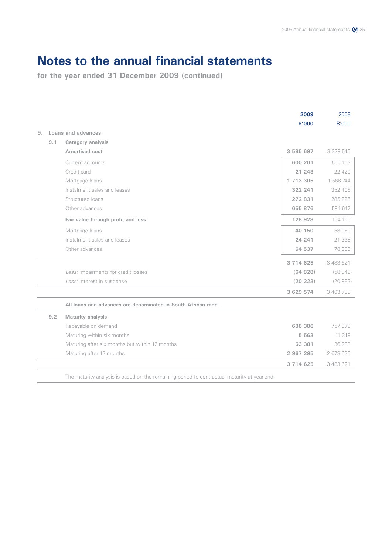|    |     |                                                                                             | 2009<br><b>R'000</b> | 2008<br>R'000 |
|----|-----|---------------------------------------------------------------------------------------------|----------------------|---------------|
| 9. |     | Loans and advances                                                                          |                      |               |
|    | 9.1 | Category analysis                                                                           |                      |               |
|    |     | Amortised cost                                                                              | 3 585 697            | 3 329 515     |
|    |     | Current accounts                                                                            | 600 201              | 506 103       |
|    |     | Credit card                                                                                 | 21 243               | 22 4 20       |
|    |     | Mortgage loans                                                                              | 1 713 305            | 1 568 744     |
|    |     | Instalment sales and leases                                                                 | 322 241              | 352 406       |
|    |     | Structured loans                                                                            | 272831               | 285 225       |
|    |     | Other advances                                                                              | 655 876              | 594 617       |
|    |     | Fair value through profit and loss                                                          | 128 928              | 154 106       |
|    |     | Mortgage loans                                                                              | 40 150               | 53 960        |
|    |     | Instalment sales and leases                                                                 | 24 241               | 21 338        |
|    |     | Other advances                                                                              | 64 537               | 78 808        |
|    |     |                                                                                             | 3 714 625            | 3 483 621     |
|    |     | Less: Impairments for credit losses                                                         | (64828)              | (58849)       |
|    |     | Less: Interest in suspense                                                                  | (20 223)             | (20983)       |
|    |     |                                                                                             | 3 629 574            | 3 403 789     |
|    |     | All loans and advances are denominated in South African rand.                               |                      |               |
|    | 9.2 | Maturity analysis                                                                           |                      |               |
|    |     | Repayable on demand                                                                         | 688 386              | 757379        |
|    |     | Maturing within six months                                                                  | 5 5 6 3              | 11 319        |
|    |     | Maturing after six months but within 12 months                                              | 53 381               | 36 288        |
|    |     | Maturing after 12 months                                                                    | 2 967 295            | 2 678 635     |
|    |     |                                                                                             | 3 7 1 4 6 2 5        | 3 483 621     |
|    |     | The maturity analysis is based on the remaining period to contractual maturity at year-end. |                      |               |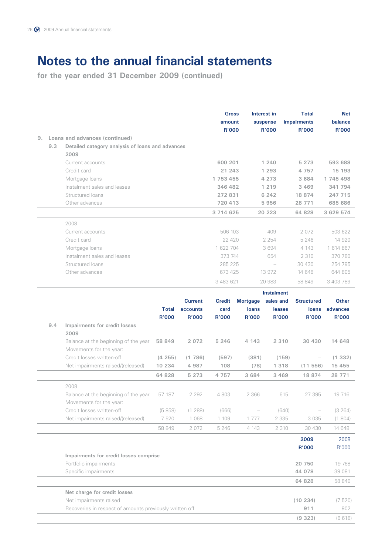|    |     |                                                                 |              |                | <b>Gross</b><br>amount<br><b>R'000</b> |                   | Interest in<br>suspense<br><b>R'000</b> | <b>Total</b><br><b>impairments</b><br><b>R'000</b> | <b>Net</b><br>balance<br><b>R'000</b> |
|----|-----|-----------------------------------------------------------------|--------------|----------------|----------------------------------------|-------------------|-----------------------------------------|----------------------------------------------------|---------------------------------------|
| 9. |     | Loans and advances (continued)                                  |              |                |                                        |                   |                                         |                                                    |                                       |
|    | 9.3 | Detailed category analysis of loans and advances                |              |                |                                        |                   |                                         |                                                    |                                       |
|    |     | 2009                                                            |              |                |                                        |                   |                                         |                                                    |                                       |
|    |     | Current accounts                                                |              |                | 600 201                                |                   | 1 240                                   | 5 2 7 3                                            | 593 688                               |
|    |     | Credit card                                                     |              |                | 21 243                                 |                   | 1 2 9 3                                 | 4757                                               | 15 193                                |
|    |     | Mortgage loans                                                  |              |                | 1 753 455                              |                   | 4 2 7 3                                 | 3 6 8 4                                            | 1 745 498                             |
|    |     | Instalment sales and leases                                     |              |                | 346 482                                |                   | 1 2 1 9                                 | 3 4 6 9                                            | 341 794                               |
|    |     | Structured loans                                                |              |                | 272 831                                |                   | 6 24 2                                  | 18 874                                             | 247 715                               |
|    |     | Other advances                                                  |              |                | 720 413                                |                   | 5956                                    | 28 771                                             | 685 686                               |
|    |     |                                                                 |              |                | 3 714 625                              |                   | 20 223                                  | 64 828                                             | 3 629 574                             |
|    |     | 2008                                                            |              |                |                                        |                   |                                         |                                                    |                                       |
|    |     | Current accounts                                                |              |                | 506 103                                |                   | 409                                     | 2072                                               | 503 622                               |
|    |     | Credit card<br>Mortgage loans                                   |              |                | 22 4 20                                |                   | 2 2 5 4                                 | 5 2 4 6                                            | 14 920<br>1 614 867                   |
|    |     | Instalment sales and leases                                     |              |                | 1 622 704<br>373 744                   |                   | 3694<br>654                             | 4 1 4 3<br>2 3 1 0                                 | 370 780                               |
|    |     | Structured loans                                                |              |                | 285 225                                |                   |                                         | 30 430                                             | 254 795                               |
|    |     | Other advances                                                  |              |                | 673 425                                |                   | 13 972                                  | 14 648                                             | 644 805                               |
|    |     |                                                                 |              |                | 3 483 621                              |                   | 20 983                                  | 58 849                                             | 3 403 789                             |
|    |     |                                                                 |              |                |                                        |                   |                                         |                                                    |                                       |
|    |     |                                                                 |              | <b>Current</b> | <b>Credit</b>                          | <b>Mortgage</b>   | <b>Instalment</b><br>sales and          | <b>Structured</b>                                  | <b>Other</b>                          |
|    |     |                                                                 | <b>Total</b> | accounts       | card                                   | loans             | leases                                  | loans                                              | advances                              |
|    |     |                                                                 | <b>R'000</b> | <b>R'000</b>   | <b>R'000</b>                           | <b>R'000</b>      | <b>R'000</b>                            | <b>R'000</b>                                       | <b>R'000</b>                          |
|    | 9.4 | Impairments for credit losses<br>2009                           |              |                |                                        |                   |                                         |                                                    |                                       |
|    |     | Balance at the beginning of the year<br>Movements for the year: | 58 849       | 2 0 7 2        | 5 2 4 6                                | 4 143             | 2 3 1 0                                 | 30 430                                             | 14 648                                |
|    |     | Credit losses written-off                                       | (4255)       | (1786)         | (597)                                  | (381)             | (159)                                   |                                                    | (1332)                                |
|    |     | Net impairments raised/(released)                               | 10 234       | 4 9 8 7        | 108                                    | (78)              | 1 3 1 8                                 | (11556)                                            | 15 455                                |
|    |     |                                                                 | 64 828       | 5 2 7 3        | 4757                                   | 3 684             | 3 4 6 9                                 | 18 874                                             | 28 771                                |
|    |     | 2008                                                            |              |                |                                        |                   |                                         |                                                    |                                       |
|    |     | Balance at the beginning of the year<br>Movements for the year: | 57 187       | 2 2 9 2        | 4 803                                  | 2 3 6 6           | 615                                     | 27 395                                             | 19 716                                |
|    |     | Credit losses written-off                                       | (5858)       | (1 288)        | (666)                                  | $\qquad \qquad -$ | (640)                                   | $\hspace{1.0cm} - \hspace{1.0cm}$                  | (3 264)                               |
|    |     | Net impairments raised/(released)                               | 7 5 20       | 1 0 6 8        | 1 109                                  | 1 7 7 7           | 2 3 3 5                                 | 3 0 3 5                                            | (1804)                                |
|    |     |                                                                 | 58 849       | 2072           | 5 2 4 6                                | 4 1 4 3           | 2 3 1 0                                 | 30 430                                             | 14 648                                |
|    |     |                                                                 |              |                |                                        |                   |                                         | 2009<br><b>R'000</b>                               | 2008<br>R'000                         |
|    |     | Impairments for credit losses comprise                          |              |                |                                        |                   |                                         |                                                    |                                       |
|    |     | Portfolio impairments                                           |              |                |                                        |                   |                                         | 20 750                                             | 19 768                                |
|    |     | Specific impairments                                            |              |                |                                        |                   |                                         | 44 078                                             | 39 081                                |
|    |     |                                                                 |              |                |                                        |                   |                                         | 64 828                                             | 58 849                                |
|    |     | Net charge for credit losses                                    |              |                |                                        |                   |                                         |                                                    |                                       |
|    |     | Net impairments raised                                          |              |                |                                        |                   |                                         | (10 234)                                           | (7520)                                |
|    |     | Recoveries in respect of amounts previously written off         |              |                |                                        |                   |                                         | 911                                                | 902                                   |
|    |     |                                                                 |              |                |                                        |                   |                                         | (9323)                                             | (6618)                                |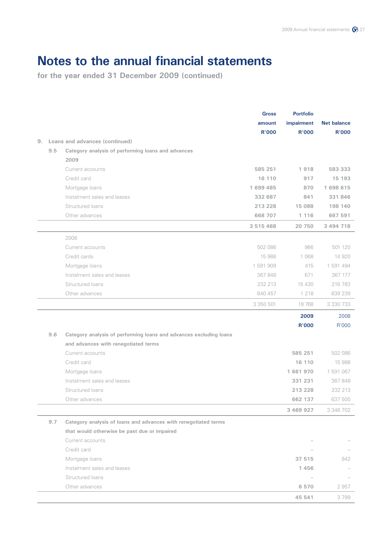| 9. |     | Loans and advances (continued)                                     | <b>Gross</b><br>amount<br><b>R'000</b> | <b>Portfolio</b><br>impairment<br><b>R'000</b> | <b>Net balance</b><br><b>R'000</b> |
|----|-----|--------------------------------------------------------------------|----------------------------------------|------------------------------------------------|------------------------------------|
|    | 9.5 | Category analysis of performing loans and advances                 |                                        |                                                |                                    |
|    |     | 2009                                                               |                                        |                                                |                                    |
|    |     | Current accounts                                                   | 585 251                                | 1918                                           | 583 333                            |
|    |     | Credit card                                                        | 16 110                                 | 917                                            | 15 193                             |
|    |     | Mortgage loans                                                     | 1 699 485                              | 870                                            | 1 698 615                          |
|    |     | Instalment sales and leases                                        | 332 687                                | 841                                            | 331 846                            |
|    |     | Structured loans                                                   | 213 228                                | 15 088                                         | 198 140                            |
|    |     | Other advances                                                     | 668 707                                | 1 1 1 6                                        | 667 591                            |
|    |     |                                                                    | 3 515 468                              | 20 750                                         | 3 494 718                          |
|    |     | 2008                                                               |                                        |                                                |                                    |
|    |     | Current accounts                                                   | 502 086                                | 966                                            | 501 120                            |
|    |     | Credit cards                                                       | 15 988                                 | 1 0 6 8                                        | 14 920                             |
|    |     | Mortgage loans                                                     | 1 591 909                              | 415                                            | 1 591 494                          |
|    |     | Instalment sales and leases                                        | 367 848                                | 671                                            | 367 177                            |
|    |     | Structured loans                                                   | 232 213                                | 15 4 30                                        | 216 783                            |
|    |     | Other advances                                                     | 640 457                                | 1 2 1 8                                        | 639 239                            |
|    |     |                                                                    | 3 350 501                              | 19 768                                         | 3 330 733                          |
|    |     |                                                                    |                                        | 2009                                           | 2008                               |
|    |     |                                                                    |                                        | <b>R'000</b>                                   | R'000                              |
|    | 9.6 | Category analysis of performing loans and advances excluding loans |                                        |                                                |                                    |
|    |     | and advances with renegotiated terms                               |                                        |                                                |                                    |
|    |     | Current accounts                                                   |                                        | 585 251                                        | 502 086                            |
|    |     | Credit card                                                        |                                        | 16 110                                         | 15 988                             |
|    |     | Mortgage loans                                                     |                                        | 1661970                                        | 1 591 067                          |
|    |     | Instalment sales and leases                                        |                                        | 331 231                                        | 367 848                            |
|    |     | Structured loans                                                   |                                        | 213 228                                        | 232 213                            |
|    |     | Other advances                                                     |                                        | 662 137                                        | 637 500                            |
|    |     |                                                                    |                                        | 3 469 927                                      | 3 346 702                          |
|    | 9.7 | Category analysis of loans and advances with renegotiated terms    |                                        |                                                |                                    |
|    |     | that would otherwise be past due or impaired                       |                                        |                                                |                                    |
|    |     | Current accounts                                                   |                                        |                                                |                                    |
|    |     | Credit card                                                        |                                        |                                                |                                    |
|    |     | Mortgage loans                                                     |                                        | 37 515                                         | 842                                |
|    |     | Instalment sales and leases                                        |                                        | 1456                                           |                                    |
|    |     | Structured loans                                                   |                                        |                                                |                                    |
|    |     | Other advances                                                     |                                        | 6 570                                          | 2957                               |
|    |     |                                                                    |                                        | 45 541                                         | 3799                               |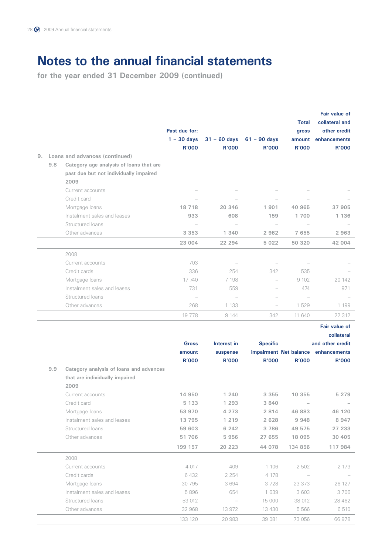|     |                                         |                          |                          |                 | <b>Total</b>           | Fair value of<br>collateral and |
|-----|-----------------------------------------|--------------------------|--------------------------|-----------------|------------------------|---------------------------------|
|     |                                         | Past due for:            |                          |                 | gross                  | other credit                    |
|     |                                         | $1 - 30$ days            | $31 - 60$ days           | $61 - 90$ days  | amount                 | enhancements                    |
|     |                                         | <b>R'000</b>             | <b>R'000</b>             | <b>R'000</b>    | <b>R'000</b>           | <b>R'000</b>                    |
|     | 9. Loans and advances (continued)       |                          |                          |                 |                        |                                 |
| 9.8 | Category age analysis of loans that are |                          |                          |                 |                        |                                 |
|     | past due but not individually impaired  |                          |                          |                 |                        |                                 |
|     | 2009                                    |                          |                          |                 |                        |                                 |
|     | Current accounts                        |                          |                          |                 |                        |                                 |
|     | Credit card                             |                          |                          |                 |                        |                                 |
|     | Mortgage loans                          | 18 718                   | 20 346                   | 1901            | 40 965                 | 37 905                          |
|     | Instalment sales and leases             | 933                      | 608                      | 159             | 1700                   | 1 1 3 6                         |
|     | Structured loans                        |                          | $\overline{\phantom{0}}$ |                 |                        |                                 |
|     | Other advances                          | 3 3 5 3                  | 1 340                    | 2 9 6 2         | 7 655                  | 2963                            |
|     |                                         | 23 004                   | 22 294                   | 5 0 2 2         | 50 320                 | 42 004                          |
|     | 2008                                    |                          |                          |                 |                        |                                 |
|     | Current accounts                        | 703                      |                          |                 |                        |                                 |
|     | Credit cards                            | 336                      | 254                      | 342             | 535                    |                                 |
|     | Mortgage loans                          | 17 740                   | 7 198                    |                 | 9 1 0 2                | 20 142                          |
|     | Instalment sales and leases             | 731                      | 559                      |                 | 474                    | 971                             |
|     | Structured loans                        | $\overline{\phantom{a}}$ | $\overline{\phantom{0}}$ |                 |                        |                                 |
|     | Other advances                          | 268                      | 1 1 3 3                  |                 | 1 529                  | 1 199                           |
|     |                                         | 19778                    | 9 1 4 4                  | 342             | 11 640                 | 22 312                          |
|     |                                         |                          |                          |                 |                        | <b>Fair value of</b>            |
|     |                                         |                          |                          |                 |                        | collateral                      |
|     |                                         | <b>Gross</b>             | Interest in              | <b>Specific</b> |                        | and other credit                |
|     |                                         | amount                   | suspense                 |                 | impairment Net balance | enhancements                    |
|     |                                         | R'000                    | <b>R'000</b>             | <b>R'000</b>    | <b>R'000</b>           | <b>R'000</b>                    |
| 9.9 | Category analysis of loans and advances |                          |                          |                 |                        |                                 |
|     | that are individually impaired          |                          |                          |                 |                        |                                 |
|     | 2009                                    |                          |                          |                 |                        |                                 |
|     | Current accounts                        | 14 950                   | 1 240                    | 3 3 5 5         | 10 355                 | 5 2 7 9                         |
|     | Credit card                             | 5 1 3 3                  | 1 2 9 3                  | 3 840           |                        |                                 |
|     | Mortgage loans                          | 53 970                   | 4 2 7 3                  | 2 8 1 4         | 46 883                 | 46 120                          |
|     | Instalment sales and leases             | 13 7 9 5                 | 1 2 1 9                  | 2 6 2 8         | 9948                   | 8 9 4 7                         |
|     | Structured loans                        | 59 603                   | 6 24 2                   | 3786            | 49 575                 | 27 233                          |
|     | Other advances                          | 51 706                   | 5956                     | 27 655          | 18 095                 | 30 405                          |
|     |                                         | 199 157                  | 20 223                   | 44 078          | 134 856                | 117 984                         |
|     | 2008                                    |                          |                          |                 |                        |                                 |
|     | Current accounts                        | 4 0 1 7                  | 409                      | 1 106           | 2 502                  | 2 173                           |
|     | Credit cards                            | 6 4 3 2                  | 2 2 5 4                  | 4 178           |                        |                                 |
|     | Mortgage loans                          | 30 795                   | 3694                     | 3728            | 23 373                 | 26 127                          |
|     | Instalment sales and leases             | 5896                     | 654                      | 1 639           | 3 603                  | 3706                            |
|     | Structured loans                        | 53 012                   |                          | 15 000          | 38 012                 | 28 4 6 2                        |
|     | Other advances                          | 32 968                   | 13 972                   | 13 4 30         | 5 5 6 6                | 6510                            |
|     |                                         |                          |                          |                 |                        |                                 |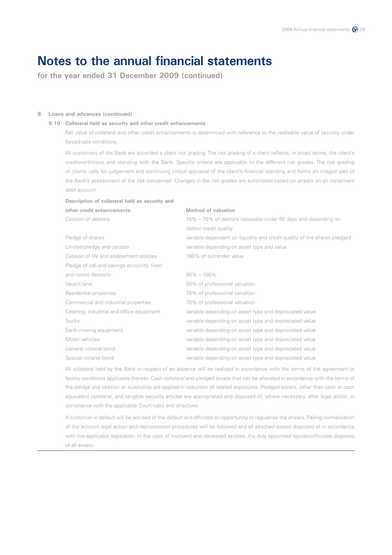**for the year ended 31 December 2009 (continued)**

### **9. Loans and advances (continued)**

### **9.10 Collateral held as security and other credit enhancements**

 Fair value of collateral and other credit enhancements is determined with reference to the realisable value of security under forced-sale conditions.

 All customers of the Bank are accorded a client risk grading. The risk grading of a client reflects, in broad terms, the client's creditworthiness and standing with the Bank. Specific criteria are applicable to the different risk grades. The risk grading of clients calls for judgement and continuing critical appraisal of the client's financial standing and forms an integral part of the Bank's assessment of the risk concerned. Changes in the risk grades are automated based on arrears on an instalment debt account.

| Description of collateral held as security and |                                                                          |  |  |  |
|------------------------------------------------|--------------------------------------------------------------------------|--|--|--|
| other credit enhancements                      | Method of valuation                                                      |  |  |  |
| Cession of debtors                             | 15% – 75% of debtors repayable under 90 days and depending on            |  |  |  |
|                                                | debtor credit quality                                                    |  |  |  |
| Pledge of shares                               | variable dependent on liquidity and credit quality of the shares pledged |  |  |  |
| Limited pledge and cession                     | variable depending on asset type and value                               |  |  |  |
| Cession of life and endowment policies         | 100% of surrender value                                                  |  |  |  |
| Pledge of call and savings accounts, fixed     |                                                                          |  |  |  |
| and notice deposits                            | $90\% - 100\%$                                                           |  |  |  |
| Vacant land                                    | 50% of professional valuation                                            |  |  |  |
| Residential properties                         | 75% of professional valuation                                            |  |  |  |
| Commercial and industrial properties           | 70% of professional valuation                                            |  |  |  |
| Catering, industrial and office equipment      | variable depending on asset type and depreciated value                   |  |  |  |
| Trucks                                         | variable depending on asset type and depreciated value                   |  |  |  |
| Earth moving equipment                         | variable depending on asset type and depreciated value                   |  |  |  |
| Motor vehicles                                 | variable depending on asset type and depreciated value                   |  |  |  |
| General notarial bond                          | variable depending on asset type and depreciated value                   |  |  |  |
| Special notarial bond                          | variable depending on asset type and depreciated value                   |  |  |  |

 All collateral held by the Bank in respect of an advance will be realised in accordance with the terms of the agreement or facility conditions applicable thereto. Cash collateral and pledged assets that can be allocated in accordance with the terms of the pledge and cession or suretyship are applied in reduction of related exposures. Pledged assets, other than cash or cash equivalent collateral, and tangible security articles are appropriated and disposed of, where necessary, after legal action, in compliance with the applicable Court rules and directives.

 A customer in default will be advised of the default and afforded an opportunity to regularise the arrears. Failing normalisation of the account legal action and repossession procedures will be followed and all attached assets disposed of in accordance with the applicable legislation. In the case of insolvent and deceased estates, the duly appointed liquidator/trustee disposes of all assets.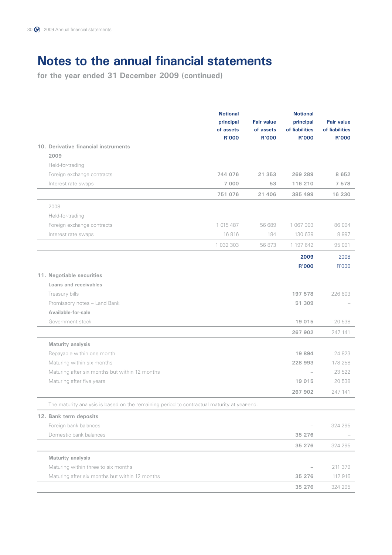|                                                                                             | <b>Notional</b><br>principal<br>of assets<br><b>R'000</b> | <b>Fair value</b><br>of assets<br>R'000 | <b>Notional</b><br>principal<br>of liabilities<br><b>R'000</b> | <b>Fair value</b><br>of liabilities<br><b>R'000</b> |
|---------------------------------------------------------------------------------------------|-----------------------------------------------------------|-----------------------------------------|----------------------------------------------------------------|-----------------------------------------------------|
| 10. Derivative financial instruments                                                        |                                                           |                                         |                                                                |                                                     |
| 2009                                                                                        |                                                           |                                         |                                                                |                                                     |
| Held-for-trading                                                                            |                                                           |                                         |                                                                |                                                     |
| Foreign exchange contracts                                                                  | 744 076                                                   | 21 353                                  | 269 289                                                        | 8 6 5 2                                             |
| Interest rate swaps                                                                         | 7 000                                                     | 53                                      | 116 210                                                        | 7 5 7 8                                             |
|                                                                                             | 751 076                                                   | 21 406                                  | 385 499                                                        | 16 230                                              |
| 2008                                                                                        |                                                           |                                         |                                                                |                                                     |
| Held-for-trading                                                                            |                                                           |                                         |                                                                |                                                     |
| Foreign exchange contracts                                                                  | 1 015 487                                                 | 56 689                                  | 1 067 003                                                      | 86 094                                              |
| Interest rate swaps                                                                         | 16816                                                     | 184                                     | 130 639                                                        | 8997                                                |
|                                                                                             | 1 032 303                                                 | 56 873                                  | 1 197 642                                                      | 95 091                                              |
|                                                                                             |                                                           |                                         | 2009                                                           | 2008                                                |
|                                                                                             |                                                           |                                         | <b>R'000</b>                                                   | R'000                                               |
| 11. Negotiable securities                                                                   |                                                           |                                         |                                                                |                                                     |
| Loans and receivables                                                                       |                                                           |                                         |                                                                |                                                     |
| Treasury bills                                                                              |                                                           |                                         | 197 578                                                        | 226 603                                             |
| Promissory notes - Land Bank                                                                |                                                           |                                         | 51 309                                                         |                                                     |
| Available-for-sale                                                                          |                                                           |                                         |                                                                |                                                     |
| Government stock                                                                            |                                                           |                                         | 19 0 15                                                        | 20 538                                              |
|                                                                                             |                                                           |                                         | 267 902                                                        | 247 141                                             |
| Maturity analysis                                                                           |                                                           |                                         |                                                                |                                                     |
| Repayable within one month                                                                  |                                                           |                                         | 19 894                                                         | 24 823                                              |
| Maturing within six months                                                                  |                                                           |                                         | 228 993                                                        | 178 258                                             |
| Maturing after six months but within 12 months                                              |                                                           |                                         | $\overbrace{\phantom{12322111}}$                               | 23 522                                              |
| Maturing after five years                                                                   |                                                           |                                         | 19 015                                                         | 20 538                                              |
|                                                                                             |                                                           |                                         | 267 902                                                        | 247 141                                             |
| The maturity analysis is based on the remaining period to contractual maturity at year-end. |                                                           |                                         |                                                                |                                                     |
| 12. Bank term deposits                                                                      |                                                           |                                         |                                                                |                                                     |
| Foreign bank balances                                                                       |                                                           |                                         |                                                                | 324 295                                             |
| Domestic bank balances                                                                      |                                                           |                                         | 35 276                                                         |                                                     |
|                                                                                             |                                                           |                                         | 35 276                                                         | 324 295                                             |
| Maturity analysis                                                                           |                                                           |                                         |                                                                |                                                     |
| Maturing within three to six months                                                         |                                                           |                                         |                                                                | 211 379                                             |
| Maturing after six months but within 12 months                                              |                                                           |                                         | 35 276                                                         | 112 916                                             |
|                                                                                             |                                                           |                                         | 35 276                                                         | 324 295                                             |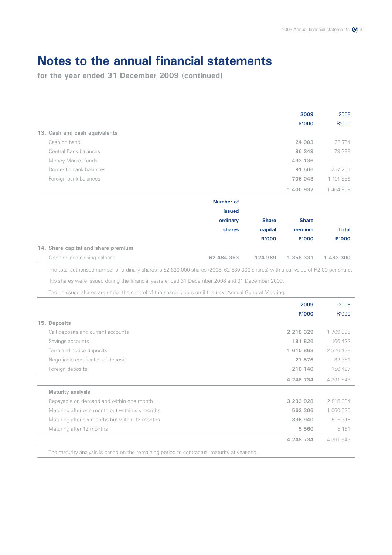**for the year ended 31 December 2009 (continued)**

|                               | 2009         | 2008      |
|-------------------------------|--------------|-----------|
|                               | <b>R'000</b> | R'000     |
| 13. Cash and cash equivalents |              |           |
| Cash on hand                  | 24 003       | 26 764    |
| Central Bank balances         | 86 249       | 79 388    |
| Money Market funds            | 493 136      |           |
| Domestic bank balances        | 91 506       | 257 251   |
| Foreign bank balances         | 706 043      | 1 101 556 |
|                               | 1400937      | 1464959   |

|                                     | <b>Number of</b><br>issued |              |              |              |
|-------------------------------------|----------------------------|--------------|--------------|--------------|
|                                     | ordinary                   | <b>Share</b> | <b>Share</b> |              |
|                                     | shares                     | capital      | premium      | <b>Total</b> |
|                                     |                            | <b>R'000</b> | <b>R'000</b> | <b>R'000</b> |
| 14. Share capital and share premium |                            |              |              |              |
| Opening and closing balance         | 62 484 353                 | 124 969      | 1 358 331    | 1 483 300    |

The total authorised number of ordinary shares is 62 630 000 shares (2008: 62 630 000 shares) with a par value of R2.00 per share.

No shares were issued during the financial years ended 31 December 2008 and 31 December 2009.

The unissued shares are under the control of the shareholders until the next Annual General Meeting.

|                                                | 2009         | 2008      |
|------------------------------------------------|--------------|-----------|
|                                                | <b>R'000</b> | R'000     |
| 15. Deposits                                   |              |           |
| Call deposits and current accounts             | 2 218 329    | 1709895   |
| Savings accounts                               | 181826       | 166 422   |
| Term and notice deposits                       | 1610863      | 2 326 438 |
| Negotiable certificates of deposit             | 27 576       | 32 361    |
| Foreign deposits                               | 210 140      | 156 427   |
|                                                | 4 248 734    | 4 391 543 |
| <b>Maturity analysis</b>                       |              |           |
| Repayable on demand and within one month       | 3 283 928    | 2 818 034 |
| Maturing after one month but within six months | 562 306      | 1 060 030 |
| Maturing after six months but within 12 months | 396 940      | 505318    |
| Maturing after 12 months                       | 5 5 6 0      | 8 1 6 1   |
|                                                | 4 248 734    | 4 391 543 |

The maturity analysis is based on the remaining period to contractual maturity at year-end.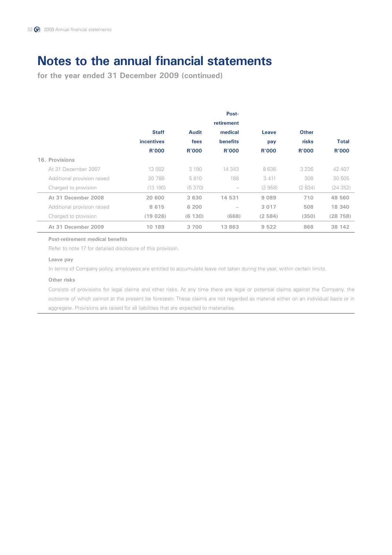**for the year ended 31 December 2009 (continued)**

|                             |                   |              | Post-        |              |              |              |
|-----------------------------|-------------------|--------------|--------------|--------------|--------------|--------------|
|                             |                   |              | retirement   |              |              |              |
|                             | <b>Staff</b>      | <b>Audit</b> | medical      | Leave        | <b>Other</b> |              |
|                             | <i>incentives</i> | fees         | benefits     | pay          | risks        | <b>Total</b> |
|                             | <b>R'000</b>      | <b>R'000</b> | <b>R'000</b> | <b>R'000</b> | <b>R'000</b> | <b>R'000</b> |
| 16. Provisions              |                   |              |              |              |              |              |
| At 31 December 2007         | 13 002            | 3 1 9 0      | 14 343       | 8 636        | 3 2 3 6      | 42 407       |
| Additional provision raised | 20788             | 5810         | 188          | 3 4 1 1      | 308          | 30 505       |
| Charged to provision        | (13190)           | (5370)       |              | (2958)       | (2834)       | (24352)      |
| At 31 December 2008         | 20 600            | 3 6 3 0      | 14 531       | 9 0 8 9      | 710          | 48 560       |
| Additional provision raised | 8615              | 6 200        |              | 3 0 1 7      | 508          | 18 340       |
| Charged to provision        | (19026)           | (6 130)      | (668)        | (2584)       | (350)        | (28758)      |
| At 31 December 2009         | 10 189            | 3 700        | 13 863       | 9 5 2 2      | 868          | 38 142       |

### **Post-retirement medical benefits**

Refer to note 17 for detailed disclosure of this provision.

### **Leave pay**

In terms of Company policy, employees are entitled to accumulate leave not taken during the year, within certain limits.

### **Other risks**

 Consists of provisions for legal claims and other risks. At any time there are legal or potential claims against the Company, the outcome of which cannot at the present be foreseen. These claims are not regarded as material either on an individual basis or in aggregate. Provisions are raised for all liabilities that are expected to materialise.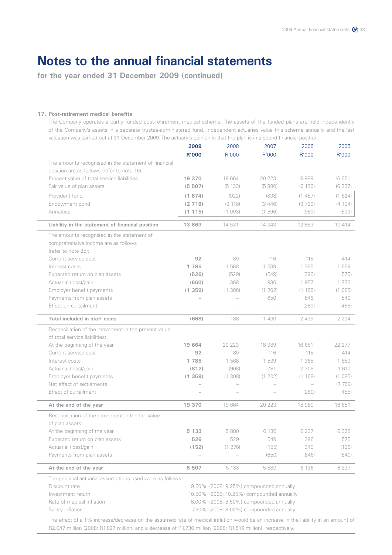**for the year ended 31 December 2009 (continued)**

### **17. Post-retirement medical benefits**

 The Company operates a partly funded post-retirement medical scheme. The assets of the funded plans are held independently of the Company's assets in a separate trustee-administered fund. Independent actuaries value this scheme annually and the last valuation was carried out at 31 December 2009. The actuary's opinion is that the plan is in a sound financial position.

|                                                           | 2009<br><b>R'000</b> | 2008<br>R'000                             | 2007<br>R'000 | 2006<br>R'000            | 2005<br>R'000 |
|-----------------------------------------------------------|----------------------|-------------------------------------------|---------------|--------------------------|---------------|
| The amounts recognised in the statement of financial      |                      |                                           |               |                          |               |
| position are as follows (refer to note 16):               |                      |                                           |               |                          |               |
| Present value of total service liabilities                | 19 370               | 19 664                                    | 20 223        | 18 989                   | 16 651        |
| Fair value of plan assets                                 | (5 507)              | (5 133)                                   | (5880)        | (6136)                   | (6237)        |
| Provident fund                                            | (1674)               | (922)                                     | (838)         | (1457)                   | (1624)        |
| Endowment bond                                            | (2718)               | (3 118)                                   | (3446)        | (3729)                   | (4 104)       |
| Annuities                                                 | (1115)               | (1093)                                    | (1596)        | (950)                    | (509)         |
| Liability in the statement of financial position          | 13 863               | 14 531                                    | 14 343        | 12 853                   | 10 414        |
| The amounts recognised in the statement of                |                      |                                           |               |                          |               |
| comprehensive income are as follows                       |                      |                                           |               |                          |               |
| (refer to note 25):                                       |                      |                                           |               |                          |               |
| Current service cost                                      | 92                   | 89                                        | 116           | 115                      | 414           |
| Interest costs                                            | 1785                 | 1 568                                     | 1 539         | 1 3 6 5                  | 1 659         |
| Expected return on plan assets                            | (526)                | (529)                                     | (549)         | (396)                    | (575)         |
| Actuarial (loss)/gain                                     | (660)                | 368                                       | 936           | 1957                     | 1736          |
| Employer benefit payments                                 | (1359)               | (1308)                                    | (1 202)       | (1 168)                  | (1085)        |
| Payments from plan assets                                 |                      |                                           | 650           | 846                      | 540           |
| Effect on curtailment                                     |                      |                                           |               | (280)                    | (455)         |
| Total included in staff costs                             | (668)                | 188                                       | 1490          | 2 4 3 9                  | 2 2 3 4       |
| Reconciliation of the movement in the present value       |                      |                                           |               |                          |               |
| of total service liabilities:                             |                      |                                           |               |                          |               |
| At the beginning of the year                              | 19 664               | 20 223                                    | 18 989        | 16 651                   | 22 277        |
| Current service cost                                      | 92                   | 89                                        | 116           | 115                      | 414           |
| Interest costs                                            | 1785                 | 1568                                      | 1 539         | 1 3 6 5                  | 1 659         |
| Actuarial (loss)/gain                                     | (812)                | (908)                                     | 781           | 2 3 0 6                  | 1 6 1 0       |
| Employer benefit payments                                 | (1359)               | (1308)                                    | (1 202)       | (1 168)                  | (1085)        |
| Net effect of settlements                                 |                      | $\overline{\phantom{0}}$                  |               | $\overline{\phantom{0}}$ | (7769)        |
| Effect of curtailment                                     |                      |                                           |               | (280)                    | (455)         |
| At the end of the year                                    | 19 370               | 19 664                                    | 20 223        | 18 989                   | 16 651        |
| Reconciliation of the movement in the fair value          |                      |                                           |               |                          |               |
| of plan assets:                                           |                      |                                           |               |                          |               |
| At the beginning of the year                              | 5 1 3 3              | 5880                                      | 6 1 3 6       | 6 2 3 7                  | 6328          |
| Expected return on plan assets                            | 526                  | 529                                       | 549           | 396                      | 575           |
| Actuarial (loss)/gain                                     | (152)                | (1 276)                                   | (155)         | 349                      | (126)         |
| Payments from plan assets                                 |                      |                                           | (650)         | (846)                    | (540)         |
| At the end of the year                                    | 5 507                | 5 1 3 3                                   | 5880          | 6 1 3 6                  | 6 2 3 7       |
| The principal actuarial assumptions used were as follows: |                      |                                           |               |                          |               |
| Discount rate                                             |                      | 9.50% (2008: 9.25%) compounded annually   |               |                          |               |
| Investment return                                         |                      | 10.50% (2008: 10.25%) compounded annually |               |                          |               |
| Rate of medical inflation                                 |                      | 8.00% (2008: 8.50%) compounded annually   |               |                          |               |
|                                                           |                      |                                           |               |                          |               |

 The effect of a 1% increase/decrease on the assumed rate of medical inflation would be an increase in the liability in an amount of R2.047 million (2008: R1.827 million) and a decrease of R1.730 million (2008: R1.516 million), respectively.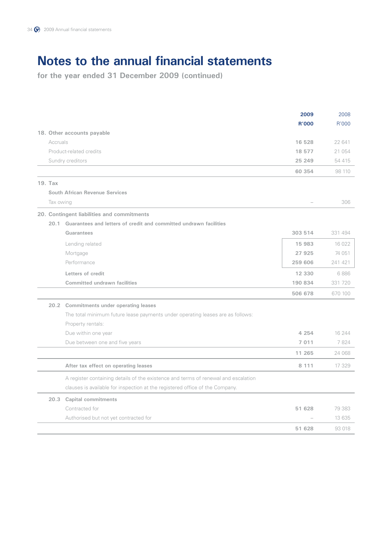|           |                                                                                    | 2009         | 2008    |
|-----------|------------------------------------------------------------------------------------|--------------|---------|
|           |                                                                                    | <b>R'000</b> | R'000   |
|           | 18. Other accounts payable                                                         |              |         |
| Accruals  |                                                                                    | 16 528       | 22 641  |
|           | Product-related credits                                                            | 18 577       | 21 054  |
|           | Sundry creditors                                                                   | 25 249       | 54 415  |
|           |                                                                                    | 60 354       | 98 110  |
| 19. Tax   |                                                                                    |              |         |
|           | <b>South African Revenue Services</b>                                              |              |         |
| Tax owing |                                                                                    |              | 306     |
|           | 20. Contingent liabilities and commitments                                         |              |         |
| 20.1      | Guarantees and letters of credit and committed undrawn facilities                  |              |         |
|           | Guarantees                                                                         | 303 514      | 331 494 |
|           | Lending related                                                                    | 15 983       | 16 0 22 |
|           | Mortgage                                                                           | 27925        | 74 051  |
|           | Performance                                                                        | 259 606      | 241 421 |
|           | Letters of credit                                                                  | 12 330       | 6886    |
|           | <b>Committed undrawn facilities</b>                                                | 190 834      | 331 720 |
|           |                                                                                    | 506 678      | 670 100 |
|           | 20.2 Commitments under operating leases                                            |              |         |
|           | The total minimum future lease payments under operating leases are as follows:     |              |         |
|           | Property rentals:                                                                  |              |         |
|           | Due within one year                                                                | 4 2 5 4      | 16 244  |
|           | Due between one and five years                                                     | 7 0 1 1      | 7824    |
|           |                                                                                    | 11 265       | 24 068  |
|           | After tax effect on operating leases                                               | 8 1 1 1      | 17 329  |
|           | A register containing details of the existence and terms of renewal and escalation |              |         |
|           | clauses is available for inspection at the registered office of the Company.       |              |         |
| 20.3      | <b>Capital commitments</b>                                                         |              |         |
|           | Contracted for                                                                     | 51 628       | 79 383  |
|           | Authorised but not yet contracted for                                              |              | 13 635  |
|           |                                                                                    | 51 628       | 93 018  |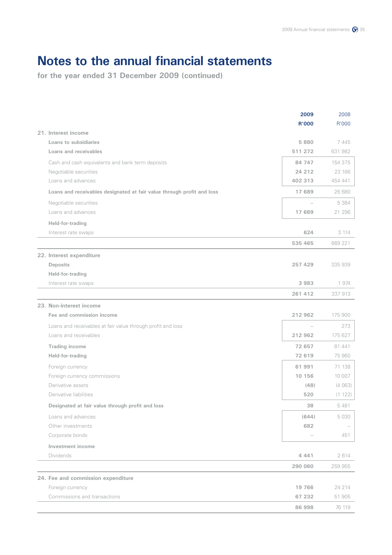|                                                                        | 2009         | 2008    |
|------------------------------------------------------------------------|--------------|---------|
| 21. Interest income                                                    | <b>R'000</b> | R'000   |
| Loans to subsidiaries                                                  | 5880         | 7445    |
| Loans and receivables                                                  | 511 272      | 631 982 |
| Cash and cash equivalents and bank term deposits                       | 84 747       | 154 375 |
| Negotiable securities                                                  | 24 212       | 23 166  |
| Loans and advances                                                     | 402 313      | 454 441 |
| Loans and receivables designated at fair value through profit and loss | 17 689       | 26 680  |
| Negotiable securities                                                  |              | 5 3 8 4 |
| Loans and advances                                                     | 17 689       | 21 296  |
| Held-for-trading                                                       |              |         |
| Interest rate swaps                                                    | 624          | 3 1 1 4 |
|                                                                        | 535 465      | 669 221 |
| 22. Interest expenditure                                               |              |         |
| <b>Deposits</b>                                                        | 257 429      | 335 939 |
| Held-for-trading                                                       |              |         |
| Interest rate swaps                                                    | 3983         | 1974    |
|                                                                        | 261 412      | 337 913 |
| 23. Non-interest income                                                |              |         |
| Fee and commission income                                              | 212 962      | 175 900 |
| Loans and receivables at fair value through profit and loss            |              | 273     |
| Loans and receivables                                                  | 212 962      | 175 627 |
| <b>Trading income</b>                                                  | 72 657       | 81 441  |
| Held-for-trading                                                       | 72 619       | 75 960  |
| Foreign currency                                                       | 61991        | 71 138  |
| Foreign currency commissions                                           | 10 156       | 10 007  |
| Derivative assets                                                      | (48)         | (4063)  |
| Derivative liabilities                                                 | 520          | (1 122) |
| Designated at fair value through profit and loss                       | 38           | 5481    |
| Loans and advances                                                     | (644)        | 5 0 3 0 |
| Other investments                                                      | 682          |         |
| Corporate bonds                                                        |              | 451     |
| Investment income                                                      |              |         |
| Dividends                                                              | 4 4 4 1      | 2614    |
|                                                                        | 290 060      | 259 955 |
| 24. Fee and commission expenditure                                     |              |         |
| Foreign currency                                                       | 19 766       | 24 214  |
| Commissions and transactions                                           | 67 232       | 51 905  |
|                                                                        | 86 998       | 76 119  |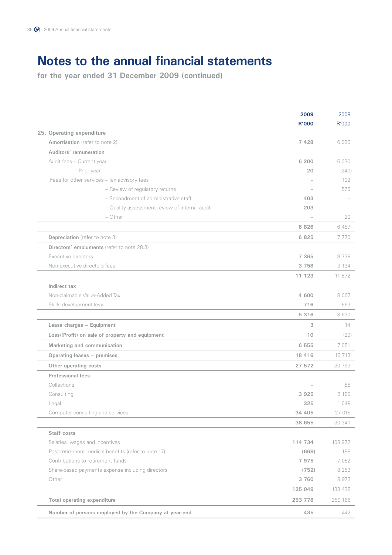|                                                       | 2009         | 2008    |
|-------------------------------------------------------|--------------|---------|
|                                                       | <b>R'000</b> | R'000   |
| 25. Operating expenditure                             |              |         |
| Amortisation (refer to note 2)                        | 7428         | 6086    |
| Auditors' remuneration                                |              |         |
| Audit fees - Current year                             | 6 200        | 6030    |
| - Prior year                                          | 20           | (240)   |
| Fees for other services - Tax advisory fees           |              | 102     |
| - Review of regulatory returns                        |              | 575     |
| - Secondment of administrative staff                  | 403          |         |
| - Quality assessment review of internal audit         | 203          |         |
| - Other                                               |              | 20      |
|                                                       | 6 8 2 6      | 6487    |
| <b>Depreciation</b> (refer to note 3)                 | 6825         | 7770    |
| Directors' emoluments (refer to note 28.3)            |              |         |
| Executive directors                                   | 7 3 6 5      | 8738    |
| Non-executive directors fees                          | 3 7 5 8      | 3 1 3 4 |
|                                                       | 11 123       | 11 872  |
| Indirect tax                                          |              |         |
| Non-claimable Value-Added Tax                         | 4 600        | 8 0 6 7 |
| Skills development levy                               | 716          | 563     |
|                                                       | 5 3 1 6      | 8630    |
| Lease charges - Equipment                             | 3            | 14      |
| Loss/(Profit) on sale of property and equipment       | 10           | (29)    |
| Marketing and communication                           | 6 5 5 5      | 7051    |
| Operating leases - premises                           | 18 4 16      | 16 7 13 |
| Other operating costs                                 | 27 572       | 30 793  |
| <b>Professional fees</b>                              |              |         |
| Collections                                           |              | 88      |
| Consulting                                            | 3925         | 2 1 8 9 |
| Legal                                                 | 325          | 1 0 4 9 |
| Computer consulting and services                      | 34 405       | 27 015  |
|                                                       | 38 655       | 30 341  |
| Staff costs                                           |              |         |
| Salaries wages and incentives                         | 114 734      | 108 972 |
| Post-retirement medical benefits (refer to note 17)   | (668)        | 188     |
| Contributions to retirement funds                     | 7975         | 7052    |
| Share-based payments expense including directors      | (752)        | 8 2 5 3 |
| Other                                                 | 3 7 6 0      | 8973    |
|                                                       | 125 049      | 133 438 |
| <b>Total operating expenditure</b>                    | 253 778      | 259 166 |
|                                                       |              |         |
| Number of persons employed by the Company at year-end | 435          | 442     |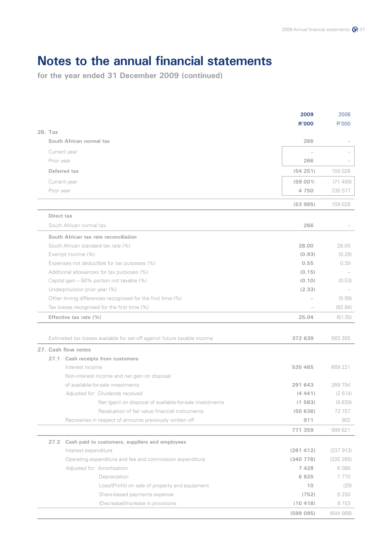|              |                                                                                                            | 2009<br><b>R'000</b> | 2008<br>R'000 |
|--------------|------------------------------------------------------------------------------------------------------------|----------------------|---------------|
| 26. Tax      |                                                                                                            |                      |               |
|              | South African normal tax                                                                                   | 266                  |               |
| Current year |                                                                                                            |                      |               |
| Prior year   |                                                                                                            | 266                  |               |
|              | Deferred tax                                                                                               | (54251)              | 159 028       |
| Current year |                                                                                                            | (59001)              | (71489)       |
| Prior year   |                                                                                                            | 4 7 5 0              | 230 517       |
|              |                                                                                                            | (53985)              | 159 028       |
| Direct tax   |                                                                                                            |                      |               |
|              | South African normal tax                                                                                   | 266                  |               |
|              | South African tax rate reconciliation                                                                      |                      |               |
|              | South African standard tax rate (%)                                                                        | 28.00                | 28.00         |
|              | Exempt income (%)                                                                                          | (0.93)               | (0.28)        |
|              | Expenses not deductible for tax purposes (%)                                                               | 0.55                 | 0.39          |
|              | Additional allowances for tax purposes (%)                                                                 | (0.15)               |               |
|              | Capital gain - 50% portion not taxable (%)                                                                 | (0.10)               | (0.53)        |
|              | Underprovision prior year (%)                                                                              | (2.33)               | (5.99)        |
|              | Other timing differences recognised for the first time (%)<br>Tax losses recognised for the first time (%) |                      | (82.94)       |
|              | Effective tax rate (%)                                                                                     | 25.04                | (61.35)       |
|              |                                                                                                            |                      |               |
|              | Estimated tax losses available for set-off against future taxable income                                   | 372 639              | 563 355       |
|              | 27. Cash flow notes                                                                                        |                      |               |
|              | 27.1 Cash receipts from customers                                                                          |                      |               |
|              | Interest income                                                                                            | 535 465              | 669 221       |
|              | Non-interest income and net gain on disposal                                                               |                      |               |
|              | of available-for-sale investments                                                                          | 291 643              | 269 794       |
|              | Adjusted for: Dividends received                                                                           | (4441)               | (2 614)       |
|              | Net (gain) on disposal of available-for-sale investments                                                   | (1583)               | (9839)        |
|              | Revaluation of fair value financial instruments                                                            | (50636)              | 72 157        |
|              | Recoveries in respect of amounts previously written off                                                    | 911                  | 902           |
|              |                                                                                                            | 771 359              | 999 621       |
| 27.2         | Cash paid to customers, suppliers and employees                                                            |                      |               |
|              | Interest expenditure                                                                                       | (261 412)            | (337913)      |
|              | Operating expenditure and fee and commission expenditure                                                   | (340 776)            | (335 285)     |
|              | Adjusted for: Amortisation                                                                                 | 7428                 | 6086          |
|              | Depreciation                                                                                               | 6825                 | 7770          |
|              | Loss/(Profit) on sale of property and equipment                                                            | 10                   | (29)          |
|              | Share-based payments expense                                                                               | (752)                | 8 2 5 0       |
|              | (Decrease)/Increase in provisions                                                                          | (10418)              | 6 153         |
|              |                                                                                                            | (599 095)            | (644968)      |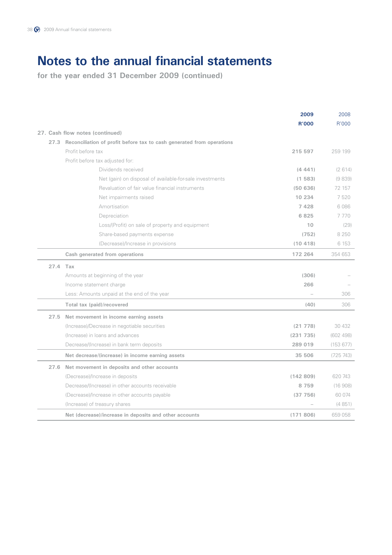|          |                                                                       | 2009         | 2008       |
|----------|-----------------------------------------------------------------------|--------------|------------|
|          |                                                                       | <b>R'000</b> | R'000      |
|          | 27. Cash flow notes (continued)                                       |              |            |
| 27.3     | Reconciliation of profit before tax to cash generated from operations |              |            |
|          | Profit before tax                                                     | 215 597      | 259 199    |
|          | Profit before tax adjusted for:                                       |              |            |
|          | Dividends received                                                    | (4441)       | (2614)     |
|          | Net (gain) on disposal of available-for-sale investments              | (1583)       | (9839)     |
|          | Revaluation of fair value financial instruments                       | (50636)      | 72 157     |
|          | Net impairments raised                                                | 10 234       | 7520       |
|          | Amortisation                                                          | 7428         | 6086       |
|          | Depreciation                                                          | 6825         | 7770       |
|          | Loss/(Profit) on sale of property and equipment                       | 10           | (29)       |
|          | Share-based payments expense                                          | (752)        | 8 2 5 0    |
|          | (Decrease)/Increase in provisions                                     | (10418)      | 6 1 5 3    |
|          | Cash generated from operations                                        | 172 264      | 354 653    |
| 27.4 Tax |                                                                       |              |            |
|          | Amounts at beginning of the year                                      | (306)        |            |
|          | Income statement charge                                               | 266          |            |
|          | Less: Amounts unpaid at the end of the year                           |              | 306        |
|          | Total tax (paid)/recovered                                            | (40)         | 306        |
| 27.5     | Net movement in income earning assets                                 |              |            |
|          | (Increase)/Decrease in negotiable securities                          | (21778)      | 30 432     |
|          | (Increase) in loans and advances                                      | (231735)     | (602, 498) |
|          | Decrease/(Increase) in bank term deposits                             | 289 019      | (153677)   |
|          | Net decrease/(increase) in income earning assets                      | 35 506       | (725 743)  |
|          | 27.6 Net movement in deposits and other accounts                      |              |            |
|          | (Decrease)/Increase in deposits                                       | (142809)     | 620 743    |
|          | Decrease/(Increase) in other accounts receivable                      | 8 7 5 9      | (16908)    |
|          | (Decrease)/Increase in other accounts payable                         | (37756)      | 60 0 74    |
|          | (Increase) of treasury shares                                         |              | (4851)     |
|          | Net (decrease)/increase in deposits and other accounts                | (171806)     | 659 058    |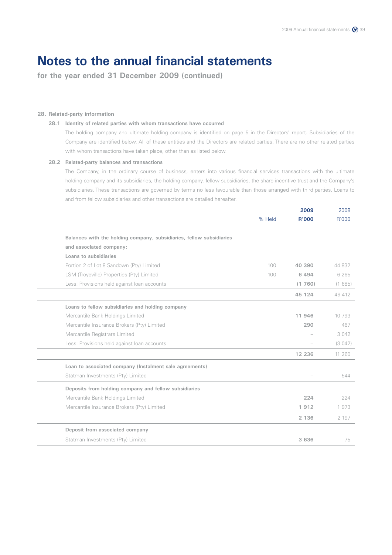**for the year ended 31 December 2009 (continued)**

### **28. Related-party information**

### **28.1 Identity of related parties with whom transactions have occurred**

 The holding company and ultimate holding company is identified on page 5 in the Directors' report. Subsidiaries of the Company are identified below. All of these entities and the Directors are related parties. There are no other related parties with whom transactions have taken place, other than as listed below.

### **28.2 Related-party balances and transactions**

 The Company, in the ordinary course of business, enters into various financial services transactions with the ultimate holding company and its subsidiaries, the holding company, fellow subsidiaries, the share incentive trust and the Company's subsidiaries. These transactions are governed by terms no less favourable than those arranged with third parties. Loans to and from fellow subsidiaries and other transactions are detailed hereafter.

|                                                                      |        | 2009         | 2008    |
|----------------------------------------------------------------------|--------|--------------|---------|
|                                                                      | % Held | <b>R'000</b> | R'000   |
| Balances with the holding company, subsidiaries, fellow subsidiaries |        |              |         |
| and associated company:                                              |        |              |         |
| Loans to subsidiaries                                                |        |              |         |
| Portion 2 of Lot 8 Sandown (Pty) Limited                             | 100    | 40 390       | 44 832  |
| LSM (Troyeville) Properties (Pty) Limited                            | 100    | 6494         | 6 2 6 5 |
| Less: Provisions held against loan accounts                          |        | (1760)       | (1685)  |
|                                                                      |        | 45 124       | 49 412  |
| Loans to fellow subsidiaries and holding company                     |        |              |         |
| Mercantile Bank Holdings Limited                                     |        | 11 946       | 10 793  |
| Mercantile Insurance Brokers (Pty) Limited                           |        | 290          | 467     |
| Mercantile Registrars Limited                                        |        |              | 3 0 4 2 |
| Less: Provisions held against loan accounts                          |        |              | (3042)  |
|                                                                      |        | 12 236       | 11 260  |
| Loan to associated company (Instalment sale agreements)              |        |              |         |
| Statman Investments (Pty) Limited                                    |        |              | 544     |
| Deposits from holding company and fellow subsidiaries                |        |              |         |
| Mercantile Bank Holdings Limited                                     |        | 224          | 224     |
| Mercantile Insurance Brokers (Pty) Limited                           |        | 1912         | 1973    |
|                                                                      |        | 2 1 3 6      | 2 197   |
| Deposit from associated company                                      |        |              |         |
| Statman Investments (Pty) Limited                                    |        | 3 6 3 6      | 75      |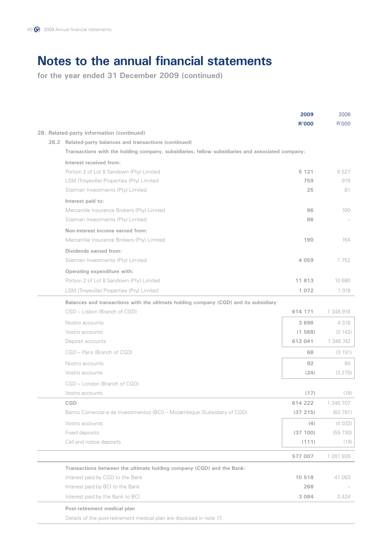**for the year ended 31 December 2009 (continued)**

| R'000<br><b>R'000</b><br>28. Related-party information (continued)<br>28.2 Related-party balances and transactions (continued)<br>Transactions with the holding company, subsidiaries, fellow subsidiaries and associated company:<br>Interest received from:<br>Portion 2 of Lot 8 Sandown (Pty) Limited<br>6527<br>5 1 2 1<br>LSM (Troyeville) Properties (Pty) Limited<br>918<br>759<br>Statman Investments (Pty) Limited<br>25<br>81<br>Interest paid to:<br>Mercantile Insurance Brokers (Pty) Limited<br>96<br>100<br>Statman Investments (Pty) Limited<br>86<br>Non-interest income earned from:<br>Mercantile Insurance Brokers (Pty) Limited<br>164<br>190<br>Dividends earned from:<br>Statman Investments (Pty) Limited<br>4 0 5 9<br>1752<br>Operating expenditure with:<br>Portion 2 of Lot 8 Sandown (Pty) Limited<br>11 813<br>10 680 |
|------------------------------------------------------------------------------------------------------------------------------------------------------------------------------------------------------------------------------------------------------------------------------------------------------------------------------------------------------------------------------------------------------------------------------------------------------------------------------------------------------------------------------------------------------------------------------------------------------------------------------------------------------------------------------------------------------------------------------------------------------------------------------------------------------------------------------------------------------|
|                                                                                                                                                                                                                                                                                                                                                                                                                                                                                                                                                                                                                                                                                                                                                                                                                                                      |
|                                                                                                                                                                                                                                                                                                                                                                                                                                                                                                                                                                                                                                                                                                                                                                                                                                                      |
|                                                                                                                                                                                                                                                                                                                                                                                                                                                                                                                                                                                                                                                                                                                                                                                                                                                      |
|                                                                                                                                                                                                                                                                                                                                                                                                                                                                                                                                                                                                                                                                                                                                                                                                                                                      |
|                                                                                                                                                                                                                                                                                                                                                                                                                                                                                                                                                                                                                                                                                                                                                                                                                                                      |
|                                                                                                                                                                                                                                                                                                                                                                                                                                                                                                                                                                                                                                                                                                                                                                                                                                                      |
|                                                                                                                                                                                                                                                                                                                                                                                                                                                                                                                                                                                                                                                                                                                                                                                                                                                      |
|                                                                                                                                                                                                                                                                                                                                                                                                                                                                                                                                                                                                                                                                                                                                                                                                                                                      |
|                                                                                                                                                                                                                                                                                                                                                                                                                                                                                                                                                                                                                                                                                                                                                                                                                                                      |
|                                                                                                                                                                                                                                                                                                                                                                                                                                                                                                                                                                                                                                                                                                                                                                                                                                                      |
|                                                                                                                                                                                                                                                                                                                                                                                                                                                                                                                                                                                                                                                                                                                                                                                                                                                      |
|                                                                                                                                                                                                                                                                                                                                                                                                                                                                                                                                                                                                                                                                                                                                                                                                                                                      |
|                                                                                                                                                                                                                                                                                                                                                                                                                                                                                                                                                                                                                                                                                                                                                                                                                                                      |
|                                                                                                                                                                                                                                                                                                                                                                                                                                                                                                                                                                                                                                                                                                                                                                                                                                                      |
|                                                                                                                                                                                                                                                                                                                                                                                                                                                                                                                                                                                                                                                                                                                                                                                                                                                      |
|                                                                                                                                                                                                                                                                                                                                                                                                                                                                                                                                                                                                                                                                                                                                                                                                                                                      |
| LSM (Troyeville) Properties (Pty) Limited                                                                                                                                                                                                                                                                                                                                                                                                                                                                                                                                                                                                                                                                                                                                                                                                            |
| 1 0 7 2<br>1 0 1 8                                                                                                                                                                                                                                                                                                                                                                                                                                                                                                                                                                                                                                                                                                                                                                                                                                   |
| Balances and transactions with the ultimate holding company (CGD) and its subsidiary:                                                                                                                                                                                                                                                                                                                                                                                                                                                                                                                                                                                                                                                                                                                                                                |
| CGD - Lisbon (Branch of CGD)<br>614 171<br>1 348 916                                                                                                                                                                                                                                                                                                                                                                                                                                                                                                                                                                                                                                                                                                                                                                                                 |
| 4 3 1 6<br>Nostro accounts<br>3 6 9 8                                                                                                                                                                                                                                                                                                                                                                                                                                                                                                                                                                                                                                                                                                                                                                                                                |
| Vostro accounts<br>(1568)<br>(2 142)                                                                                                                                                                                                                                                                                                                                                                                                                                                                                                                                                                                                                                                                                                                                                                                                                 |
| 1 346 742<br>Deposit accounts<br>612 041                                                                                                                                                                                                                                                                                                                                                                                                                                                                                                                                                                                                                                                                                                                                                                                                             |
| CGD - Paris (Branch of CGD)<br>68<br>(3 191)                                                                                                                                                                                                                                                                                                                                                                                                                                                                                                                                                                                                                                                                                                                                                                                                         |
| 92<br>84<br>Nostro accounts                                                                                                                                                                                                                                                                                                                                                                                                                                                                                                                                                                                                                                                                                                                                                                                                                          |
| Vostro accounts<br>(24)<br>(3 275)                                                                                                                                                                                                                                                                                                                                                                                                                                                                                                                                                                                                                                                                                                                                                                                                                   |
| CGD - London (Branch of CGD)                                                                                                                                                                                                                                                                                                                                                                                                                                                                                                                                                                                                                                                                                                                                                                                                                         |
| Vostro accounts<br>(17)<br>(18)                                                                                                                                                                                                                                                                                                                                                                                                                                                                                                                                                                                                                                                                                                                                                                                                                      |
| CGD<br>614 222<br>1 345 707                                                                                                                                                                                                                                                                                                                                                                                                                                                                                                                                                                                                                                                                                                                                                                                                                          |
| Banco Comercial e de Investimentos (BCI) - Mozambique (Subsidiary of CGD)<br>(37 215)<br>(63781)                                                                                                                                                                                                                                                                                                                                                                                                                                                                                                                                                                                                                                                                                                                                                     |
| Vostro accounts<br>(4032)<br>(4)                                                                                                                                                                                                                                                                                                                                                                                                                                                                                                                                                                                                                                                                                                                                                                                                                     |
| Fixed deposits<br>(37 100)<br>(59730)                                                                                                                                                                                                                                                                                                                                                                                                                                                                                                                                                                                                                                                                                                                                                                                                                |
| Call and notice deposits<br>(111)<br>(19)                                                                                                                                                                                                                                                                                                                                                                                                                                                                                                                                                                                                                                                                                                                                                                                                            |
| 577 007<br>1 281 926                                                                                                                                                                                                                                                                                                                                                                                                                                                                                                                                                                                                                                                                                                                                                                                                                                 |
| Transactions between the ultimate holding company (CGD) and the Bank:                                                                                                                                                                                                                                                                                                                                                                                                                                                                                                                                                                                                                                                                                                                                                                                |
| Interest paid by CGD to the Bank<br>10 518<br>41 063                                                                                                                                                                                                                                                                                                                                                                                                                                                                                                                                                                                                                                                                                                                                                                                                 |
| Interest paid by BCI to the Bank<br>268                                                                                                                                                                                                                                                                                                                                                                                                                                                                                                                                                                                                                                                                                                                                                                                                              |
| Interest paid by the Bank to BCI<br>3 0 8 4<br>3 4 2 4                                                                                                                                                                                                                                                                                                                                                                                                                                                                                                                                                                                                                                                                                                                                                                                               |
| Post-retirement medical plan                                                                                                                                                                                                                                                                                                                                                                                                                                                                                                                                                                                                                                                                                                                                                                                                                         |

Details of the post-retirement medical plan are disclosed in note 17.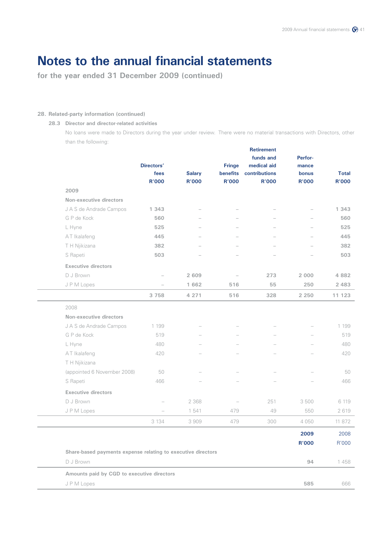**for the year ended 31 December 2009 (continued)**

### **28. Related-party information (continued)**

### **28.3 Director and director-related activities**

 No loans were made to Directors during the year under review. There were no material transactions with Directors, other than the following:

| 2009                                                         | Directors'<br>fees<br><b>R'000</b> | <b>Salary</b><br><b>R'000</b> | <b>Fringe</b><br><b>benefits</b><br>R'000 | <b>Retirement</b><br>funds and<br>medical aid<br>contributions<br>R'000 | Perfor-<br>mance<br>bonus<br><b>R'000</b> | <b>Total</b><br>R'000 |
|--------------------------------------------------------------|------------------------------------|-------------------------------|-------------------------------------------|-------------------------------------------------------------------------|-------------------------------------------|-----------------------|
| Non-executive directors                                      |                                    |                               |                                           |                                                                         |                                           |                       |
| J A S de Andrade Campos                                      | 1 343                              |                               |                                           |                                                                         |                                           | 1 343                 |
| G P de Kock                                                  | 560                                |                               |                                           |                                                                         |                                           | 560                   |
| L Hyne                                                       | 525                                |                               |                                           |                                                                         |                                           | 525                   |
| AT Ikalafeng                                                 | 445                                |                               |                                           |                                                                         |                                           | 445                   |
| T H Njikizana                                                | 382                                |                               |                                           |                                                                         |                                           | 382                   |
| S Rapeti                                                     | 503                                |                               |                                           |                                                                         |                                           | 503                   |
| <b>Executive directors</b>                                   |                                    |                               |                                           |                                                                         |                                           |                       |
| D J Brown                                                    |                                    | 2 609                         |                                           | 273                                                                     | 2 0 0 0                                   | 4 8 8 2               |
| JPM Lopes                                                    |                                    | 1 662                         | 516                                       | 55                                                                      | 250                                       | 2 4 8 3               |
|                                                              | 3 7 5 8                            | 4 2 7 1                       | 516                                       | 328                                                                     | 2 2 5 0                                   | 11 123                |
| 2008                                                         |                                    |                               |                                           |                                                                         |                                           |                       |
| Non-executive directors                                      |                                    |                               |                                           |                                                                         |                                           |                       |
| J A S de Andrade Campos                                      | 1 199                              |                               |                                           |                                                                         |                                           | 1 199                 |
| G P de Kock                                                  | 519                                |                               |                                           |                                                                         |                                           | 519                   |
| L Hyne                                                       | 480                                |                               |                                           |                                                                         |                                           | 480                   |
| AT Ikalafeng                                                 | 420                                |                               |                                           |                                                                         |                                           | 420                   |
| T H Njikizana                                                |                                    |                               |                                           |                                                                         |                                           |                       |
| (appointed 6 November 2008)                                  | 50                                 |                               |                                           |                                                                         |                                           | 50                    |
| S Rapeti                                                     | 466                                |                               |                                           |                                                                         |                                           | 466                   |
| <b>Executive directors</b>                                   |                                    |                               |                                           |                                                                         |                                           |                       |
| D J Brown                                                    |                                    | 2 3 6 8                       |                                           | 251                                                                     | 3500                                      | 6 119                 |
| JPM Lopes                                                    |                                    | 1 541                         | 479                                       | 49                                                                      | 550                                       | 2619                  |
|                                                              | 3 1 3 4                            | 3909                          | 479                                       | 300                                                                     | 4 0 5 0                                   | 11 872                |
|                                                              |                                    |                               |                                           |                                                                         | 2009                                      | 2008                  |
|                                                              |                                    |                               |                                           |                                                                         | <b>R'000</b>                              | R'000                 |
| Share-based payments expense relating to executive directors |                                    |                               |                                           |                                                                         |                                           |                       |
| D J Brown                                                    |                                    |                               |                                           |                                                                         | 94                                        | 1458                  |
| Amounts paid by CGD to executive directors                   |                                    |                               |                                           |                                                                         |                                           |                       |
| JPM Lopes                                                    |                                    |                               |                                           |                                                                         | 585                                       | 666                   |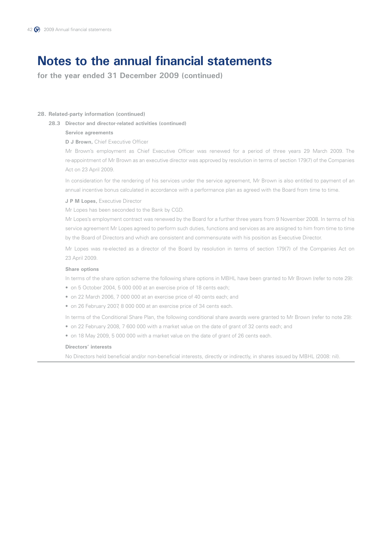**for the year ended 31 December 2009 (continued)**

### **28. Related-party information (continued)**

**28.3 Director and director-related activities (continued)**

### **Service agreements**

### **D J Brown, Chief Executive Officer**

 Mr Brown's employment as Chief Executive Officer was renewed for a period of three years 29 March 2009. The re-appointment of Mr Brown as an executive director was approved by resolution in terms of section 179(7) of the Companies Act on 23 April 2009.

 In consideration for the rendering of his services under the service agreement, Mr Brown is also entitled to payment of an annual incentive bonus calculated in accordance with a performance plan as agreed with the Board from time to time.

#### **J P M Lopes,** Executive Director

Mr Lopes has been seconded to the Bank by CGD.

 Mr Lopes's employment contract was renewed by the Board for a further three years from 9 November 2008. In terms of his service agreement Mr Lopes agreed to perform such duties, functions and services as are assigned to him from time to time by the Board of Directors and which are consistent and commensurate with his position as Executive Director.

 Mr Lopes was re-elected as a director of the Board by resolution in terms of section 179(7) of the Companies Act on 23 April 2009.

### **Share options**

In terms of the share option scheme the following share options in MBHL have been granted to Mr Brown (refer to note 29):

- on 5 October 2004, 5 000 000 at an exercise price of 18 cents each;
- on 22 March 2006, 7 000 000 at an exercise price of 40 cents each; and
- on 26 February 2007, 8 000 000 at an exercise price of 34 cents each.

In terms of the Conditional Share Plan, the following conditional share awards were granted to Mr Brown (refer to note 29):

- on 22 February 2008, 7 600 000 with a market value on the date of grant of 32 cents each; and
- on 18 May 2009, 5 000 000 with a market value on the date of grant of 26 cents each.

### **Directors' interests**

No Directors held beneficial and/or non-beneficial interests, directly or indirectly, in shares issued by MBHL (2008: nil).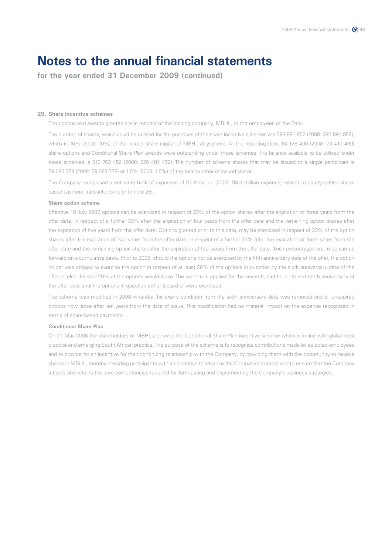**for the year ended 31 December 2009 (continued)**

#### **29. Share incentive schemes**

The options and awards granted are in respect of the holding company, MBHL, to the employees of the Bank.

 The number of shares, which could be utilised for the purposes of the share incentive schemes are 393 891 852 (2008: 393 891 852), which is 10% (2008: 10%) of the issued share capital of MBHL at year-end. At the reporting date, 83 128 400 (2008: 73 410 400) share options and Conditional Share Plan awards were outstanding under these schemes. The balance available to be utilised under these schemes is 310 763 452 (2008: 320 481 452). The number of scheme shares that may be issued to a single participant is 59 083 778 (2008: 59 083 778) or 1.5% (2008: 1.5%) of the total number of issued shares.

 The Company recognised a net write back of expenses of R0.8 million (2008: R8.3 million expense) related to equity-settled sharebased payment transactions (refer to note 25).

### **Share option scheme**

 Effective 18 July 2007, options can be exercised in respect of 33% of the option shares after the expiration of three years from the offer date, in respect of a further 33% after the expiration of four years from the offer date and the remaining option shares after the expiration of five years from the offer date. Options granted prior to this date, may be exercised in respect of 33% of the option shares after the expiration of two years from the offer date, in respect of a further 33% after the expiration of three years from the offer date and the remaining option shares after the expiration of four years from the offer date. Such percentages are to be carried forward on a cumulative basis. Prior to 2008, should the options not be exercised by the fifth anniversary date of the offer, the option holder was obliged to exercise the option in respect of at least 20% of the options in question by the sixth anniversary date of the offer or else the said 20% of the options would lapse. The same rule applied for the seventh, eighth, ninth and tenth anniversary of the offer date until the options in question either lapsed or were exercised.

 The scheme was modified in 2008 whereby the expiry condition from the sixth anniversary date was removed and all unexpired options now lapse after ten years from the date of issue. This modification had no material impact on the expense recognised in terms of share-based payments.

### **Conditional Share Plan**

 On 27 May 2008 the shareholders of MBHL approved the Conditional Share Plan incentive scheme which is in line with global best practice and emerging South African practice. The purpose of the scheme is to recognise contributions made by selected employees and to provide for an incentive for their continuing relationship with the Company, by providing them with the opportunity to receive shares in MBHL, thereby providing participants with an incentive to advance the Company's interest and to ensure that the Company attracts and retains the core competencies required for formulating and implementing the Company's business strategies.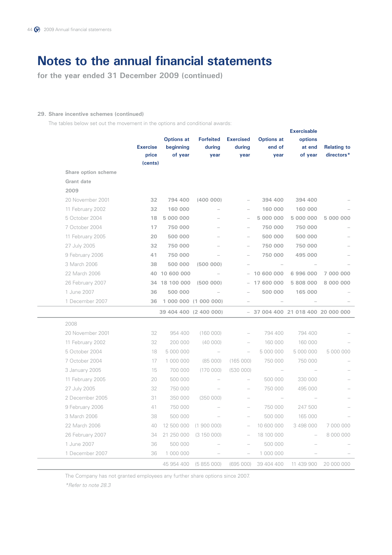**for the year ended 31 December 2009 (continued)**

### **29. Share incentive schemes (continued)**

The tables below set out the movement in the options and conditional awards:

|                     |                  |                   |                        |                          |                   | <b>Exercisable</b>         |                    |
|---------------------|------------------|-------------------|------------------------|--------------------------|-------------------|----------------------------|--------------------|
|                     |                  | <b>Options at</b> | <b>Forfeited</b>       | <b>Exercised</b>         | <b>Options at</b> | options                    |                    |
|                     | <b>Exercise</b>  | beginning         | during                 | during                   | end of            | at end                     | <b>Relating to</b> |
|                     | price<br>(cents) | of year           | year                   | year                     | year              | of year                    | directors*         |
| Share option scheme |                  |                   |                        |                          |                   |                            |                    |
| <b>Grant</b> date   |                  |                   |                        |                          |                   |                            |                    |
| 2009                |                  |                   |                        |                          |                   |                            |                    |
| 20 November 2001    | 32               | 794 400           | (400000)               |                          | 394 400           | 394 400                    |                    |
| 11 February 2002    | 32               | 160 000           |                        | $\overline{a}$           | 160 000           | 160 000                    |                    |
| 5 October 2004      | 18               | 5 000 000         |                        | $\overline{\phantom{a}}$ | 5 000 000         | 5 000 000                  | 5 000 000          |
| 7 October 2004      | 17               | 750 000           |                        | $\overline{\phantom{a}}$ | 750 000           | 750 000                    |                    |
| 11 February 2005    | 20               | 500 000           |                        |                          | 500 000           | 500 000                    |                    |
| 27 July 2005        | 32               | 750 000           |                        |                          | 750 000           | 750 000                    |                    |
| 9 February 2006     | 41               | 750 000           |                        |                          | 750 000           | 495 000                    |                    |
| 3 March 2006        | 38               | 500 000           | (500000)               |                          |                   |                            |                    |
| 22 March 2006       |                  | 40 10 600 000     |                        |                          | 10 600 000        | 6996000                    | 7 000 000          |
| 26 February 2007    |                  | 34 18 100 000     | (500000)               |                          | 17 600 000        | 5 808 000                  | 8 000 000          |
| 1 June 2007         | 36               | 500 000           |                        |                          | 500 000           | 165 000                    |                    |
| 1 December 2007     | 36               |                   | 1 000 000 (1 000 000)  |                          |                   |                            |                    |
|                     |                  |                   | 39 404 400 (2 400 000) |                          |                   | $-37004400210184002000000$ |                    |
| 2008                |                  |                   |                        |                          |                   |                            |                    |
| 20 November 2001    | 32               | 954 400           | (160000)               |                          | 794 400           | 794 400                    |                    |
| 11 February 2002    | 32               | 200 000           | (40000)                |                          | 160 000           | 160 000                    |                    |
| 5 October 2004      | 18               | 5 000 000         |                        | $\overline{\phantom{0}}$ | 5 000 000         | 5 000 000                  | 5 000 000          |
| 7 October 2004      | 17               | 1 000 000         | (85000)                | (165000)                 | 750 000           | 750 000                    |                    |
| 3 January 2005      | 15               | 700 000           | (170000)               | (530000)                 |                   |                            |                    |
| 11 February 2005    | 20               | 500 000           |                        |                          | 500 000           | 330 000                    |                    |
| 27 July 2005        | 32               | 750 000           |                        |                          | 750 000           | 495 000                    |                    |
| 2 December 2005     | 31               | 350 000           | (350000)               |                          |                   |                            |                    |
| 9 February 2006     | 41               | 750 000           |                        |                          | 750 000           | 247 500                    |                    |
| 3 March 2006        | 38               | 500 000           |                        | $\overline{\phantom{0}}$ | 500 000           | 165 000                    |                    |
| 22 March 2006       | 40               | 12 500 000        | (1900000)              | $\overline{\phantom{a}}$ | 10 600 000        | 3 498 000                  | 7 000 000          |
| 26 February 2007    | 34               | 21 250 000        | (3 150 000)            | $\overline{\phantom{0}}$ | 18 100 000        |                            | 8 000 000          |
| 1 June 2007         | 36               | 500 000           |                        |                          | 500 000           |                            |                    |
| 1 December 2007     | 36               | 1 000 000         |                        |                          | 1 000 000         |                            |                    |
|                     |                  | 45 954 400        | (5855000)              | (695000)                 | 39 404 400        | 11 439 900                 | 20 000 000         |

The Company has not granted employees any further share options since 2007.

 *\*Refer to note 28.3*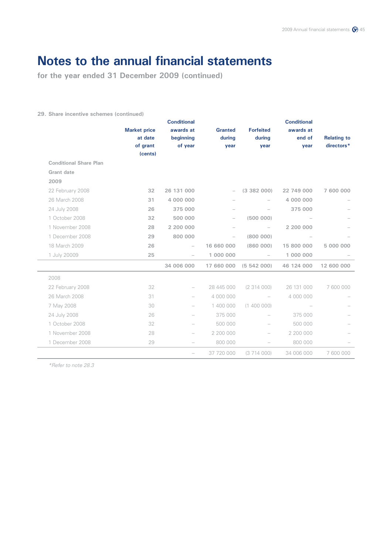**for the year ended 31 December 2009 (continued)**

### **29. Share incentive schemes (continued)**

|                               |                     | <b>Conditional</b>       |                   |                          | <b>Conditional</b> |                    |
|-------------------------------|---------------------|--------------------------|-------------------|--------------------------|--------------------|--------------------|
|                               | <b>Market price</b> | awards at                | <b>Granted</b>    | <b>Forfeited</b>         | awards at          |                    |
|                               | at date             | beginning                | during            | during                   | end of             | <b>Relating to</b> |
|                               | of grant<br>(cents) | of year                  | year              | year                     | year               | directors*         |
| <b>Conditional Share Plan</b> |                     |                          |                   |                          |                    |                    |
| Grant date                    |                     |                          |                   |                          |                    |                    |
| 2009                          |                     |                          |                   |                          |                    |                    |
| 22 February 2008              | 32                  | 26 131 000               | $\qquad \qquad -$ | (3382000)                | 22 749 000         | 7 600 000          |
| 26 March 2008                 | 31                  | 4 000 000                |                   |                          | 4 000 000          |                    |
| 24 July 2008                  | 26                  | 375 000                  |                   |                          | 375 000            |                    |
| 1 October 2008                | 32                  | 500 000                  |                   | (500000)                 |                    |                    |
| 1 November 2008               | 28                  | 2 200 000                |                   |                          | 2 200 000          |                    |
| 1 December 2008               | 29                  | 800 000                  | $\qquad \qquad -$ | (800000)                 |                    |                    |
| 18 March 2009                 | 26                  |                          | 16 660 000        | (860000)                 | 15 800 000         | 5 000 000          |
| 1 July 20009                  | 25                  | $\overline{\phantom{0}}$ | 1 000 000         | $\qquad \qquad -$        | 1 000 000          |                    |
|                               |                     | 34 006 000               | 17 660 000        | (5542000)                | 46 124 000         | 12 600 000         |
| 2008                          |                     |                          |                   |                          |                    |                    |
| 22 February 2008              | 32                  | $\overline{\phantom{0}}$ | 28 445 000        | (2314000)                | 26 131 000         | 7 600 000          |
| 26 March 2008                 | 31                  |                          | 4 000 000         | $\overline{\phantom{0}}$ | 4 000 000          |                    |
| 7 May 2008                    | 30                  | $\overline{\phantom{0}}$ | 1 400 000         | (1400000)                |                    |                    |
| 24 July 2008                  | 26                  |                          | 375 000           |                          | 375 000            |                    |
| 1 October 2008                | 32                  | $\overline{\phantom{0}}$ | 500 000           | $\overline{\phantom{0}}$ | 500 000            |                    |
| 1 November 2008               | 28                  |                          | 2 200 000         |                          | 2 200 000          |                    |
| 1 December 2008               | 29                  |                          | 800 000           |                          | 800 000            |                    |
|                               |                     |                          | 37 720 000        | (3714000)                | 34 006 000         | 7600000            |
|                               |                     |                          |                   |                          |                    |                    |

*\*Refer to note 28.3*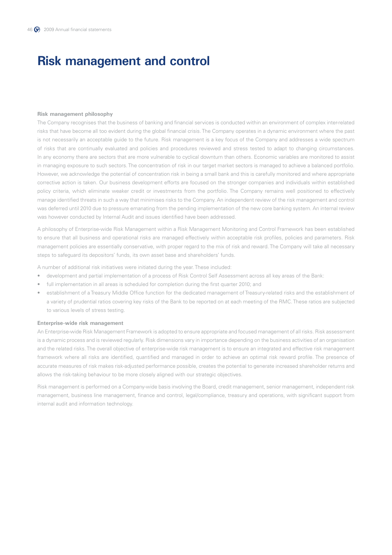## **Risk management and control**

#### **Risk management philosophy**

The Company recognises that the business of banking and financial services is conducted within an environment of complex inter-related risks that have become all too evident during the global financial crisis. The Company operates in a dynamic environment where the past is not necessarily an acceptable guide to the future. Risk management is a key focus of the Company and addresses a wide spectrum of risks that are continually evaluated and policies and procedures reviewed and stress tested to adapt to changing circumstances. In any economy there are sectors that are more vulnerable to cyclical downturn than others. Economic variables are monitored to assist in managing exposure to such sectors. The concentration of risk in our target market sectors is managed to achieve a balanced portfolio. However, we acknowledge the potential of concentration risk in being a small bank and this is carefully monitored and where appropriate corrective action is taken. Our business development efforts are focused on the stronger companies and individuals within established policy criteria, which eliminate weaker credit or investments from the portfolio. The Company remains well positioned to effectively manage identified threats in such a way that minimises risks to the Company. An independent review of the risk management and control was deferred until 2010 due to pressure emanating from the pending implementation of the new core banking system. An internal review was however conducted by Internal Audit and issues identified have been addressed.

A philosophy of Enterprise-wide Risk Management within a Risk Management Monitoring and Control Framework has been established to ensure that all business and operational risks are managed effectively within acceptable risk profiles, policies and parameters. Risk management policies are essentially conservative, with proper regard to the mix of risk and reward. The Company will take all necessary steps to safeguard its depositors' funds, its own asset base and shareholders' funds.

A number of additional risk initiatives were initiated during the year. These included:

- development and partial implementation of a process of Risk Control Self Assessment across all key areas of the Bank:
- full implementation in all areas is scheduled for completion during the first quarter 2010; and
- establishment of a Treasury Middle Office function for the dedicated management of Treasury-related risks and the establishment of a variety of prudential ratios covering key risks of the Bank to be reported on at each meeting of the RMC. These ratios are subjected to various levels of stress testing.

### **Enterprise-wide risk management**

An Enterprise-wide Risk Management Framework is adopted to ensure appropriate and focused management of all risks. Risk assessment is a dynamic process and is reviewed regularly. Risk dimensions vary in importance depending on the business activities of an organisation and the related risks. The overall objective of enterprise-wide risk management is to ensure an integrated and effective risk management framework where all risks are identified, quantified and managed in order to achieve an optimal risk reward profile. The presence of accurate measures of risk makes risk-adjusted performance possible, creates the potential to generate increased shareholder returns and allows the risk-taking behaviour to be more closely aligned with our strategic objectives.

Risk management is performed on a Company-wide basis involving the Board, credit management, senior management, independent risk management, business line management, finance and control, legal/compliance, treasury and operations, with significant support from internal audit and information technology.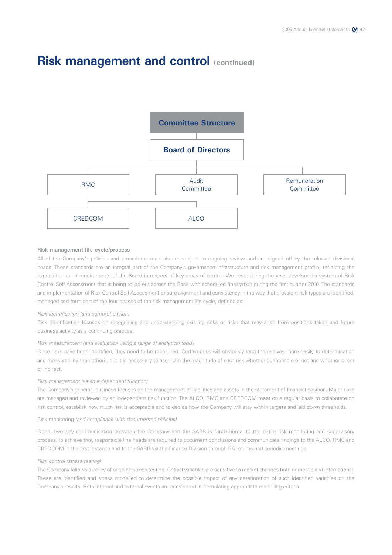

### **Risk management life cycle/process**

All of the Company's policies and procedures manuals are subject to ongoing review and are signed off by the relevant divisional heads. These standards are an integral part of the Company's governance infrastructure and risk management profile, reflecting the expectations and requirements of the Board in respect of key areas of control. We have, during the year, developed a system of Risk Control Self Assessment that is being rolled out across the Bank with scheduled finalisation during the first quarter 2010. The standards and implementation of Risk Control Self Assessment ensure alignment and consistency in the way that prevalent risk types are identified, managed and form part of the four phases of the risk management life cycle, defined as:

#### *Risk identification (and comprehension)*

Risk identification focuses on recognising and understanding existing risks or risks that may arise from positions taken and future business activity as a continuing practice.

### *Risk measurement (and evaluation using a range of analytical tools)*

Once risks have been identified, they need to be measured. Certain risks will obviously lend themselves more easily to determination and measurability than others, but it is necessary to ascertain the magnitude of each risk whether quantifiable or not and whether direct or indirect.

#### *Risk management (as an independent function)*

The Company's principal business focuses on the management of liabilities and assets in the statement of financial position. Major risks are managed and reviewed by an independent risk function. The ALCO, RMC and CREDCOM meet on a regular basis to collaborate on risk control, establish how much risk is acceptable and to decide how the Company will stay within targets and laid down thresholds.

#### Risk monitoring *(and compliance with documented policies)*

Open, two-way communication between the Company and the SARB is fundamental to the entire risk monitoring and supervisory process. To achieve this, responsible line heads are required to document conclusions and communicate findings to the ALCO, RMC and CREDCOM in the first instance and to the SARB via the Finance Division through BA returns and periodic meetings.

### *Risk control (stress testing)*

The Company follows a policy of ongoing stress testing. Critical variables are sensitive to market changes both domestic and international. These are identified and stress modelled to determine the possible impact of any deterioration of such identified variables on the Company's results. Both internal and external events are considered in formulating appropriate modelling criteria.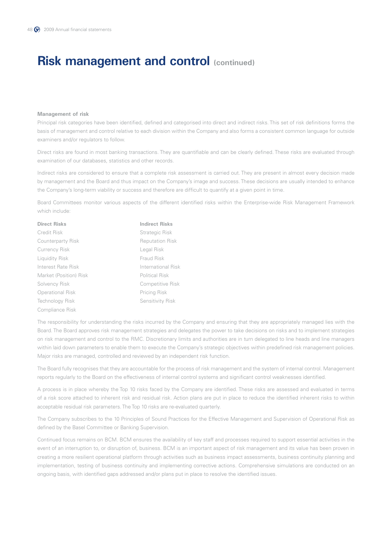#### **Management of risk**

Principal risk categories have been identified, defined and categorised into direct and indirect risks. This set of risk definitions forms the basis of management and control relative to each division within the Company and also forms a consistent common language for outside examiners and/or regulators to follow.

Direct risks are found in most banking transactions. They are quantifiable and can be clearly defined. These risks are evaluated through examination of our databases, statistics and other records.

Indirect risks are considered to ensure that a complete risk assessment is carried out. They are present in almost every decision made by management and the Board and thus impact on the Company's image and success. These decisions are usually intended to enhance the Company's long-term viability or success and therefore are difficult to quantify at a given point in time.

Board Committees monitor various aspects of the different identified risks within the Enterprise-wide Risk Management Framework which include:

| <b>Direct Risks</b>     | <b>Indirect Risks</b>  |
|-------------------------|------------------------|
| Credit Risk             | Strategic Risk         |
| Counterparty Risk       | <b>Reputation Risk</b> |
| <b>Currency Risk</b>    | Legal Risk             |
| Liquidity Risk          | Fraud Risk             |
| Interest Rate Risk      | International Risk     |
| Market (Position) Risk  | <b>Political Risk</b>  |
| Solvency Risk           | Competitive Risk       |
| <b>Operational Risk</b> | Pricing Risk           |
| Technology Risk         | Sensitivity Risk       |
| Compliance Risk         |                        |

The responsibility for understanding the risks incurred by the Company and ensuring that they are appropriately managed lies with the Board. The Board approves risk management strategies and delegates the power to take decisions on risks and to implement strategies on risk management and control to the RMC. Discretionary limits and authorities are in turn delegated to line heads and line managers within laid down parameters to enable them to execute the Company's strategic objectives within predefined risk management policies. Major risks are managed, controlled and reviewed by an independent risk function.

The Board fully recognises that they are accountable for the process of risk management and the system of internal control. Management reports regularly to the Board on the effectiveness of internal control systems and significant control weaknesses identified.

A process is in place whereby the Top 10 risks faced by the Company are identified. These risks are assessed and evaluated in terms of a risk score attached to inherent risk and residual risk. Action plans are put in place to reduce the identified inherent risks to within acceptable residual risk parameters. The Top 10 risks are re-evaluated quarterly.

The Company subscribes to the 10 Principles of Sound Practices for the Effective Management and Supervision of Operational Risk as defined by the Basel Committee or Banking Supervision.

Continued focus remains on BCM. BCM ensures the availability of key staff and processes required to support essential activities in the event of an interruption to, or disruption of, business. BCM is an important aspect of risk management and its value has been proven in creating a more resilient operational platform through activities such as business impact assessments, business continuity planning and implementation, testing of business continuity and implementing corrective actions. Comprehensive simulations are conducted on an ongoing basis, with identified gaps addressed and/or plans put in place to resolve the identified issues.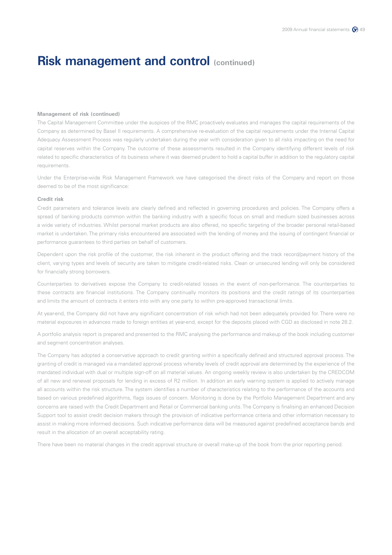#### **Management of risk (continued)**

The Capital Management Committee under the auspices of the RMC proactively evaluates and manages the capital requirements of the Company as determined by Basel II requirements. A comprehensive re-evaluation of the capital requirements under the Internal Capital Adequacy Assessment Process was regularly undertaken during the year with consideration given to all risks impacting on the need for capital reserves within the Company. The outcome of these assessments resulted in the Company identifying different levels of risk related to specific characteristics of its business where it was deemed prudent to hold a capital buffer in addition to the regulatory capital requirements.

Under the Enterprise-wide Risk Management Framework we have categorised the direct risks of the Company and report on those deemed to be of the most significance:

### **Credit risk**

Credit parameters and tolerance levels are clearly defined and reflected in governing procedures and policies. The Company offers a spread of banking products common within the banking industry with a specific focus on small and medium sized businesses across a wide variety of industries. Whilst personal market products are also offered, no specific targeting of the broader personal retail-based market is undertaken. The primary risks encountered are associated with the lending of money and the issuing of contingent financial or performance guarantees to third parties on behalf of customers.

Dependent upon the risk profile of the customer, the risk inherent in the product offering and the track record/payment history of the client, varying types and levels of security are taken to mitigate credit-related risks. Clean or unsecured lending will only be considered for financially strong borrowers.

Counterparties to derivatives expose the Company to credit-related losses in the event of non-performance. The counterparties to these contracts are financial institutions. The Company continually monitors its positions and the credit ratings of its counterparties and limits the amount of contracts it enters into with any one party to within pre-approved transactional limits.

At year-end, the Company did not have any significant concentration of risk which had not been adequately provided for. There were no material exposures in advances made to foreign entities at year-end, except for the deposits placed with CGD as disclosed in note 28.2.

A portfolio analysis report is prepared and presented to the RMC analysing the performance and makeup of the book including customer and segment concentration analyses.

The Company has adopted a conservative approach to credit granting within a specifically defined and structured approval process. The granting of credit is managed via a mandated approval process whereby levels of credit approval are determined by the experience of the mandated individual with dual or multiple sign-off on all material values. An ongoing weekly review is also undertaken by the CREDCOM of all new and renewal proposals for lending in excess of R2 million. In addition an early warning system is applied to actively manage all accounts within the risk structure. The system identifies a number of characteristics relating to the performance of the accounts and based on various predefined algorithms, flags issues of concern. Monitoring is done by the Portfolio Management Department and any concerns are raised with the Credit Department and Retail or Commercial banking units. The Company is finalising an enhanced Decision Support tool to assist credit decision makers through the provision of indicative performance criteria and other information necessary to assist in making more informed decisions. Such indicative performance data will be measured against predefined acceptance bands and result in the allocation of an overall acceptability rating.

There have been no material changes in the credit approval structure or overall make-up of the book from the prior reporting period.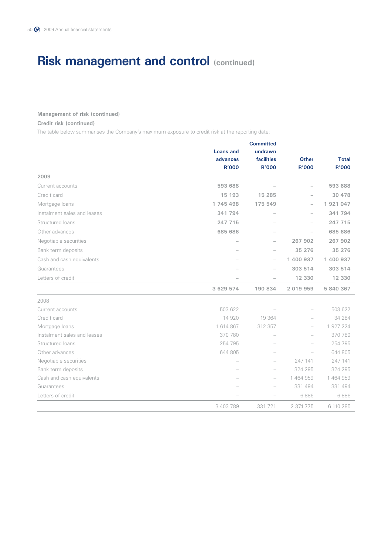### **Management of risk (continued)**

### **Credit risk (continued)**

The table below summarises the Company's maximum exposure to credit risk at the reporting date:

|                             |                  | <b>Committed</b>  |               |              |
|-----------------------------|------------------|-------------------|---------------|--------------|
|                             | <b>Loans and</b> | undrawn           |               |              |
|                             | advances         | <b>facilities</b> | <b>Other</b>  | <b>Total</b> |
|                             | <b>R'000</b>     | <b>R'000</b>      | <b>R'000</b>  | <b>R'000</b> |
| 2009                        |                  |                   |               |              |
| Current accounts            | 593 688          |                   |               | 593 688      |
| Credit card                 | 15 193           | 15 285            |               | 30 478       |
| Mortgage loans              | 1 745 498        | 175 549           |               | 1 921 047    |
| Instalment sales and leases | 341 794          |                   |               | 341 794      |
| Structured loans            | 247 715          |                   |               | 247 715      |
| Other advances              | 685 686          |                   |               | 685 686      |
| Negotiable securities       |                  |                   | 267 902       | 267 902      |
| Bank term deposits          |                  |                   | 35 276        | 35 276       |
| Cash and cash equivalents   |                  |                   | 1 400 937     | 1 400 937    |
| Guarantees                  |                  |                   | 303 514       | 303 514      |
| Letters of credit           |                  |                   | 12 330        | 12 330       |
|                             | 3 629 574        | 190 834           | 2 0 1 9 9 5 9 | 5 840 367    |
| 2008                        |                  |                   |               |              |
| Current accounts            | 503 622          |                   |               | 503 622      |
| Credit card                 | 14 920           | 19 364            |               | 34 284       |
| Mortgage loans              | 1 614 867        | 312 357           |               | 1 927 224    |
| Instalment sales and leases | 370 780          |                   |               | 370 780      |
| Structured loans            | 254 795          |                   |               | 254 795      |
| Other advances              | 644 805          |                   |               | 644 805      |
| Negotiable securities       |                  |                   | 247 141       | 247 141      |
| Bank term deposits          |                  |                   | 324 295       | 324 295      |
| Cash and cash equivalents   |                  |                   | 1464959       | 1464959      |
| Guarantees                  |                  |                   | 331 494       | 331 494      |
| Letters of credit           |                  |                   | 6886          | 6886         |
|                             | 3 403 789        | 331 721           | 2 374 775     | 6 110 285    |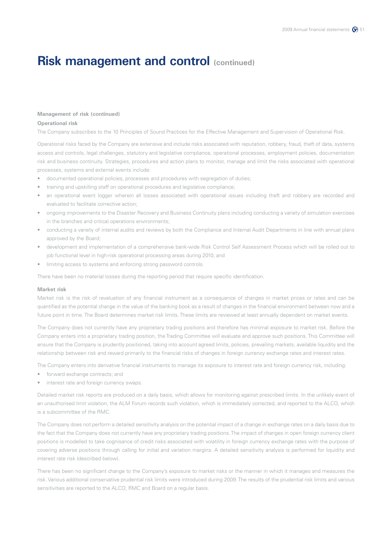### **Management of risk (continued)**

### **Operational risk**

The Company subscribes to the 10 Principles of Sound Practices for the Effective Management and Supervision of Operational Risk.

Operational risks faced by the Company are extensive and include risks associated with reputation, robbery, fraud, theft of data, systems access and controls, legal challenges, statutory and legislative compliance, operational processes, employment policies, documentation risk and business continuity. Strategies, procedures and action plans to monitor, manage and limit the risks associated with operational processes, systems and external events include:

- documented operational policies, processes and procedures with segregation of duties;
- training and upskilling staff on operational procedures and legislative compliance;
- an operational event logger wherein all losses associated with operational issues including theft and robbery are recorded and evaluated to facilitate corrective action;
- ongoing improvements to the Disaster Recovery and Business Continuity plans including conducting a variety of simulation exercises in the branches and critical operations environments;
- conducting a variety of internal audits and reviews by both the Compliance and Internal Audit Departments in line with annual plans approved by the Board;
- development and implementation of a comprehensive bank-wide Risk Control Self Assessment Process which will be rolled out to job functional level in high-risk operational processing areas during 2010; and
- limiting access to systems and enforcing strong password controls.

There have been no material losses during the reporting period that require specific identification.

#### **Market risk**

Market risk is the risk of revaluation of any financial instrument as a consequence of changes in market prices or rates and can be quantified as the potential change in the value of the banking book as a result of changes in the financial environment between now and a future point in time. The Board determines market risk limits. These limits are reviewed at least annually dependent on market events.

The Company does not currently have any proprietary trading positions and therefore has minimal exposure to market risk. Before the Company enters into a proprietary trading position, the Trading Committee will evaluate and approve such positions. This Committee will ensure that the Company is prudently positioned, taking into account agreed limits, policies, prevailing markets, available liquidity and the relationship between risk and reward primarily to the financial risks of changes in foreign currency exchange rates and interest rates.

The Company enters into derivative financial instruments to manage its exposure to interest rate and foreign currency risk, including:

- forward exchange contracts; and
- interest rate and foreign currency swaps.

Detailed market risk reports are produced on a daily basis, which allows for monitoring against prescribed limits. In the unlikely event of an unauthorised limit violation, the ALM Forum records such violation, which is immediately corrected, and reported to the ALCO, which is a subcommittee of the RMC.

The Company does not perform a detailed sensitivity analysis on the potential impact of a change in exchange rates on a daily basis due to the fact that the Company does not currently have any proprietary trading positions. The impact of changes in open foreign currency client positions is modelled to take cognisance of credit risks associated with volatility in foreign currency exchange rates with the purpose of covering adverse positions through calling for initial and variation margins. A detailed sensitivity analysis is performed for liquidity and interest rate risk (described below).

There has been no significant change to the Company's exposure to market risks or the manner in which it manages and measures the risk. Various additional conservative prudential risk limits were introduced during 2009. The results of the prudential risk limits and various sensitivities are reported to the ALCO, RMC and Board on a regular basis.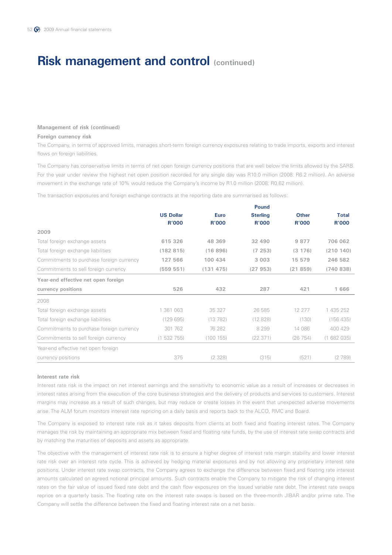### **Management of risk (continued)**

### **Foreign currency risk**

The Company, in terms of approved limits, manages short-term foreign currency exposures relating to trade imports, exports and interest flows on foreign liabilities.

The Company has conservative limits in terms of net open foreign currency positions that are well below the limits allowed by the SARB. For the year under review the highest net open position recorded for any single day was R10.0 million (2008: R6.2 million). An adverse movement in the exchange rate of 10% would reduce the Company's income by R1.0 million (2008: R0.62 million).

The transaction exposures and foreign exchange contracts at the reporting date are summarised as follows:

|                                          |                  |              | <b>Pound</b>    |              |              |
|------------------------------------------|------------------|--------------|-----------------|--------------|--------------|
|                                          | <b>US Dollar</b> | <b>Euro</b>  | <b>Sterling</b> | <b>Other</b> | <b>Total</b> |
|                                          | <b>R'000</b>     | <b>R'000</b> | <b>R'000</b>    | <b>R'000</b> | <b>R'000</b> |
| 2009                                     |                  |              |                 |              |              |
| Total foreign exchange assets            | 615 326          | 48 369       | 32 490          | 9877         | 706 062      |
| Total foreign exchange liabilities       | (182815)         | (16896)      | (7, 253)        | (3176)       | (210140)     |
| Commitments to purchase foreign currency | 127 566          | 100 434      | 3 0 0 3         | 15 579       | 246 582      |
| Commitments to sell foreign currency     | (559 551)        | (131 475)    | (27953)         | (21859)      | (740838)     |
| Year-end effective net open foreign      |                  |              |                 |              |              |
| currency positions                       | 526              | 432          | 287             | 421          | 1666         |
| 2008                                     |                  |              |                 |              |              |
| Total foreign exchange assets            | 1 361 063        | 35 327       | 26 585          | 12 277       | 1 435 252    |
| Total foreign exchange liabilities       | (129695)         | (13782)      | (12828)         | (130)        | (156 435)    |
| Commitments to purchase foreign currency | 301 762          | 76 282       | 8 2 9 9         | 14 086       | 400 429      |
| Commitments to sell foreign currency     | (1532755)        | (100155)     | (22371)         | (26754)      | (1682035)    |
| Year-end effective net open foreign      |                  |              |                 |              |              |
| currency positions                       | 375              | (2328)       | (315)           | (521)        | (2789)       |

### **Interest rate risk**

Interest rate risk is the impact on net interest earnings and the sensitivity to economic value as a result of increases or decreases in interest rates arising from the execution of the core business strategies and the delivery of products and services to customers. Interest margins may increase as a result of such changes, but may reduce or create losses in the event that unexpected adverse movements arise. The ALM forum monitors interest rate repricing on a daily basis and reports back to the ALCO, RMC and Board.

The Company is exposed to interest rate risk as it takes deposits from clients at both fixed and floating interest rates. The Company manages the risk by maintaining an appropriate mix between fixed and floating rate funds, by the use of interest rate swap contracts and by matching the maturities of deposits and assets as appropriate.

The objective with the management of interest rate risk is to ensure a higher degree of interest rate margin stability and lower interest rate risk over an interest rate cycle. This is achieved by hedging material exposures and by not allowing any proprietary interest rate positions. Under interest rate swap contracts, the Company agrees to exchange the difference between fixed and floating rate interest amounts calculated on agreed notional principal amounts. Such contracts enable the Company to mitigate the risk of changing interest rates on the fair value of issued fixed rate debt and the cash flow exposures on the issued variable rate debt. The interest rate swaps reprice on a quarterly basis. The floating rate on the interest rate swaps is based on the three-month JIBAR and/or prime rate. The Company will settle the difference between the fixed and floating interest rate on a net basis.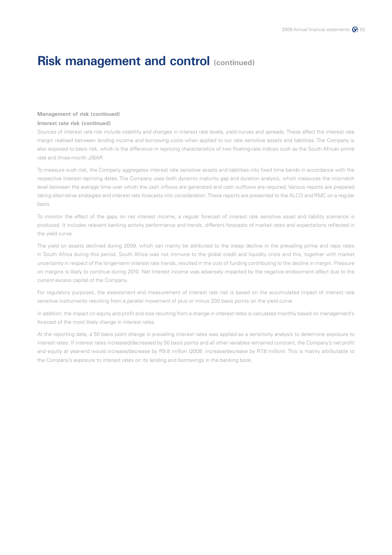### **Management of risk (continued)**

### **Interest rate risk (continued)**

Sources of interest rate risk include volatility and changes in interest rate levels, yield curves and spreads. These affect the interest rate margin realised between lending income and borrowing costs when applied to our rate sensitive assets and liabilities. The Company is also exposed to basis risk, which is the difference in repricing characteristics of two floating-rate indices such as the South African prime rate and three-month JIBAR.

To measure such risk, the Company aggregates interest rate sensitive assets and liabilities into fixed time bands in accordance with the respective interest repricing dates. The Company uses both dynamic maturity gap and duration analysis, which measures the mismatch level between the average time over which the cash inflows are generated and cash outflows are required. Various reports are prepared taking alternative strategies and interest rate forecasts into consideration. These reports are presented to the ALCO and RMC on a regular basis.

To monitor the effect of the gaps on net interest income, a regular forecast of interest rate sensitive asset and liability scenarios is produced. It includes relevant banking activity performance and trends, different forecasts of market rates and expectations reflected in the yield curve.

The yield on assets declined during 2009, which can mainly be attributed to the steep decline in the prevailing prime and repo rates in South Africa during this period. South Africa was not immune to the global credit and liquidity crisis and this, together with market uncertainty in respect of the longer-term interest rate trends, resulted in the cost of funding contributing to the decline in margin. Pressure on margins is likely to continue during 2010. Net interest income was adversely impacted by the negative endowment effect due to the current excess capital of the Company.

For regulatory purposes, the assessment and measurement of interest rate risk is based on the accumulated impact of interest rate sensitive instruments resulting from a parallel movement of plus or minus 200 basis points on the yield curve.

In addition, the impact on equity and profit and loss resulting from a change in interest rates is calculated monthly based on management's forecast of the most likely change in interest rates.

At the reporting date, a 50 basis point change in prevailing interest rates was applied as a sensitivity analysis to determine exposure to interest rates. If interest rates increased/decreased by 50 basis points and all other variables remained constant, the Company's net profit and equity at year-end would increase/decrease by R9.8 million (2008: increase/decrease by R7.8 million). This is mainly attributable to the Company's exposure to interest rates on its lending and borrowings in the banking book.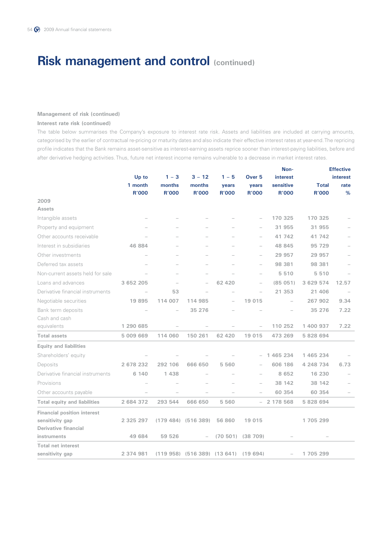### **Management of risk (continued)**

### **Interest rate risk (continued)**

The table below summarises the Company's exposure to interest rate risk. Assets and liabilities are included at carrying amounts, categorised by the earlier of contractual re-pricing or maturity dates and also indicate their effective interest rates at year-end. The repricing profile indicates that the Bank remains asset-sensitive as interest-earning assets reprice sooner than interest-paying liabilities, before and after derivative hedging activities. Thus, future net interest income remains vulnerable to a decrease in market interest rates.

|                                     |              |                          |                                       | Non-         |                          |                 | <b>Effective</b> |                 |  |
|-------------------------------------|--------------|--------------------------|---------------------------------------|--------------|--------------------------|-----------------|------------------|-----------------|--|
|                                     | Up to        | $1 - 3$                  | $3 - 12$                              | $1 - 5$      | Over <sub>5</sub>        | <b>interest</b> |                  | <b>interest</b> |  |
|                                     | 1 month      | months                   | months                                | years        | years                    | sensitive       | <b>Total</b>     | rate            |  |
| 2009                                | <b>R'000</b> | <b>R'000</b>             | <b>R'000</b>                          | <b>R'000</b> | <b>R'000</b>             | <b>R'000</b>    | <b>R'000</b>     | %               |  |
| <b>Assets</b>                       |              |                          |                                       |              |                          |                 |                  |                 |  |
| Intangible assets                   |              |                          |                                       |              |                          | 170 325         | 170 325          |                 |  |
| Property and equipment              |              |                          |                                       |              |                          | 31 955          | 31 955           |                 |  |
| Other accounts receivable           |              |                          |                                       |              |                          | 41 742          | 41 742           |                 |  |
|                                     |              |                          |                                       |              |                          |                 |                  |                 |  |
| Interest in subsidiaries            | 46 884       |                          |                                       |              | $\overline{\phantom{0}}$ | 48 845          | 95 729           |                 |  |
| Other investments                   |              |                          |                                       |              | $\overline{\phantom{a}}$ | 29 957          | 29 957           |                 |  |
| Deferred tax assets                 |              |                          |                                       |              |                          | 98 381          | 98 381           |                 |  |
| Non-current assets held for sale    |              |                          |                                       |              |                          | 5510            | 5510             |                 |  |
| Loans and advances                  | 3 652 205    |                          | $\overline{\phantom{0}}$              | 62 4 20      | $\overline{\phantom{0}}$ | (85051)         | 3 629 574        | 12.57           |  |
| Derivative financial instruments    |              | 53                       |                                       |              |                          | 21 353          | 21 406           |                 |  |
| Negotiable securities               | 19895        | 114 007                  | 114 985                               |              | 19 015                   |                 | 267 902          | 9.34            |  |
| Bank term deposits                  |              | $\overline{\phantom{a}}$ | 35 276                                |              |                          |                 | 35 276           | 7.22            |  |
| Cash and cash                       |              |                          |                                       |              |                          |                 |                  |                 |  |
| equivalents                         | 1 290 685    |                          |                                       |              |                          | 110 252         | 1 400 937        | 7.22            |  |
| <b>Total assets</b>                 | 5 009 669    | 114 060                  | 150 261                               | 62 4 20      | 19 015                   | 473 269         | 5 828 694        |                 |  |
| <b>Equity and liabilities</b>       |              |                          |                                       |              |                          |                 |                  |                 |  |
| Shareholders' equity                |              |                          |                                       |              |                          | 1 465 234       | 1 465 234        |                 |  |
| Deposits                            | 2 678 232    | 292 106                  | 666 650                               | 5 5 6 0      |                          | 606 186         | 4 248 734        | 6.73            |  |
| Derivative financial instruments    | 6 140        | 1438                     |                                       |              |                          | 8 6 5 2         | 16 230           |                 |  |
| Provisions                          |              |                          |                                       |              |                          | 38 142          | 38 142           |                 |  |
| Other accounts payable              |              |                          |                                       |              |                          | 60 354          | 60 354           |                 |  |
| <b>Total equity and liabilities</b> | 2 684 372    | 293 544                  | 666 650                               | 5 5 6 0      | $ \,$                    | 2 178 568       | 5 828 694        |                 |  |
| <b>Financial position interest</b>  |              |                          |                                       |              |                          |                 |                  |                 |  |
| sensitivity gap                     | 2 325 297    |                          | $(179 484)$ $(516 389)$               | 56 860       | 19 015                   |                 | 1705299          |                 |  |
| <b>Derivative financial</b>         |              |                          |                                       |              |                          |                 |                  |                 |  |
| instruments                         | 49 684       | 59 526                   |                                       | (70, 501)    | (38709)                  |                 |                  |                 |  |
| <b>Total net interest</b>           |              |                          |                                       |              |                          |                 |                  |                 |  |
| sensitivity gap                     | 2 374 981    |                          | (119 958) (516 389) (13 641) (19 694) |              |                          |                 | 1 705 299        |                 |  |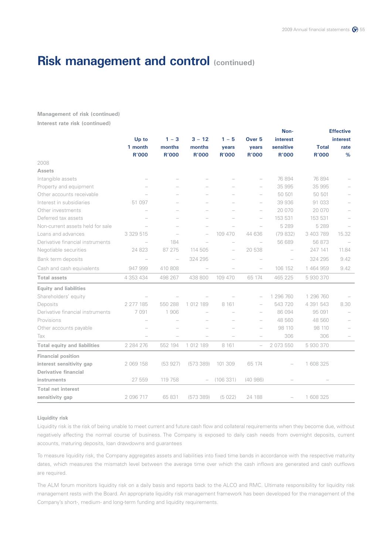**Management of risk (continued) Interest rate risk (continued)**

|                                     |               |                          |              |                          |                          | Non-         | <b>Effective</b> |                 |
|-------------------------------------|---------------|--------------------------|--------------|--------------------------|--------------------------|--------------|------------------|-----------------|
|                                     | Up to         | $1 - 3$                  | $3 - 12$     | $1 - 5$                  | Over <sub>5</sub>        | interest     |                  | <b>interest</b> |
|                                     | 1 month       | months                   | months       | years                    | years                    | sensitive    | <b>Total</b>     | rate            |
|                                     | <b>R'000</b>  | <b>R'000</b>             | <b>R'000</b> | <b>R'000</b>             | <b>R'000</b>             | <b>R'000</b> | <b>R'000</b>     | %               |
| 2008                                |               |                          |              |                          |                          |              |                  |                 |
| <b>Assets</b>                       |               |                          |              |                          |                          |              |                  |                 |
| Intangible assets                   |               |                          |              |                          |                          | 76 894       | 76 894           |                 |
| Property and equipment              |               |                          |              |                          | $\overline{\phantom{0}}$ | 35 995       | 35 995           |                 |
| Other accounts receivable           |               |                          |              |                          | $\overline{\phantom{0}}$ | 50 501       | 50 501           |                 |
| Interest in subsidiaries            | 51 097        |                          |              |                          | $\overline{\phantom{0}}$ | 39 936       | 91 033           |                 |
| Other investments                   |               |                          |              |                          | $\overline{\phantom{0}}$ | 20 070       | 20 070           |                 |
| Deferred tax assets                 |               |                          |              |                          |                          | 153 531      | 153 531          |                 |
| Non-current assets held for sale    |               |                          |              |                          | $\overline{a}$           | 5 2 8 9      | 5 2 8 9          |                 |
| Loans and advances                  | 3 329 515     |                          |              | 109 470                  | 44 636                   | (79832)      | 3 403 789        | 15.32           |
| Derivative financial instruments    |               | 184                      |              | $\overline{\phantom{0}}$ | $\overline{\phantom{0}}$ | 56 689       | 56 873           |                 |
| Negotiable securities               | 24 823        | 87 275                   | 114 505      | $\overline{\phantom{0}}$ | 20 538                   |              | 247 141          | 11.84           |
| Bank term deposits                  |               | $\overline{\phantom{a}}$ | 324 295      |                          |                          |              | 324 295          | 9.42            |
| Cash and cash equivalents           | 947 999       | 410 808                  |              |                          | $\overline{\phantom{0}}$ | 106 152      | 1 464 959        | 9.42            |
| <b>Total assets</b>                 | 4 3 5 3 4 3 4 | 498 267                  | 438 800      | 109 470                  | 65 174                   | 465 225      | 5930370          |                 |
| <b>Equity and liabilities</b>       |               |                          |              |                          |                          |              |                  |                 |
| Shareholders' equity                |               |                          |              |                          |                          | 1 296 760    | 1 296 760        |                 |
| Deposits                            | 2 277 185     | 550 288                  | 1 012 189    | 8 1 6 1                  |                          | 543 720      | 4 391 543        | 8.30            |
| Derivative financial instruments    | 7091          | 1906                     |              |                          | $\overline{\phantom{0}}$ | 86 094       | 95 091           |                 |
| Provisions                          |               |                          |              |                          | $\overline{\phantom{0}}$ | 48 560       | 48 560           |                 |
| Other accounts payable              |               |                          |              |                          | $\overline{\phantom{0}}$ | 98 110       | 98 110           |                 |
| Tax                                 |               |                          |              |                          |                          | 306          | 306              |                 |
| <b>Total equity and liabilities</b> | 2 2 8 4 2 7 6 | 552 194                  | 1 012 189    | 8 1 6 1                  | $\overline{\phantom{0}}$ | 2 073 550    | 5 930 370        |                 |
| <b>Financial position</b>           |               |                          |              |                          |                          |              |                  |                 |
| interest sensitivity gap            | 2 069 158     | (53927)                  | (573389)     | 101 309                  | 65 174                   |              | 1 608 325        |                 |
| Derivative financial                |               |                          |              |                          |                          |              |                  |                 |
| instruments                         | 27 559        | 119 758                  |              | (106331)                 | (40986)                  |              |                  |                 |
| <b>Total net interest</b>           |               |                          |              |                          |                          |              |                  |                 |
| sensitivity gap                     | 2 096 717     | 65 831                   | (573389)     | (5022)                   | 24 188                   |              | 1 608 325        |                 |

#### **Liquidity risk**

Liquidity risk is the risk of being unable to meet current and future cash flow and collateral requirements when they become due, without negatively affecting the normal course of business. The Company is exposed to daily cash needs from overnight deposits, current accounts, maturing deposits, loan drawdowns and guarantees

To measure liquidity risk, the Company aggregates assets and liabilities into fixed time bands in accordance with the respective maturity dates, which measures the mismatch level between the average time over which the cash inflows are generated and cash outflows are required.

The ALM forum monitors liquidity risk on a daily basis and reports back to the ALCO and RMC. Ultimate responsibility for liquidity risk management rests with the Board. An appropriate liquidity risk management framework has been developed for the management of the Company's short-, medium- and long-term funding and liquidity requirements.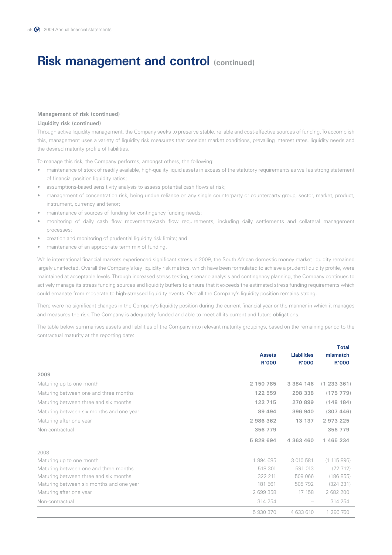### **Management of risk (continued)**

### **Liquidity risk (continued)**

Through active liquidity management, the Company seeks to preserve stable, reliable and cost-effective sources of funding. To accomplish this, management uses a variety of liquidity risk measures that consider market conditions, prevailing interest rates, liquidity needs and the desired maturity profile of liabilities.

To manage this risk, the Company performs, amongst others, the following:

- maintenance of stock of readily available, high-quality liquid assets in excess of the statutory requirements as well as strong statement of financial position liquidity ratios;
- assumptions-based sensitivity analysis to assess potential cash flows at risk;
- management of concentration risk, being undue reliance on any single counterparty or counterparty group, sector, market, product, instrument, currency and tenor;
- maintenance of sources of funding for contingency funding needs;
- monitoring of daily cash flow movements/cash flow requirements, including daily settlements and collateral management processes;
- creation and monitoring of prudential liquidity risk limits; and
- maintenance of an appropriate term mix of funding.

While international financial markets experienced significant stress in 2009, the South African domestic money market liquidity remained largely unaffected. Overall the Company's key liquidity risk metrics, which have been formulated to achieve a prudent liquidity profile, were maintained at acceptable levels. Through increased stress testing, scenario analysis and contingency planning, the Company continues to actively manage its stress funding sources and liquidity buffers to ensure that it exceeds the estimated stress funding requirements which could emanate from moderate to high-stressed liquidity events. Overall the Company's liquidity position remains strong.

There were no significant changes in the Company's liquidity position during the current financial year or the manner in which it manages and measures the risk. The Company is adequately funded and able to meet all its current and future obligations.

The table below summarises assets and liabilities of the Company into relevant maturity groupings, based on the remaining period to the contractual maturity at the reporting date:

**Total**

|                                          |                               |                                    | 'i otal                  |
|------------------------------------------|-------------------------------|------------------------------------|--------------------------|
|                                          | <b>Assets</b><br><b>R'000</b> | <b>Liabilities</b><br><b>R'000</b> | mismatch<br><b>R'000</b> |
| 2009                                     |                               |                                    |                          |
| Maturing up to one month                 | 2 150 785                     | 3 3 8 4 1 4 6                      | (1 233 361)              |
| Maturing between one and three months    | 122 559                       | 298 338                            | (175779)                 |
| Maturing between three and six months    | 122 715                       | 270 899                            | (148184)                 |
| Maturing between six months and one year | 89 4 94                       | 396 940                            | (307446)                 |
| Maturing after one year                  | 2986362                       | 13 137                             | 2 973 225                |
| Non-contractual                          | 356 779                       | $\overline{\phantom{m}}$           | 356 779                  |
|                                          | 5 828 694                     | 4 363 460                          | 1 465 234                |
| 2008                                     |                               |                                    |                          |
| Maturing up to one month                 | 1894685                       | 3 010 581                          | (1115896)                |
| Maturing between one and three months    | 518 301                       | 591 013                            | (72712)                  |
| Maturing between three and six months    | 322 211                       | 509 066                            | (186 855)                |
| Maturing between six months and one year | 181 561                       | 505 792                            | (324 231)                |
| Maturing after one year                  | 2 699 358                     | 17 158                             | 2 682 200                |
| Non-contractual                          | 314 254                       |                                    | 314 254                  |
|                                          | 5930370                       | 4 633 610                          | 1 296 760                |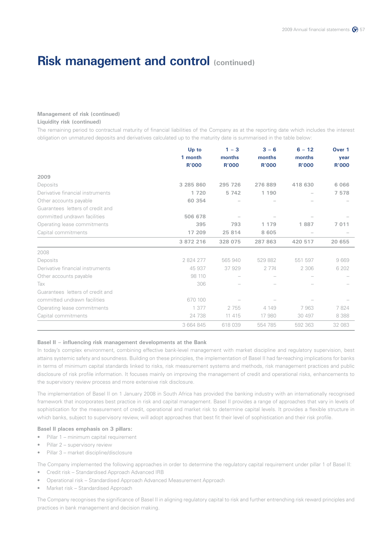### **Management of risk (continued)**

### **Liquidity risk (continued)**

The remaining period to contractual maturity of financial liabilities of the Company as at the reporting date which includes the interest obligation on unmatured deposits and derivatives calculated up to the maturity date is summarised in the table below:

|                                  | Up to<br>1 month | $1 - 3$<br>months | $3 - 6$<br>months | $6 - 12$<br>months | Over 1<br>year |
|----------------------------------|------------------|-------------------|-------------------|--------------------|----------------|
|                                  | <b>R'000</b>     | <b>R'000</b>      | <b>R'000</b>      | <b>R'000</b>       | <b>R'000</b>   |
| 2009                             |                  |                   |                   |                    |                |
| Deposits                         | 3 285 860        | 295 726           | 276889            | 418 630            | 6 0 6 6        |
| Derivative financial instruments | 1 7 2 0          | 5 7 4 2           | 1 190             |                    | 7 5 7 8        |
| Other accounts payable           | 60 354           |                   |                   |                    |                |
| Guarantees letters of credit and |                  |                   |                   |                    |                |
| committed undrawn facilities     | 506 678          |                   |                   |                    |                |
| Operating lease commitments      | 395              | 793               | 1 1 7 9           | 1887               | 7 0 1 1        |
| Capital commitments              | 17 209           | 25 814            | 8 6 0 5           |                    |                |
|                                  | 3 872 216        | 328 075           | 287 863           | 420 517            | 20 655         |
| 2008                             |                  |                   |                   |                    |                |
| Deposits                         | 2 824 277        | 565 940           | 529882            | 551 597            | 9669           |
| Derivative financial instruments | 45 937           | 37929             | 2 7 7 4           | 2 3 0 6            | 6 20 2         |
| Other accounts payable           | 98 110           |                   |                   |                    |                |
| Tax                              | 306              |                   |                   |                    |                |
| Guarantees letters of credit and |                  |                   |                   |                    |                |
| committed undrawn facilities     | 670 100          |                   |                   |                    |                |
| Operating lease commitments      | 1 377            | 2755              | 4 1 4 9           | 7963               | 7824           |
| Capital commitments              | 24 738           | 11 415            | 17 980            | 30 497             | 8388           |
|                                  | 3 664 845        | 618039            | 554 785           | 592 363            | 32 083         |

### **Basel II – influencing risk management developments at the Bank**

In today's complex environment, combining effective bank-level management with market discipline and regulatory supervision, best attains systemic safety and soundness. Building on these principles, the implementation of Basel II had far-reaching implications for banks in terms of minimum capital standards linked to risks, risk measurement systems and methods, risk management practices and public disclosure of risk profile information. It focuses mainly on improving the management of credit and operational risks, enhancements to the supervisory review process and more extensive risk disclosure.

The implementation of Basel II on 1 January 2008 in South Africa has provided the banking industry with an internationally recognised framework that incorporates best practice in risk and capital management. Basel II provides a range of approaches that vary in levels of sophistication for the measurement of credit, operational and market risk to determine capital levels. It provides a flexible structure in which banks, subject to supervisory review, will adopt approaches that best fit their level of sophistication and their risk profile.

### **Basel II places emphasis on 3 pillars:**

- Pillar 1 minimum capital requirement
- Pillar 2 supervisory review
- Pillar 3 market discipline/disclosure

The Company implemented the following approaches in order to determine the regulatory capital requirement under pillar 1 of Basel II:

- Credit risk Standardised Approach Advanced IRB
- Operational risk Standardised Approach Advanced Measurement Approach
- Market risk Standardised Approach

The Company recognises the significance of Basel II in aligning regulatory capital to risk and further entrenching risk reward principles and practices in bank management and decision making.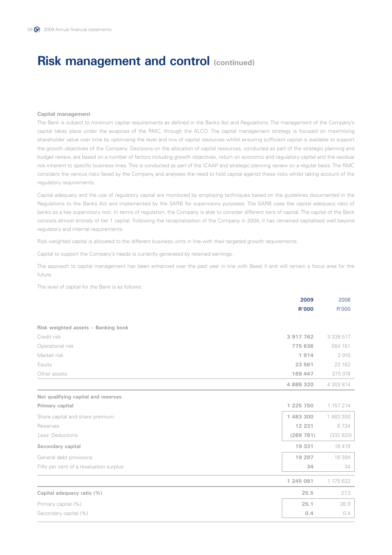#### **Capital management**

The Bank is subject to minimum capital requirements as defined in the Banks Act and Regulations. The management of the Company's capital takes place under the auspices of the RMC, through the ALCO. The capital management strategy is focused on maximising shareholder value over time by optimising the level and mix of capital resources whilst ensuring sufficient capital is available to support the growth objectives of the Company. Decisions on the allocation of capital resources, conducted as part of the strategic planning and budget review, are based on a number of factors including growth objectives, return on economic and regulatory capital and the residual risk inherent to specific business lines. This is conducted as part of the ICAAP and strategic planning review on a regular basis. The RMC considers the various risks faced by the Company and analyses the need to hold capital against these risks whilst taking account of the regulatory requirements.

Capital adequacy and the use of regulatory capital are monitored by employing techniques based on the guidelines documented in the Regulations to the Banks Act and implemented by the SARB for supervisory purposes. The SARB uses the capital adequacy ratio of banks as a key supervisory tool. In terms of regulation, the Company is able to consider different tiers of capital. The capital of the Bank consists almost entirely of tier 1 capital. Following the recapitalisation of the Company in 2004, it has remained capitalised well beyond regulatory and internal requirements.

Risk weighted capital is allocated to the different business units in line with their targeted growth requirements.

Capital to support the Company's needs is currently generated by retained earnings.

The approach to capital management has been enhanced over the past year in line with Basel II and will remain a focus area for the future.

The level of capital for the Bank is as follows:

|                                         | 2009         | 2008        |
|-----------------------------------------|--------------|-------------|
|                                         | <b>R'000</b> | R'000       |
| Risk weighted assets - Banking book     |              |             |
| Credit risk                             | 3 917 762    | 3 3 3 5 1 7 |
| Operational risk                        | 775 636      | 564 151     |
| Market risk                             | 1914         | 3910        |
| Equity                                  | 23 561       | 22 162      |
| Other assets                            | 169 447      | 375 074     |
|                                         | 4 888 320    | 4 303 814   |
| Net qualifying capital and reserves     |              |             |
| Primary capital                         | 1 225 750    | 1 157 214   |
| Share capital and share premium         | 1 483 300    | 1 483 300   |
| Reserves                                | 12 231       | 6734        |
| Less: Deductions                        | (269 781)    | (332 820)   |
| Secondary capital                       | 19 331       | 18418       |
| General debt provisions                 | 19 297       | 18 3 8 4    |
| Fifty per cent of a revaluation surplus | 34           | 34          |
|                                         | 1 245 081    | 1 175 632   |
| Capital adequacy ratio (%)              | 25.5         | 27.3        |
| Primary capital (%)                     | 25.1         | 26.9        |
| Secondary capital (%)                   | 0.4          | 0.4         |